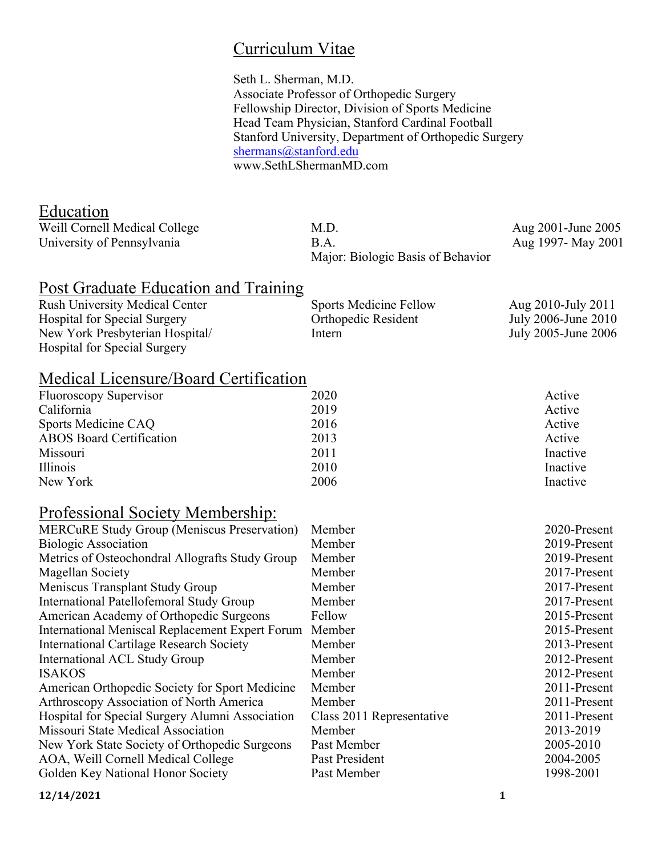## Curriculum Vitae

Seth L. Sherman, M.D. Associate Professor of Orthopedic Surgery Fellowship Director, Division of Sports Medicine Head Team Physician, Stanford Cardinal Football Stanford University, Department of Orthopedic Surgery shermans@stanford.edu www.SethLShermanMD.com

## Education

| Weill Cornell Medical College | M.D.                              | Aug 2001-June 2005 |
|-------------------------------|-----------------------------------|--------------------|
| University of Pennsylvania    | B.A.                              | Aug 1997- May 2001 |
|                               | Major: Biologic Basis of Behavior |                    |

## Post Graduate Education and Training

| <b>Rush University Medical Center</b> | <b>Sports Medicine Fellow</b> | Aug 2010-July 2011  |
|---------------------------------------|-------------------------------|---------------------|
| <b>Hospital for Special Surgery</b>   | Orthopedic Resident           | July 2006-June 2010 |
| New York Presbyterian Hospital        | Intern                        | July 2005-June 2006 |
| <b>Hospital for Special Surgery</b>   |                               |                     |

## Medical Licensure/Board Certification

| Fluoroscopy Supervisor          | 2020 | Active   |
|---------------------------------|------|----------|
| California                      | 2019 | Active   |
| Sports Medicine CAQ             | 2016 | Active   |
| <b>ABOS</b> Board Certification | 2013 | Active   |
| Missouri                        | 2011 | Inactive |
| <i>Illinois</i>                 | 2010 | Inactive |
| New York                        | 2006 | Inactive |

## Professional Society Membership:

| Member                    | 2020-Present |
|---------------------------|--------------|
| Member                    | 2019-Present |
| Member                    | 2019-Present |
| Member                    | 2017-Present |
| Member                    | 2017-Present |
| Member                    | 2017-Present |
| Fellow                    | 2015-Present |
| Member                    | 2015-Present |
| Member                    | 2013-Present |
| Member                    | 2012-Present |
| Member                    | 2012-Present |
| Member                    | 2011-Present |
| Member                    | 2011-Present |
| Class 2011 Representative | 2011-Present |
| Member                    | 2013-2019    |
| Past Member               | 2005-2010    |
| Past President            | 2004-2005    |
| Past Member               | 1998-2001    |
|                           |              |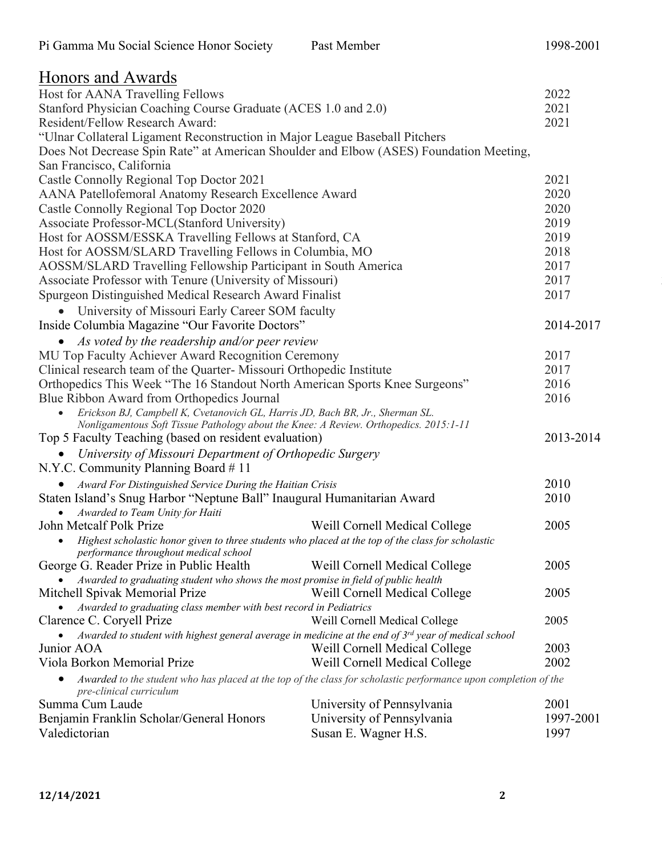| Honors and Awards                                                                                                                              |                                                                                                                 |           |
|------------------------------------------------------------------------------------------------------------------------------------------------|-----------------------------------------------------------------------------------------------------------------|-----------|
| Host for AANA Travelling Fellows                                                                                                               | 2022                                                                                                            |           |
| Stanford Physician Coaching Course Graduate (ACES 1.0 and 2.0)                                                                                 |                                                                                                                 | 2021      |
| Resident/Fellow Research Award:                                                                                                                |                                                                                                                 | 2021      |
| "Ulnar Collateral Ligament Reconstruction in Major League Baseball Pitchers                                                                    |                                                                                                                 |           |
| Does Not Decrease Spin Rate" at American Shoulder and Elbow (ASES) Foundation Meeting,                                                         |                                                                                                                 |           |
| San Francisco, California                                                                                                                      |                                                                                                                 |           |
| Castle Connolly Regional Top Doctor 2021                                                                                                       |                                                                                                                 | 2021      |
| AANA Patellofemoral Anatomy Research Excellence Award                                                                                          |                                                                                                                 | 2020      |
| Castle Connolly Regional Top Doctor 2020                                                                                                       |                                                                                                                 | 2020      |
| Associate Professor-MCL(Stanford University)                                                                                                   |                                                                                                                 | 2019      |
| Host for AOSSM/ESSKA Travelling Fellows at Stanford, CA                                                                                        |                                                                                                                 | 2019      |
| Host for AOSSM/SLARD Travelling Fellows in Columbia, MO                                                                                        |                                                                                                                 | 2018      |
| AOSSM/SLARD Travelling Fellowship Participant in South America                                                                                 |                                                                                                                 | 2017      |
| Associate Professor with Tenure (University of Missouri)                                                                                       |                                                                                                                 | 2017      |
| Spurgeon Distinguished Medical Research Award Finalist                                                                                         |                                                                                                                 | 2017      |
| University of Missouri Early Career SOM faculty                                                                                                |                                                                                                                 |           |
| Inside Columbia Magazine "Our Favorite Doctors"                                                                                                |                                                                                                                 | 2014-2017 |
| • As voted by the readership and/or peer review                                                                                                |                                                                                                                 |           |
| MU Top Faculty Achiever Award Recognition Ceremony                                                                                             |                                                                                                                 | 2017      |
| Clinical research team of the Quarter-Missouri Orthopedic Institute                                                                            |                                                                                                                 | 2017      |
| Orthopedics This Week "The 16 Standout North American Sports Knee Surgeons"                                                                    |                                                                                                                 | 2016      |
| Blue Ribbon Award from Orthopedics Journal                                                                                                     |                                                                                                                 | 2016      |
| Erickson BJ, Campbell K, Cvetanovich GL, Harris JD, Bach BR, Jr., Sherman SL.                                                                  |                                                                                                                 |           |
| Nonligamentous Soft Tissue Pathology about the Knee: A Review. Orthopedics. 2015:1-11<br>Top 5 Faculty Teaching (based on resident evaluation) |                                                                                                                 | 2013-2014 |
|                                                                                                                                                |                                                                                                                 |           |
| University of Missouri Department of Orthopedic Surgery                                                                                        |                                                                                                                 |           |
| N.Y.C. Community Planning Board #11                                                                                                            |                                                                                                                 |           |
| Award For Distinguished Service During the Haitian Crisis                                                                                      |                                                                                                                 | 2010      |
| Staten Island's Snug Harbor "Neptune Ball" Inaugural Humanitarian Award                                                                        |                                                                                                                 | 2010      |
| Awarded to Team Unity for Haiti<br>John Metcalf Polk Prize                                                                                     | Weill Cornell Medical College                                                                                   | 2005      |
| Highest scholastic honor given to three students who placed at the top of the class for scholastic<br>$\bullet$                                |                                                                                                                 |           |
| performance throughout medical school                                                                                                          |                                                                                                                 |           |
| George G. Reader Prize in Public Health                                                                                                        | Weill Cornell Medical College                                                                                   | 2005      |
| Awarded to graduating student who shows the most promise in field of public health                                                             |                                                                                                                 |           |
| Mitchell Spivak Memorial Prize                                                                                                                 | Weill Cornell Medical College                                                                                   | 2005      |
| Awarded to graduating class member with best record in Pediatrics                                                                              |                                                                                                                 |           |
| Clarence C. Coryell Prize                                                                                                                      | Weill Cornell Medical College                                                                                   | 2005      |
| Awarded to student with highest general average in medicine at the end of $3^{rd}$ year of medical school                                      |                                                                                                                 |           |
| Junior AOA                                                                                                                                     | Weill Cornell Medical College                                                                                   | 2003      |
| Viola Borkon Memorial Prize                                                                                                                    | Weill Cornell Medical College                                                                                   | 2002      |
| pre-clinical curriculum                                                                                                                        | Awarded to the student who has placed at the top of the class for scholastic performance upon completion of the |           |
| Summa Cum Laude                                                                                                                                | University of Pennsylvania                                                                                      | 2001      |
| Benjamin Franklin Scholar/General Honors                                                                                                       | University of Pennsylvania                                                                                      | 1997-2001 |
| Valedictorian                                                                                                                                  | Susan E. Wagner H.S.                                                                                            | 1997      |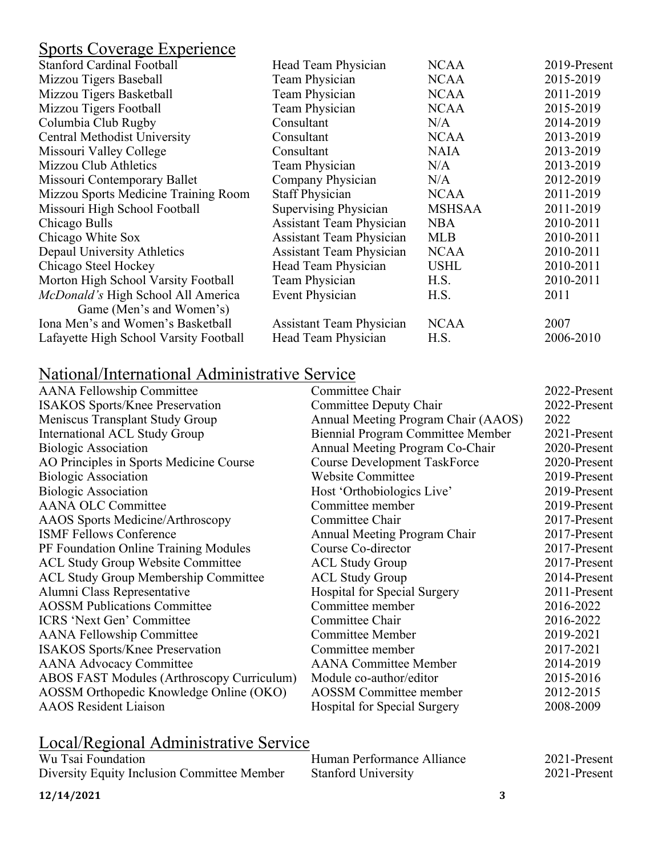## Sports Coverage Experience

| <b>Stanford Cardinal Football</b>      | Head Team Physician             | <b>NCAA</b>   | 2019-Present |
|----------------------------------------|---------------------------------|---------------|--------------|
| Mizzou Tigers Baseball                 | Team Physician                  | <b>NCAA</b>   | 2015-2019    |
| Mizzou Tigers Basketball               | Team Physician                  | <b>NCAA</b>   | 2011-2019    |
| Mizzou Tigers Football                 | Team Physician                  | <b>NCAA</b>   | 2015-2019    |
| Columbia Club Rugby                    | Consultant                      | N/A           | 2014-2019    |
| <b>Central Methodist University</b>    | Consultant                      | <b>NCAA</b>   | 2013-2019    |
| Missouri Valley College                | Consultant                      | <b>NAIA</b>   | 2013-2019    |
| Mizzou Club Athletics                  | Team Physician                  | N/A           | 2013-2019    |
| Missouri Contemporary Ballet           | Company Physician               | N/A           | 2012-2019    |
| Mizzou Sports Medicine Training Room   | <b>Staff Physician</b>          | <b>NCAA</b>   | 2011-2019    |
| Missouri High School Football          | Supervising Physician           | <b>MSHSAA</b> | 2011-2019    |
| Chicago Bulls                          | <b>Assistant Team Physician</b> | <b>NBA</b>    | 2010-2011    |
| Chicago White Sox                      | <b>Assistant Team Physician</b> | <b>MLB</b>    | 2010-2011    |
| Depaul University Athletics            | <b>Assistant Team Physician</b> | <b>NCAA</b>   | 2010-2011    |
| Chicago Steel Hockey                   | Head Team Physician             | <b>USHL</b>   | 2010-2011    |
| Morton High School Varsity Football    | Team Physician                  | H.S.          | 2010-2011    |
| McDonald's High School All America     | Event Physician                 | H.S.          | 2011         |
| Game (Men's and Women's)               |                                 |               |              |
| Iona Men's and Women's Basketball      | <b>Assistant Team Physician</b> | <b>NCAA</b>   | 2007         |
| Lafayette High School Varsity Football | Head Team Physician             | H.S.          | 2006-2010    |
|                                        |                                 |               |              |

## National/International Administrative Service

| <b>AANA Fellowship Committee</b>            | Committee Chair                          | 2022-Present |
|---------------------------------------------|------------------------------------------|--------------|
| <b>ISAKOS</b> Sports/Knee Preservation      | Committee Deputy Chair                   | 2022-Present |
| Meniscus Transplant Study Group             | Annual Meeting Program Chair (AAOS)      | 2022         |
| <b>International ACL Study Group</b>        | <b>Biennial Program Committee Member</b> | 2021-Present |
| <b>Biologic Association</b>                 | Annual Meeting Program Co-Chair          | 2020-Present |
| AO Principles in Sports Medicine Course     | <b>Course Development TaskForce</b>      | 2020-Present |
| <b>Biologic Association</b>                 | Website Committee                        | 2019-Present |
| <b>Biologic Association</b>                 | Host 'Orthobiologics Live'               | 2019-Present |
| <b>AANA OLC Committee</b>                   | Committee member                         | 2019-Present |
| <b>AAOS</b> Sports Medicine/Arthroscopy     | Committee Chair                          | 2017-Present |
| <b>ISMF Fellows Conference</b>              | Annual Meeting Program Chair             | 2017-Present |
| PF Foundation Online Training Modules       | Course Co-director                       | 2017-Present |
| <b>ACL Study Group Website Committee</b>    | <b>ACL Study Group</b>                   | 2017-Present |
| <b>ACL Study Group Membership Committee</b> | <b>ACL Study Group</b>                   | 2014-Present |
| Alumni Class Representative                 | <b>Hospital for Special Surgery</b>      | 2011-Present |
| <b>AOSSM Publications Committee</b>         | Committee member                         | 2016-2022    |
| <b>ICRS</b> 'Next Gen' Committee            | Committee Chair                          | 2016-2022    |
| <b>AANA Fellowship Committee</b>            | <b>Committee Member</b>                  | 2019-2021    |
| <b>ISAKOS Sports/Knee Preservation</b>      | Committee member                         | 2017-2021    |
| <b>AANA Advocacy Committee</b>              | <b>AANA</b> Committee Member             | 2014-2019    |
| ABOS FAST Modules (Arthroscopy Curriculum)  | Module co-author/editor                  | 2015-2016    |
| AOSSM Orthopedic Knowledge Online (OKO)     | <b>AOSSM</b> Committee member            | 2012-2015    |
| <b>AAOS</b> Resident Liaison                | Hospital for Special Surgery             | 2008-2009    |
|                                             |                                          |              |

## Local/Regional Administrative Service

| Wu Tsai Foundation                          | Human Performance Alliance | 2021-Present |
|---------------------------------------------|----------------------------|--------------|
| Diversity Equity Inclusion Committee Member | <b>Stanford University</b> | 2021-Present |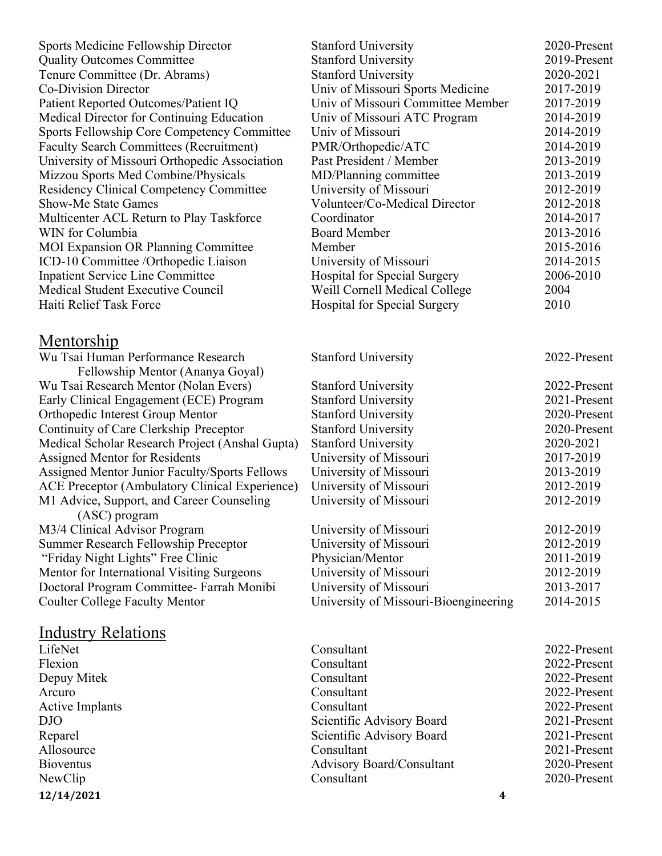| Sports Medicine Fellowship Director                                    | <b>Stanford University</b>            | 2020-Present |
|------------------------------------------------------------------------|---------------------------------------|--------------|
| <b>Quality Outcomes Committee</b>                                      | <b>Stanford University</b>            | 2019-Present |
| Tenure Committee (Dr. Abrams)                                          | <b>Stanford University</b>            | 2020-2021    |
| Co-Division Director                                                   | Univ of Missouri Sports Medicine      | 2017-2019    |
| Patient Reported Outcomes/Patient IQ                                   | Univ of Missouri Committee Member     | 2017-2019    |
| Medical Director for Continuing Education                              | Univ of Missouri ATC Program          | 2014-2019    |
| Sports Fellowship Core Competency Committee                            | Univ of Missouri                      | 2014-2019    |
| <b>Faculty Search Committees (Recruitment)</b>                         | PMR/Orthopedic/ATC                    | 2014-2019    |
| University of Missouri Orthopedic Association                          | Past President / Member               | 2013-2019    |
| Mizzou Sports Med Combine/Physicals                                    | MD/Planning committee                 | 2013-2019    |
| <b>Residency Clinical Competency Committee</b>                         | University of Missouri                | 2012-2019    |
| <b>Show-Me State Games</b>                                             | Volunteer/Co-Medical Director         | 2012-2018    |
| Multicenter ACL Return to Play Taskforce                               | Coordinator                           | 2014-2017    |
| WIN for Columbia                                                       | <b>Board Member</b>                   | 2013-2016    |
| <b>MOI Expansion OR Planning Committee</b>                             | Member                                | 2015-2016    |
| ICD-10 Committee /Orthopedic Liaison                                   | University of Missouri                | 2014-2015    |
| <b>Inpatient Service Line Committee</b>                                | <b>Hospital for Special Surgery</b>   | 2006-2010    |
| Medical Student Executive Council                                      | Weill Cornell Medical College         | 2004         |
| Haiti Relief Task Force                                                | <b>Hospital for Special Surgery</b>   | 2010         |
|                                                                        |                                       |              |
| <u>Mentorship</u>                                                      |                                       |              |
| Wu Tsai Human Performance Research<br>Fellowship Mentor (Ananya Goyal) | <b>Stanford University</b>            | 2022-Present |
| Wu Tsai Research Mentor (Nolan Evers)                                  | <b>Stanford University</b>            | 2022-Present |
| Early Clinical Engagement (ECE) Program                                | <b>Stanford University</b>            | 2021-Present |
| Orthopedic Interest Group Mentor                                       | <b>Stanford University</b>            | 2020-Present |
| Continuity of Care Clerkship Preceptor                                 | <b>Stanford University</b>            | 2020-Present |
| Medical Scholar Research Project (Anshal Gupta)                        | <b>Stanford University</b>            | 2020-2021    |
| Assigned Mentor for Residents                                          | University of Missouri                | 2017-2019    |
| Assigned Mentor Junior Faculty/Sports Fellows                          | University of Missouri                | 2013-2019    |
| <b>ACE Preceptor (Ambulatory Clinical Experience)</b>                  | University of Missouri                | 2012-2019    |
| M1 Advice, Support, and Career Counseling                              | University of Missouri                | 2012-2019    |
| (ASC) program<br>M3/4 Clinical Advisor Program                         | University of Missouri                | 2012-2019    |
| <b>Summer Research Fellowship Preceptor</b>                            | University of Missouri                | 2012-2019    |
| "Friday Night Lights" Free Clinic                                      | Physician/Mentor                      | 2011-2019    |
| Mentor for International Visiting Surgeons                             | University of Missouri                | 2012-2019    |
| Doctoral Program Committee- Farrah Monibi                              | University of Missouri                | 2013-2017    |
| <b>Coulter College Faculty Mentor</b>                                  | University of Missouri-Bioengineering | 2014-2015    |
|                                                                        |                                       |              |
| <b>Industry Relations</b>                                              |                                       |              |
| LifeNet                                                                | Consultant                            | 2022-Present |
| Flexion                                                                | Consultant                            | 2022-Present |
| Depuy Mitek                                                            | Consultant                            | 2022-Present |
| Arcuro                                                                 | Consultant                            | 2022-Present |
| <b>Active Implants</b>                                                 | Consultant                            | 2022-Present |
| <b>DJO</b>                                                             | Scientific Advisory Board             | 2021-Present |
| Reparel                                                                | Scientific Advisory Board             | 2021-Present |
| Allosource                                                             | Consultant                            | 2021-Present |
| <b>Bioventus</b>                                                       | <b>Advisory Board/Consultant</b>      | 2020-Present |
| NewClip                                                                | Consultant                            | 2020-Present |
| 12/14/2021                                                             | $\boldsymbol{4}$                      |              |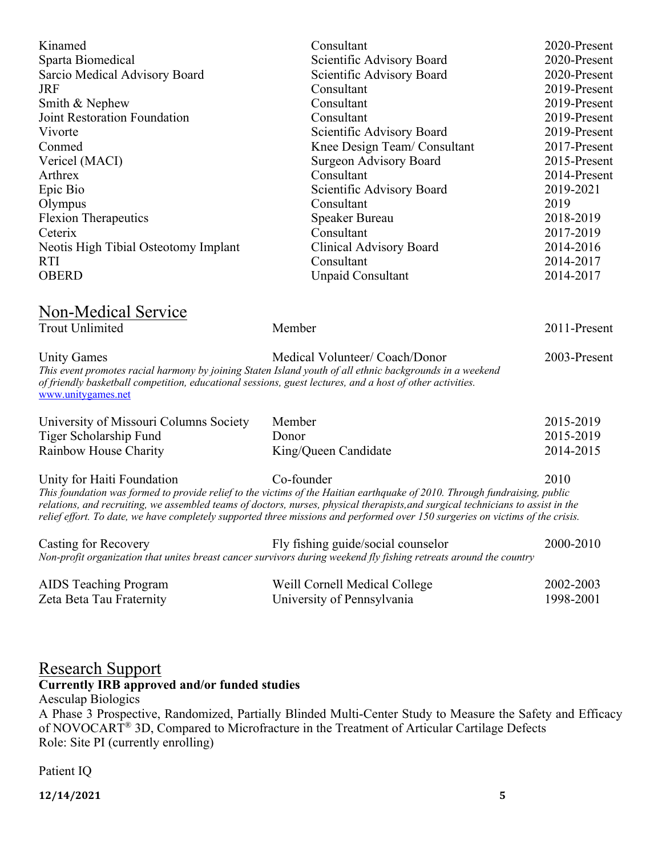| Kinamed<br>Sparta Biomedical<br>Sarcio Medical Advisory Board<br><b>JRF</b><br>Smith & Nephew<br><b>Joint Restoration Foundation</b><br>Vivorte<br>Conmed<br>Vericel (MACI)<br>Arthrex<br>Epic Bio<br>Olympus<br><b>Flexion Therapeutics</b><br>Ceterix<br>Neotis High Tibial Osteotomy Implant<br><b>RTI</b><br><b>OBERD</b> | Consultant<br>Scientific Advisory Board<br>Scientific Advisory Board<br>Consultant<br>Consultant<br>Consultant<br>Scientific Advisory Board<br>Knee Design Team/Consultant<br><b>Surgeon Advisory Board</b><br>Consultant<br>Scientific Advisory Board<br>Consultant<br>Speaker Bureau<br>Consultant<br><b>Clinical Advisory Board</b><br>Consultant<br>Unpaid Consultant                                      | 2020-Present<br>2020-Present<br>2020-Present<br>2019-Present<br>2019-Present<br>2019-Present<br>2019-Present<br>2017-Present<br>2015-Present<br>2014-Present<br>2019-2021<br>2019<br>2018-2019<br>2017-2019<br>2014-2016<br>2014-2017<br>2014-2017 |
|-------------------------------------------------------------------------------------------------------------------------------------------------------------------------------------------------------------------------------------------------------------------------------------------------------------------------------|----------------------------------------------------------------------------------------------------------------------------------------------------------------------------------------------------------------------------------------------------------------------------------------------------------------------------------------------------------------------------------------------------------------|----------------------------------------------------------------------------------------------------------------------------------------------------------------------------------------------------------------------------------------------------|
| Non-Medical Service<br><b>Trout Unlimited</b>                                                                                                                                                                                                                                                                                 | Member                                                                                                                                                                                                                                                                                                                                                                                                         | 2011-Present                                                                                                                                                                                                                                       |
| <b>Unity Games</b><br>of friendly basketball competition, educational sessions, guest lectures, and a host of other activities.<br>www.unitygames.net                                                                                                                                                                         | Medical Volunteer/ Coach/Donor<br>This event promotes racial harmony by joining Staten Island youth of all ethnic backgrounds in a weekend                                                                                                                                                                                                                                                                     | 2003-Present                                                                                                                                                                                                                                       |
| University of Missouri Columns Society                                                                                                                                                                                                                                                                                        | Member                                                                                                                                                                                                                                                                                                                                                                                                         | 2015-2019                                                                                                                                                                                                                                          |
| Tiger Scholarship Fund                                                                                                                                                                                                                                                                                                        | Donor                                                                                                                                                                                                                                                                                                                                                                                                          | 2015-2019                                                                                                                                                                                                                                          |
| Rainbow House Charity                                                                                                                                                                                                                                                                                                         | King/Queen Candidate                                                                                                                                                                                                                                                                                                                                                                                           | 2014-2015                                                                                                                                                                                                                                          |
| Unity for Haiti Foundation                                                                                                                                                                                                                                                                                                    | Co-founder<br>This foundation was formed to provide relief to the victims of the Haitian earthquake of 2010. Through fundraising, public<br>relations, and recruiting, we assembled teams of doctors, nurses, physical therapists, and surgical technicians to assist in the<br>relief effort. To date, we have completely supported three missions and performed over 150 surgeries on victims of the crisis. | 2010                                                                                                                                                                                                                                               |
| <b>Casting for Recovery</b>                                                                                                                                                                                                                                                                                                   | Fly fishing guide/social counselor<br>Non-profit organization that unites breast cancer survivors during weekend fly fishing retreats around the country                                                                                                                                                                                                                                                       | 2000-2010                                                                                                                                                                                                                                          |
| <b>AIDS</b> Teaching Program<br>Zeta Beta Tau Fraternity                                                                                                                                                                                                                                                                      | Weill Cornell Medical College<br>University of Pennsylvania                                                                                                                                                                                                                                                                                                                                                    | 2002-2003<br>1998-2001                                                                                                                                                                                                                             |

## Research Support

#### **Currently IRB approved and/or funded studies**

Aesculap Biologics

A Phase 3 Prospective, Randomized, Partially Blinded Multi-Center Study to Measure the Safety and Efficacy of NOVOCART® 3D, Compared to Microfracture in the Treatment of Articular Cartilage Defects Role: Site PI (currently enrolling)

#### Patient IQ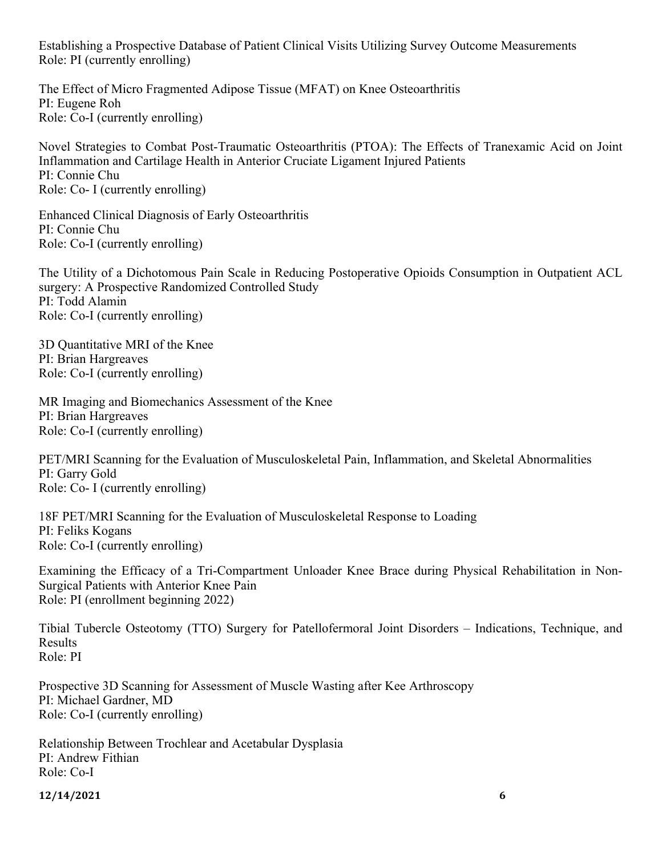Establishing a Prospective Database of Patient Clinical Visits Utilizing Survey Outcome Measurements Role: PI (currently enrolling)

The Effect of Micro Fragmented Adipose Tissue (MFAT) on Knee Osteoarthritis PI: Eugene Roh Role: Co-I (currently enrolling)

Novel Strategies to Combat Post-Traumatic Osteoarthritis (PTOA): The Effects of Tranexamic Acid on Joint Inflammation and Cartilage Health in Anterior Cruciate Ligament Injured Patients PI: Connie Chu Role: Co- I (currently enrolling)

Enhanced Clinical Diagnosis of Early Osteoarthritis PI: Connie Chu Role: Co-I (currently enrolling)

The Utility of a Dichotomous Pain Scale in Reducing Postoperative Opioids Consumption in Outpatient ACL surgery: A Prospective Randomized Controlled Study PI: Todd Alamin Role: Co-I (currently enrolling)

3D Quantitative MRI of the Knee PI: Brian Hargreaves Role: Co-I (currently enrolling)

MR Imaging and Biomechanics Assessment of the Knee PI: Brian Hargreaves Role: Co-I (currently enrolling)

PET/MRI Scanning for the Evaluation of Musculoskeletal Pain, Inflammation, and Skeletal Abnormalities PI: Garry Gold Role: Co- I (currently enrolling)

18F PET/MRI Scanning for the Evaluation of Musculoskeletal Response to Loading PI: Feliks Kogans Role: Co-I (currently enrolling)

Examining the Efficacy of a Tri-Compartment Unloader Knee Brace during Physical Rehabilitation in Non-Surgical Patients with Anterior Knee Pain Role: PI (enrollment beginning 2022)

Tibial Tubercle Osteotomy (TTO) Surgery for Patellofermoral Joint Disorders – Indications, Technique, and Results Role: PI

Prospective 3D Scanning for Assessment of Muscle Wasting after Kee Arthroscopy PI: Michael Gardner, MD Role: Co-I (currently enrolling)

Relationship Between Trochlear and Acetabular Dysplasia PI: Andrew Fithian Role: Co-I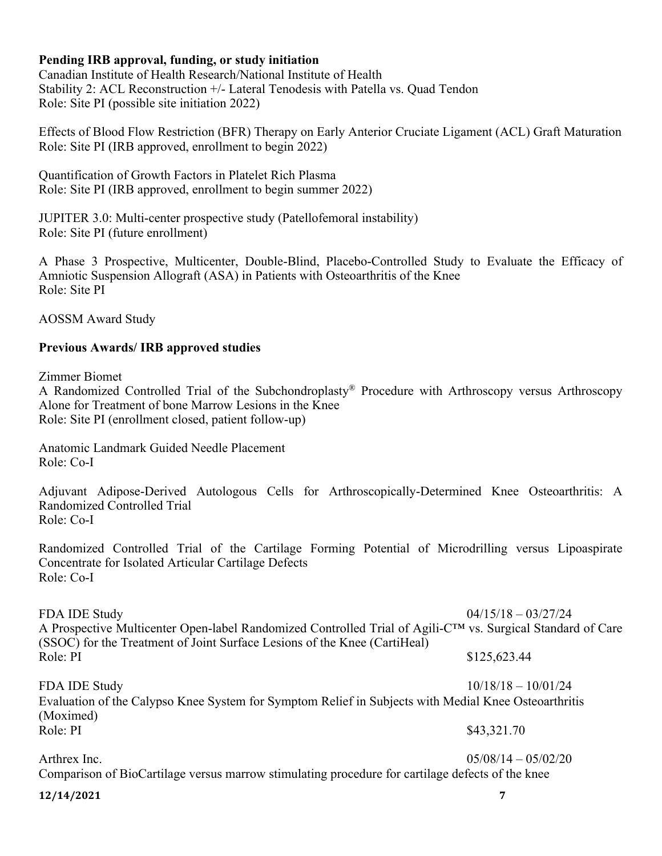#### **Pending IRB approval, funding, or study initiation**

Canadian Institute of Health Research/National Institute of Health Stability 2: ACL Reconstruction +/- Lateral Tenodesis with Patella vs. Quad Tendon Role: Site PI (possible site initiation 2022)

Effects of Blood Flow Restriction (BFR) Therapy on Early Anterior Cruciate Ligament (ACL) Graft Maturation Role: Site PI (IRB approved, enrollment to begin 2022)

Quantification of Growth Factors in Platelet Rich Plasma Role: Site PI (IRB approved, enrollment to begin summer 2022)

JUPITER 3.0: Multi-center prospective study (Patellofemoral instability) Role: Site PI (future enrollment)

A Phase 3 Prospective, Multicenter, Double-Blind, Placebo-Controlled Study to Evaluate the Efficacy of Amniotic Suspension Allograft (ASA) in Patients with Osteoarthritis of the Knee Role: Site PI

AOSSM Award Study

#### **Previous Awards/ IRB approved studies**

Zimmer Biomet

A Randomized Controlled Trial of the Subchondroplasty® Procedure with Arthroscopy versus Arthroscopy Alone for Treatment of bone Marrow Lesions in the Knee Role: Site PI (enrollment closed, patient follow-up)

Anatomic Landmark Guided Needle Placement Role: Co-I

Adjuvant Adipose-Derived Autologous Cells for Arthroscopically-Determined Knee Osteoarthritis: A Randomized Controlled Trial Role: Co-I

Randomized Controlled Trial of the Cartilage Forming Potential of Microdrilling versus Lipoaspirate Concentrate for Isolated Articular Cartilage Defects Role: Co-I

FDA IDE Study 04/15/18 – 03/27/24 A Prospective Multicenter Open-label Randomized Controlled Trial of Agili-C™ vs. Surgical Standard of Care (SSOC) for the Treatment of Joint Surface Lesions of the Knee (CartiHeal) Role: PI  $$125,623.44$ 

FDA IDE Study 10/18/18 – 10/01/24 Evaluation of the Calypso Knee System for Symptom Relief in Subjects with Medial Knee Osteoarthritis (Moximed) Role: PI \$43,321.70

Arthrex Inc. 05/08/14 – 05/02/20 Comparison of BioCartilage versus marrow stimulating procedure for cartilage defects of the knee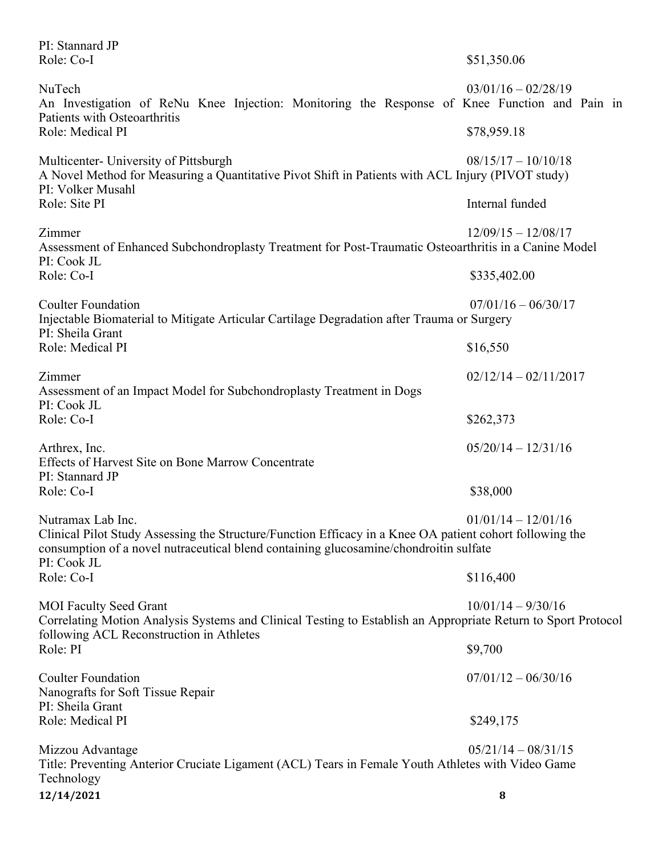| PI: Stannard JP<br>Role: Co-I                                                                                                                                                                                                         | \$51,350.06             |
|---------------------------------------------------------------------------------------------------------------------------------------------------------------------------------------------------------------------------------------|-------------------------|
| NuTech<br>An Investigation of ReNu Knee Injection: Monitoring the Response of Knee Function and Pain in<br>Patients with Osteoarthritis                                                                                               | $03/01/16 - 02/28/19$   |
| Role: Medical PI                                                                                                                                                                                                                      | \$78,959.18             |
| Multicenter- University of Pittsburgh<br>A Novel Method for Measuring a Quantitative Pivot Shift in Patients with ACL Injury (PIVOT study)<br>PI: Volker Musahl                                                                       | $08/15/17 - 10/10/18$   |
| Role: Site PI                                                                                                                                                                                                                         | Internal funded         |
| Zimmer<br>Assessment of Enhanced Subchondroplasty Treatment for Post-Traumatic Osteoarthritis in a Canine Model<br>PI: Cook JL                                                                                                        | $12/09/15 - 12/08/17$   |
| Role: Co-I                                                                                                                                                                                                                            | \$335,402.00            |
| <b>Coulter Foundation</b><br>Injectable Biomaterial to Mitigate Articular Cartilage Degradation after Trauma or Surgery<br>PI: Sheila Grant                                                                                           | $07/01/16 - 06/30/17$   |
| Role: Medical PI                                                                                                                                                                                                                      | \$16,550                |
| Zimmer<br>Assessment of an Impact Model for Subchondroplasty Treatment in Dogs<br>PI: Cook JL                                                                                                                                         | $02/12/14 - 02/11/2017$ |
| Role: Co-I                                                                                                                                                                                                                            | \$262,373               |
| Arthrex, Inc.<br>Effects of Harvest Site on Bone Marrow Concentrate<br>PI: Stannard JP                                                                                                                                                | $05/20/14 - 12/31/16$   |
| Role: Co-I                                                                                                                                                                                                                            | \$38,000                |
| Nutramax Lab Inc.<br>Clinical Pilot Study Assessing the Structure/Function Efficacy in a Knee OA patient cohort following the<br>consumption of a novel nutraceutical blend containing glucosamine/chondroitin sulfate<br>PI: Cook JL | $01/01/14 - 12/01/16$   |
| Role: Co-I                                                                                                                                                                                                                            | \$116,400               |
| <b>MOI Faculty Seed Grant</b><br>Correlating Motion Analysis Systems and Clinical Testing to Establish an Appropriate Return to Sport Protocol                                                                                        | $10/01/14 - 9/30/16$    |
| following ACL Reconstruction in Athletes<br>Role: PI                                                                                                                                                                                  | \$9,700                 |
| <b>Coulter Foundation</b><br>Nanografts for Soft Tissue Repair                                                                                                                                                                        | $07/01/12 - 06/30/16$   |
| PI: Sheila Grant<br>Role: Medical PI                                                                                                                                                                                                  | \$249,175               |
| Mizzou Advantage<br>Title: Preventing Anterior Cruciate Ligament (ACL) Tears in Female Youth Athletes with Video Game<br>Technology                                                                                                   | $05/21/14 - 08/31/15$   |
| 12/14/2021                                                                                                                                                                                                                            | 8                       |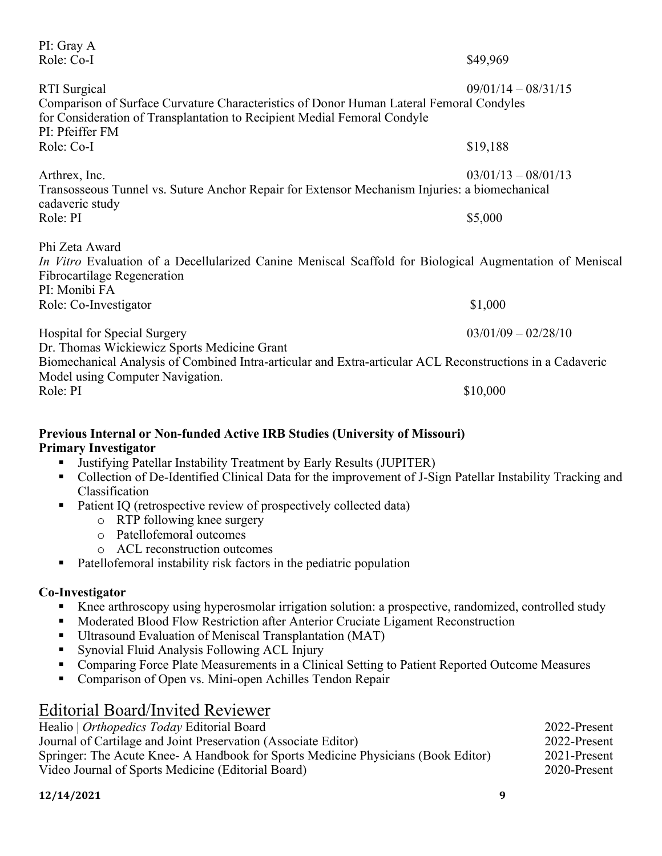| PI: Gray A<br>Role: Co-I                                                                                                                                                                                      | \$49,969              |
|---------------------------------------------------------------------------------------------------------------------------------------------------------------------------------------------------------------|-----------------------|
| <b>RTI</b> Surgical<br>Comparison of Surface Curvature Characteristics of Donor Human Lateral Femoral Condyles<br>for Consideration of Transplantation to Recipient Medial Femoral Condyle<br>PI: Pfeiffer FM | $09/01/14 - 08/31/15$ |
| Role: Co-I                                                                                                                                                                                                    | \$19,188              |
| Arthrex, Inc.<br>Transosseous Tunnel vs. Suture Anchor Repair for Extensor Mechanism Injuries: a biomechanical<br>cadaveric study                                                                             | $03/01/13 - 08/01/13$ |
| Role: PI                                                                                                                                                                                                      | \$5,000               |
| Phi Zeta Award<br>In Vitro Evaluation of a Decellularized Canine Meniscal Scaffold for Biological Augmentation of Meniscal<br>Fibrocartilage Regeneration<br>PI: Monibi FA                                    |                       |
| Role: Co-Investigator                                                                                                                                                                                         | \$1,000               |
| <b>Hospital for Special Surgery</b><br>Dr. Thomas Wickiewicz Sports Medicine Grant                                                                                                                            | $03/01/09 - 02/28/10$ |
| Biomechanical Analysis of Combined Intra-articular and Extra-articular ACL Reconstructions in a Cadaveric<br>Model using Computer Navigation.                                                                 |                       |
| Role: PI                                                                                                                                                                                                      | \$10,000              |

#### **Previous Internal or Non-funded Active IRB Studies (University of Missouri) Primary Investigator**

- Justifying Patellar Instability Treatment by Early Results (JUPITER)
- Collection of De-Identified Clinical Data for the improvement of J-Sign Patellar Instability Tracking and Classification
- Patient IQ (retrospective review of prospectively collected data)
	- o RTP following knee surgery
	- o Patellofemoral outcomes
	- o ACL reconstruction outcomes
- Patellofemoral instability risk factors in the pediatric population

#### **Co-Investigator**

- Knee arthroscopy using hyperosmolar irrigation solution: a prospective, randomized, controlled study
- Moderated Blood Flow Restriction after Anterior Cruciate Ligament Reconstruction
- Ultrasound Evaluation of Meniscal Transplantation (MAT)
- Synovial Fluid Analysis Following ACL Injury
- Comparing Force Plate Measurements in a Clinical Setting to Patient Reported Outcome Measures
- Comparison of Open vs. Mini-open Achilles Tendon Repair

## Editorial Board/Invited Reviewer

| Healio   Orthopedics Today Editorial Board                                        | 2022-Present |
|-----------------------------------------------------------------------------------|--------------|
| Journal of Cartilage and Joint Preservation (Associate Editor)                    | 2022-Present |
| Springer: The Acute Knee- A Handbook for Sports Medicine Physicians (Book Editor) | 2021-Present |
| Video Journal of Sports Medicine (Editorial Board)                                | 2020-Present |
|                                                                                   |              |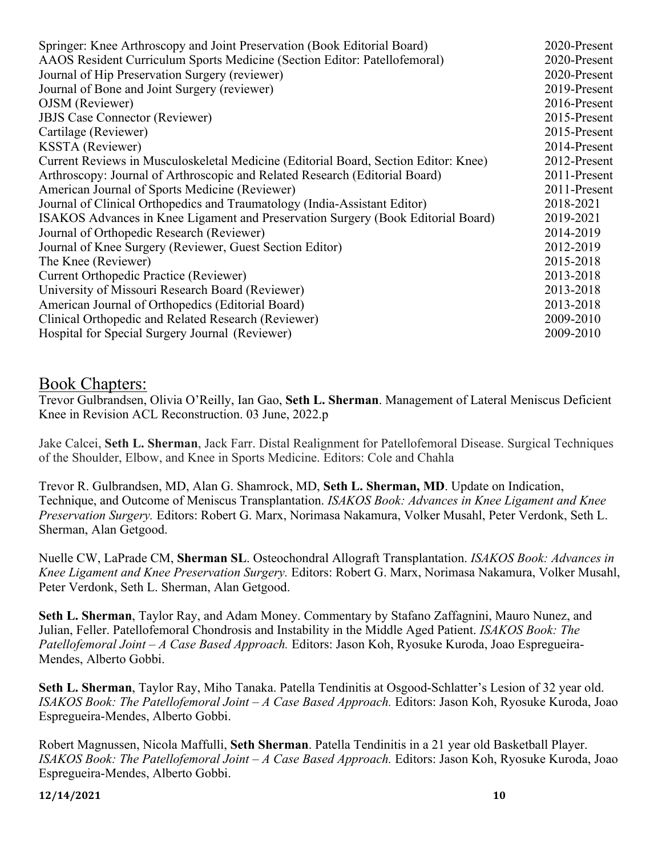| Springer: Knee Arthroscopy and Joint Preservation (Book Editorial Board)            | 2020-Present |
|-------------------------------------------------------------------------------------|--------------|
| AAOS Resident Curriculum Sports Medicine (Section Editor: Patellofemoral)           | 2020-Present |
| Journal of Hip Preservation Surgery (reviewer)                                      | 2020-Present |
| Journal of Bone and Joint Surgery (reviewer)                                        | 2019-Present |
| OJSM (Reviewer)                                                                     | 2016-Present |
| <b>JBJS</b> Case Connector (Reviewer)                                               | 2015-Present |
| Cartilage (Reviewer)                                                                | 2015-Present |
| <b>KSSTA</b> (Reviewer)                                                             | 2014-Present |
| Current Reviews in Musculoskeletal Medicine (Editorial Board, Section Editor: Knee) | 2012-Present |
| Arthroscopy: Journal of Arthroscopic and Related Research (Editorial Board)         | 2011-Present |
| American Journal of Sports Medicine (Reviewer)                                      | 2011-Present |
| Journal of Clinical Orthopedics and Traumatology (India-Assistant Editor)           | 2018-2021    |
| ISAKOS Advances in Knee Ligament and Preservation Surgery (Book Editorial Board)    | 2019-2021    |
| Journal of Orthopedic Research (Reviewer)                                           | 2014-2019    |
| Journal of Knee Surgery (Reviewer, Guest Section Editor)                            | 2012-2019    |
| The Knee (Reviewer)                                                                 | 2015-2018    |
| Current Orthopedic Practice (Reviewer)                                              | 2013-2018    |
| University of Missouri Research Board (Reviewer)                                    | 2013-2018    |
| American Journal of Orthopedics (Editorial Board)                                   | 2013-2018    |
| Clinical Orthopedic and Related Research (Reviewer)                                 | 2009-2010    |
| Hospital for Special Surgery Journal (Reviewer)                                     | 2009-2010    |
|                                                                                     |              |

### Book Chapters:

Trevor Gulbrandsen, Olivia O'Reilly, Ian Gao, **Seth L. Sherman**. Management of Lateral Meniscus Deficient Knee in Revision ACL Reconstruction. 03 June, 2022.p

Jake Calcei, **Seth L. Sherman**, Jack Farr. Distal Realignment for Patellofemoral Disease. Surgical Techniques of the Shoulder, Elbow, and Knee in Sports Medicine. Editors: Cole and Chahla

Trevor R. Gulbrandsen, MD, Alan G. Shamrock, MD, **Seth L. Sherman, MD**. Update on Indication, Technique, and Outcome of Meniscus Transplantation. *ISAKOS Book: Advances in Knee Ligament and Knee Preservation Surgery.* Editors: Robert G. Marx, Norimasa Nakamura, Volker Musahl, Peter Verdonk, Seth L. Sherman, Alan Getgood.

Nuelle CW, LaPrade CM, **Sherman SL**. Osteochondral Allograft Transplantation. *ISAKOS Book: Advances in Knee Ligament and Knee Preservation Surgery.* Editors: Robert G. Marx, Norimasa Nakamura, Volker Musahl, Peter Verdonk, Seth L. Sherman, Alan Getgood.

**Seth L. Sherman**, Taylor Ray, and Adam Money. Commentary by Stafano Zaffagnini, Mauro Nunez, and Julian, Feller. Patellofemoral Chondrosis and Instability in the Middle Aged Patient. *ISAKOS Book: The Patellofemoral Joint – A Case Based Approach.* Editors: Jason Koh, Ryosuke Kuroda, Joao Espregueira-Mendes, Alberto Gobbi.

**Seth L. Sherman**, Taylor Ray, Miho Tanaka. Patella Tendinitis at Osgood-Schlatter's Lesion of 32 year old. *ISAKOS Book: The Patellofemoral Joint – A Case Based Approach.* Editors: Jason Koh, Ryosuke Kuroda, Joao Espregueira-Mendes, Alberto Gobbi.

Robert Magnussen, Nicola Maffulli, **Seth Sherman**. Patella Tendinitis in a 21 year old Basketball Player. *ISAKOS Book: The Patellofemoral Joint – A Case Based Approach.* Editors: Jason Koh, Ryosuke Kuroda, Joao Espregueira-Mendes, Alberto Gobbi.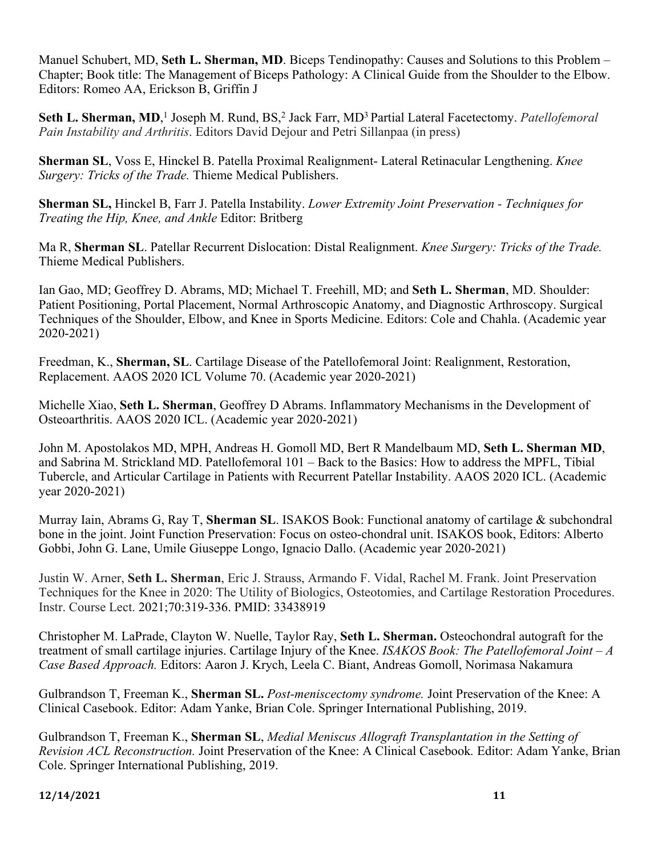Manuel Schubert, MD, **Seth L. Sherman, MD**. Biceps Tendinopathy: Causes and Solutions to this Problem – Chapter; Book title: The Management of Biceps Pathology: A Clinical Guide from the Shoulder to the Elbow. Editors: Romeo AA, Erickson B, Griffin J

Seth L. Sherman, MD,<sup>1</sup> Joseph M. Rund, BS,<sup>2</sup> Jack Farr, MD<sup>3</sup> Partial Lateral Facetectomy. *Patellofemoral Pain Instability and Arthritis*. Editors David Dejour and Petri Sillanpaa (in press)

**Sherman SL**, Voss E, Hinckel B. Patella Proximal Realignment- Lateral Retinacular Lengthening. *Knee Surgery: Tricks of the Trade.* Thieme Medical Publishers.

**Sherman SL,** Hinckel B, Farr J. Patella Instability. *Lower Extremity Joint Preservation - Techniques for Treating the Hip, Knee, and Ankle* Editor: Britberg

Ma R, **Sherman SL**. Patellar Recurrent Dislocation: Distal Realignment. *Knee Surgery: Tricks of the Trade.*  Thieme Medical Publishers.

Ian Gao, MD; Geoffrey D. Abrams, MD; Michael T. Freehill, MD; and **Seth L. Sherman**, MD. Shoulder: Patient Positioning, Portal Placement, Normal Arthroscopic Anatomy, and Diagnostic Arthroscopy. Surgical Techniques of the Shoulder, Elbow, and Knee in Sports Medicine. Editors: Cole and Chahla. (Academic year 2020-2021)

Freedman, K., **Sherman, SL**. Cartilage Disease of the Patellofemoral Joint: Realignment, Restoration, Replacement. AAOS 2020 ICL Volume 70. (Academic year 2020-2021)

Michelle Xiao, **Seth L. Sherman**, Geoffrey D Abrams. Inflammatory Mechanisms in the Development of Osteoarthritis. AAOS 2020 ICL. (Academic year 2020-2021)

John M. Apostolakos MD, MPH, Andreas H. Gomoll MD, Bert R Mandelbaum MD, **Seth L. Sherman MD**, and Sabrina M. Strickland MD. Patellofemoral 101 – Back to the Basics: How to address the MPFL, Tibial Tubercle, and Articular Cartilage in Patients with Recurrent Patellar Instability. AAOS 2020 ICL. (Academic year 2020-2021)

Murray Iain, Abrams G, Ray T, **Sherman SL**. ISAKOS Book: Functional anatomy of cartilage & subchondral bone in the joint. Joint Function Preservation: Focus on osteo-chondral unit. ISAKOS book, Editors: Alberto Gobbi, John G. Lane, Umile Giuseppe Longo, Ignacio Dallo. (Academic year 2020-2021)

Justin W. Arner, **Seth L. Sherman**, Eric J. Strauss, Armando F. Vidal, Rachel M. Frank. Joint Preservation Techniques for the Knee in 2020: The Utility of Biologics, Osteotomies, and Cartilage Restoration Procedures. Instr. Course Lect. 2021;70:319-336. PMID: 33438919

Christopher M. LaPrade, Clayton W. Nuelle, Taylor Ray, **Seth L. Sherman.** Osteochondral autograft for the treatment of small cartilage injuries. Cartilage Injury of the Knee. *ISAKOS Book: The Patellofemoral Joint – A Case Based Approach.* Editors: Aaron J. Krych, Leela C. Biant, Andreas Gomoll, Norimasa Nakamura

Gulbrandson T, Freeman K., **Sherman SL.** *Post-meniscectomy syndrome.* Joint Preservation of the Knee: A Clinical Casebook. Editor: Adam Yanke, Brian Cole. Springer International Publishing, 2019.

Gulbrandson T, Freeman K., **Sherman SL**, *Medial Meniscus Allograft Transplantation in the Setting of Revision ACL Reconstruction.* Joint Preservation of the Knee: A Clinical Casebook*.* Editor: Adam Yanke, Brian Cole. Springer International Publishing, 2019.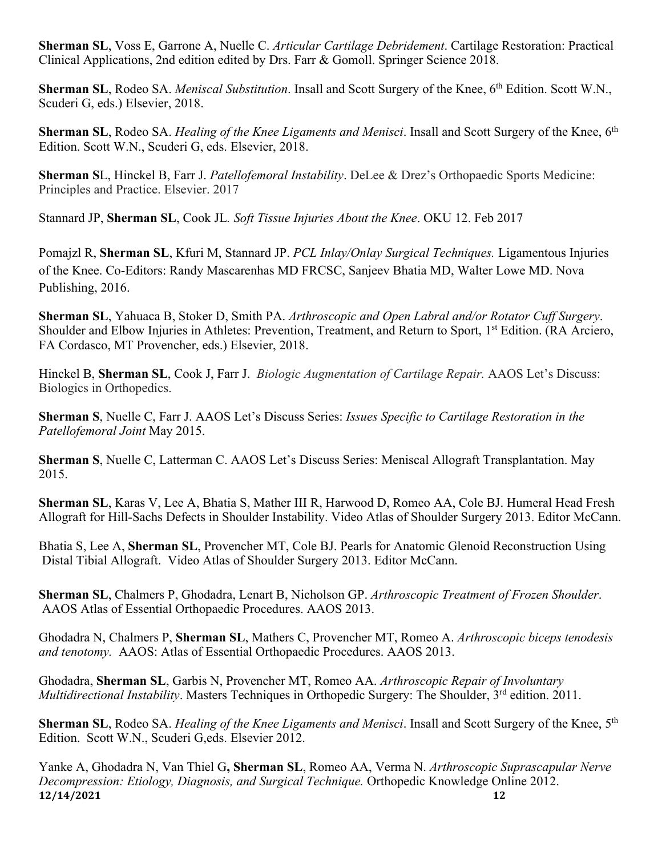**Sherman SL**, Voss E, Garrone A, Nuelle C. *Articular Cartilage Debridement*. Cartilage Restoration: Practical Clinical Applications, 2nd edition edited by Drs. Farr & Gomoll. Springer Science 2018.

**Sherman SL**, Rodeo SA. *Meniscal Substitution*. Insall and Scott Surgery of the Knee, 6th Edition. Scott W.N., Scuderi G, eds.) Elsevier, 2018.

**Sherman SL**, Rodeo SA. *Healing of the Knee Ligaments and Menisci*. Insall and Scott Surgery of the Knee, 6th Edition. Scott W.N., Scuderi G, eds. Elsevier, 2018.

**Sherman S**L, Hinckel B, Farr J. *Patellofemoral Instability*. DeLee & Drez's Orthopaedic Sports Medicine: Principles and Practice. Elsevier. 2017

Stannard JP, **Sherman SL**, Cook JL*. Soft Tissue Injuries About the Knee*. OKU 12. Feb 2017

Pomajzl R, **Sherman SL**, Kfuri M, Stannard JP. *PCL Inlay/Onlay Surgical Techniques.* Ligamentous Injuries of the Knee. Co-Editors: Randy Mascarenhas MD FRCSC, Sanjeev Bhatia MD, Walter Lowe MD. Nova Publishing, 2016.

**Sherman SL**, Yahuaca B, Stoker D, Smith PA. *Arthroscopic and Open Labral and/or Rotator Cuff Surgery*. Shoulder and Elbow Injuries in Athletes: Prevention, Treatment, and Return to Sport, 1<sup>st</sup> Edition. (RA Arciero, FA Cordasco, MT Provencher, eds.) Elsevier, 2018.

Hinckel B, **Sherman SL**, Cook J, Farr J. *Biologic Augmentation of Cartilage Repair.* AAOS Let's Discuss: Biologics in Orthopedics.

**Sherman S**, Nuelle C, Farr J. AAOS Let's Discuss Series: *Issues Specific to Cartilage Restoration in the Patellofemoral Joint* May 2015.

**Sherman S**, Nuelle C, Latterman C. AAOS Let's Discuss Series: Meniscal Allograft Transplantation. May 2015.

**Sherman SL**, Karas V, Lee A, Bhatia S, Mather III R, Harwood D, Romeo AA, Cole BJ. Humeral Head Fresh Allograft for Hill-Sachs Defects in Shoulder Instability. Video Atlas of Shoulder Surgery 2013. Editor McCann.

Bhatia S, Lee A, **Sherman SL**, Provencher MT, Cole BJ. Pearls for Anatomic Glenoid Reconstruction Using Distal Tibial Allograft. Video Atlas of Shoulder Surgery 2013. Editor McCann.

**Sherman SL**, Chalmers P, Ghodadra, Lenart B, Nicholson GP. *Arthroscopic Treatment of Frozen Shoulder*. AAOS Atlas of Essential Orthopaedic Procedures. AAOS 2013.

Ghodadra N, Chalmers P, **Sherman SL**, Mathers C, Provencher MT, Romeo A. *Arthroscopic biceps tenodesis and tenotomy.* AAOS: Atlas of Essential Orthopaedic Procedures. AAOS 2013.

Ghodadra, **Sherman SL**, Garbis N, Provencher MT, Romeo AA. *Arthroscopic Repair of Involuntary Multidirectional Instability*. Masters Techniques in Orthopedic Surgery: The Shoulder, 3<sup>rd</sup> edition. 2011.

**Sherman SL**, Rodeo SA. *Healing of the Knee Ligaments and Menisci*. Insall and Scott Surgery of the Knee, 5th Edition. Scott W.N., Scuderi G,eds. Elsevier 2012.

**12/14/2021 12** Yanke A, Ghodadra N, Van Thiel G**, Sherman SL**, Romeo AA, Verma N. *Arthroscopic Suprascapular Nerve Decompression: Etiology, Diagnosis, and Surgical Technique.* Orthopedic Knowledge Online 2012.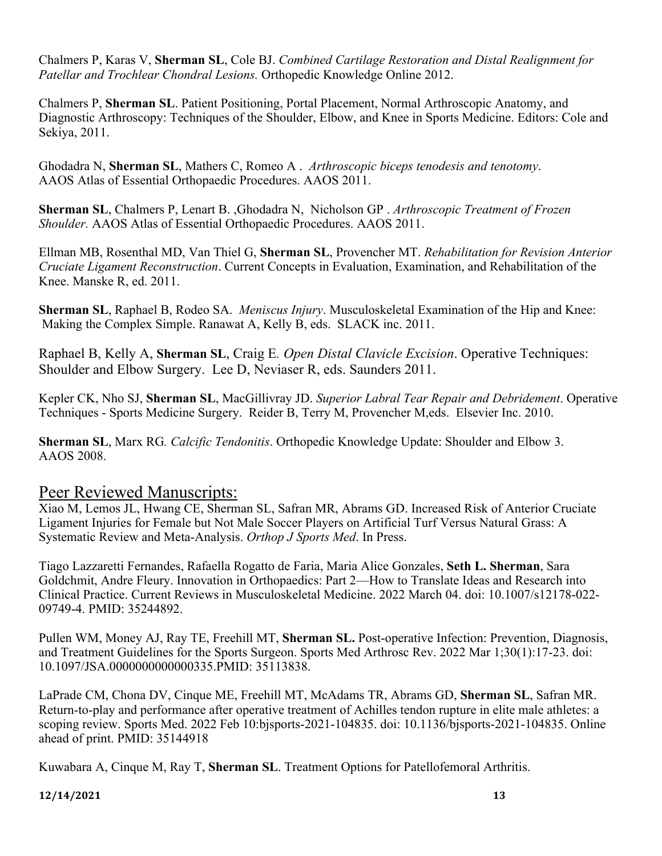Chalmers P, Karas V, **Sherman SL**, Cole BJ. *Combined Cartilage Restoration and Distal Realignment for Patellar and Trochlear Chondral Lesions.* Orthopedic Knowledge Online 2012.

Chalmers P, **Sherman SL**. Patient Positioning, Portal Placement, Normal Arthroscopic Anatomy, and Diagnostic Arthroscopy: Techniques of the Shoulder, Elbow, and Knee in Sports Medicine. Editors: Cole and Sekiya, 2011.

Ghodadra N, **Sherman SL**, Mathers C, Romeo A . *Arthroscopic biceps tenodesis and tenotomy*. AAOS Atlas of Essential Orthopaedic Procedures. AAOS 2011.

**Sherman SL**, Chalmers P, Lenart B. ,Ghodadra N, Nicholson GP . *Arthroscopic Treatment of Frozen Shoulder.* AAOS Atlas of Essential Orthopaedic Procedures. AAOS 2011.

Ellman MB, Rosenthal MD, Van Thiel G, **Sherman SL**, Provencher MT. *Rehabilitation for Revision Anterior Cruciate Ligament Reconstruction*. Current Concepts in Evaluation, Examination, and Rehabilitation of the Knee. Manske R, ed. 2011.

**Sherman SL**, Raphael B, Rodeo SA. *Meniscus Injury*. Musculoskeletal Examination of the Hip and Knee: Making the Complex Simple. Ranawat A, Kelly B, eds. SLACK inc. 2011.

Raphael B, Kelly A, **Sherman SL**, Craig E*. Open Distal Clavicle Excision*. Operative Techniques: Shoulder and Elbow Surgery. Lee D, Neviaser R, eds. Saunders 2011.

Kepler CK, Nho SJ, **Sherman SL**, MacGillivray JD. *Superior Labral Tear Repair and Debridement*. Operative Techniques - Sports Medicine Surgery. Reider B, Terry M, Provencher M,eds. Elsevier Inc. 2010.

**Sherman SL**, Marx RG*. Calcific Tendonitis*. Orthopedic Knowledge Update: Shoulder and Elbow 3. AAOS 2008.

## Peer Reviewed Manuscripts:

Xiao M, Lemos JL, Hwang CE, Sherman SL, Safran MR, Abrams GD. Increased Risk of Anterior Cruciate Ligament Injuries for Female but Not Male Soccer Players on Artificial Turf Versus Natural Grass: A Systematic Review and Meta-Analysis. *Orthop J Sports Med*. In Press.

Tiago Lazzaretti Fernandes, Rafaella Rogatto de Faria, Maria Alice Gonzales, **Seth L. Sherman**, Sara Goldchmit, Andre Fleury. Innovation in Orthopaedics: Part 2—How to Translate Ideas and Research into Clinical Practice. Current Reviews in Musculoskeletal Medicine. 2022 March 04. doi: 10.1007/s12178-022- 09749-4. PMID: 35244892.

Pullen WM, Money AJ, Ray TE, Freehill MT, **Sherman SL.** Post-operative Infection: Prevention, Diagnosis, and Treatment Guidelines for the Sports Surgeon. Sports Med Arthrosc Rev. 2022 Mar 1;30(1):17-23. doi: 10.1097/JSA.0000000000000335.PMID: 35113838.

LaPrade CM, Chona DV, Cinque ME, Freehill MT, McAdams TR, Abrams GD, **Sherman SL**, Safran MR. Return-to-play and performance after operative treatment of Achilles tendon rupture in elite male athletes: a scoping review. Sports Med. 2022 Feb 10:bjsports-2021-104835. doi: 10.1136/bjsports-2021-104835. Online ahead of print. PMID: 35144918

Kuwabara A, Cinque M, Ray T, **Sherman SL**. Treatment Options for Patellofemoral Arthritis.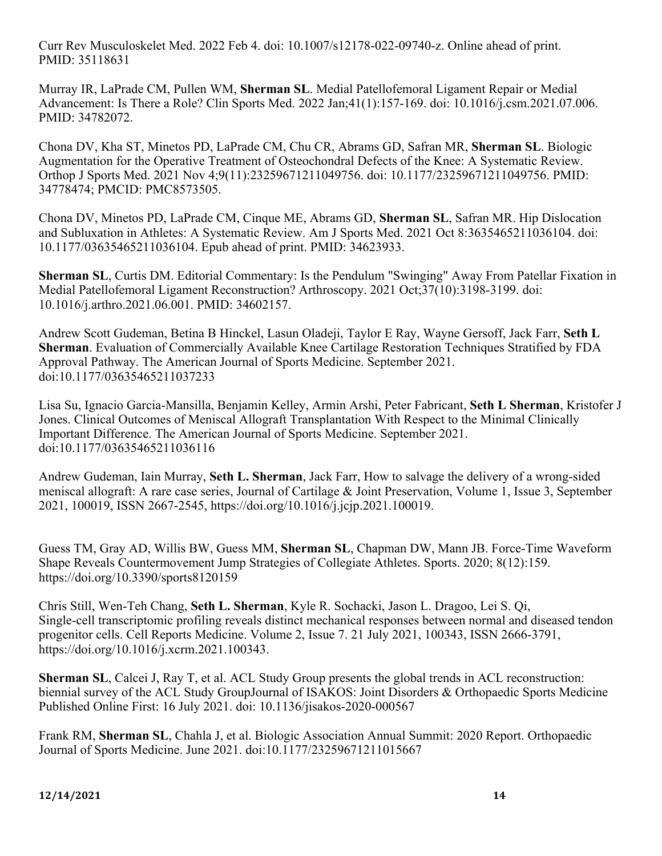Curr Rev Musculoskelet Med. 2022 Feb 4. doi: 10.1007/s12178-022-09740-z. Online ahead of print. PMID: 35118631

Murray IR, LaPrade CM, Pullen WM, **Sherman SL**. Medial Patellofemoral Ligament Repair or Medial Advancement: Is There a Role? Clin Sports Med. 2022 Jan;41(1):157-169. doi: 10.1016/j.csm.2021.07.006. PMID: 34782072.

Chona DV, Kha ST, Minetos PD, LaPrade CM, Chu CR, Abrams GD, Safran MR, **Sherman SL**. Biologic Augmentation for the Operative Treatment of Osteochondral Defects of the Knee: A Systematic Review. Orthop J Sports Med. 2021 Nov 4;9(11):23259671211049756. doi: 10.1177/23259671211049756. PMID: 34778474; PMCID: PMC8573505.

Chona DV, Minetos PD, LaPrade CM, Cinque ME, Abrams GD, **Sherman SL**, Safran MR. Hip Dislocation and Subluxation in Athletes: A Systematic Review. Am J Sports Med. 2021 Oct 8:3635465211036104. doi: 10.1177/03635465211036104. Epub ahead of print. PMID: 34623933.

**Sherman SL**, Curtis DM. Editorial Commentary: Is the Pendulum "Swinging" Away From Patellar Fixation in Medial Patellofemoral Ligament Reconstruction? Arthroscopy. 2021 Oct;37(10):3198-3199. doi: 10.1016/j.arthro.2021.06.001. PMID: 34602157.

Andrew Scott Gudeman, Betina B Hinckel, Lasun Oladeji, Taylor E Ray, Wayne Gersoff, Jack Farr, **Seth L Sherman**. Evaluation of Commercially Available Knee Cartilage Restoration Techniques Stratified by FDA Approval Pathway. The American Journal of Sports Medicine. September 2021. doi:10.1177/03635465211037233

Lisa Su, Ignacio Garcia-Mansilla, Benjamin Kelley, Armin Arshi, Peter Fabricant, **Seth L Sherman**, Kristofer J Jones. Clinical Outcomes of Meniscal Allograft Transplantation With Respect to the Minimal Clinically Important Difference. The American Journal of Sports Medicine. September 2021. doi:10.1177/03635465211036116

Andrew Gudeman, Iain Murray, **Seth L. Sherman**, Jack Farr, How to salvage the delivery of a wrong-sided meniscal allograft: A rare case series, Journal of Cartilage & Joint Preservation, Volume 1, Issue 3, September 2021, 100019, ISSN 2667-2545, https://doi.org/10.1016/j.jcjp.2021.100019.

Guess TM, Gray AD, Willis BW, Guess MM, **Sherman SL**, Chapman DW, Mann JB. Force-Time Waveform Shape Reveals Countermovement Jump Strategies of Collegiate Athletes. Sports. 2020; 8(12):159. https://doi.org/10.3390/sports8120159

Chris Still, Wen-Teh Chang, **Seth L. Sherman**, Kyle R. Sochacki, Jason L. Dragoo, Lei S. Qi, Single-cell transcriptomic profiling reveals distinct mechanical responses between normal and diseased tendon progenitor cells. Cell Reports Medicine. Volume 2, Issue 7. 21 July 2021, 100343, ISSN 2666-3791, https://doi.org/10.1016/j.xcrm.2021.100343.

**Sherman SL**, Calcei J, Ray T, et al. ACL Study Group presents the global trends in ACL reconstruction: biennial survey of the ACL Study GroupJournal of ISAKOS: Joint Disorders & Orthopaedic Sports Medicine Published Online First: 16 July 2021. doi: 10.1136/jisakos-2020-000567

Frank RM, **Sherman SL**, Chahla J, et al. Biologic Association Annual Summit: 2020 Report. Orthopaedic Journal of Sports Medicine. June 2021. doi:10.1177/23259671211015667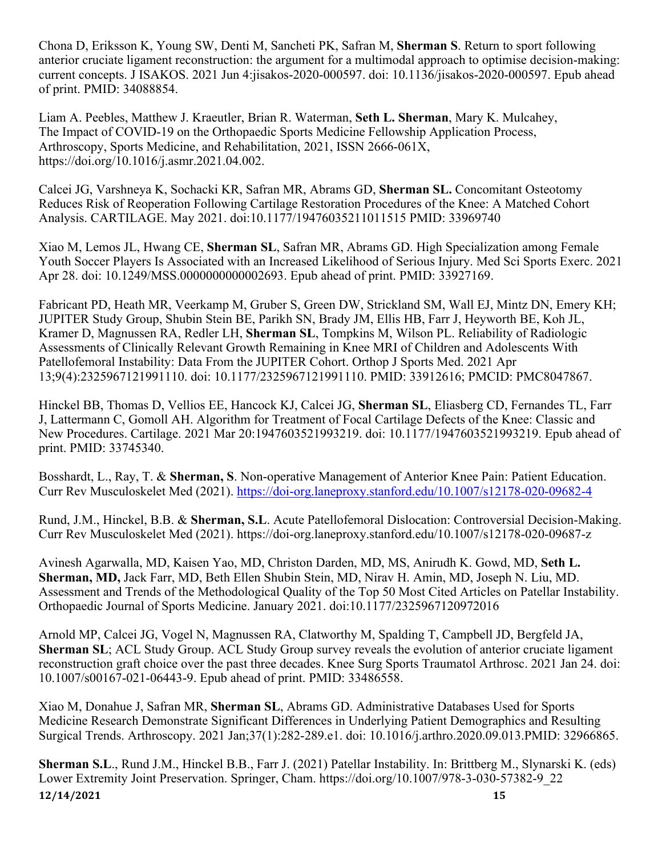Chona D, Eriksson K, Young SW, Denti M, Sancheti PK, Safran M, **Sherman S**. Return to sport following anterior cruciate ligament reconstruction: the argument for a multimodal approach to optimise decision-making: current concepts. J ISAKOS. 2021 Jun 4:jisakos-2020-000597. doi: 10.1136/jisakos-2020-000597. Epub ahead of print. PMID: 34088854.

Liam A. Peebles, Matthew J. Kraeutler, Brian R. Waterman, **Seth L. Sherman**, Mary K. Mulcahey, The Impact of COVID-19 on the Orthopaedic Sports Medicine Fellowship Application Process, Arthroscopy, Sports Medicine, and Rehabilitation, 2021, ISSN 2666-061X, https://doi.org/10.1016/j.asmr.2021.04.002.

Calcei JG, Varshneya K, Sochacki KR, Safran MR, Abrams GD, **Sherman SL.** Concomitant Osteotomy Reduces Risk of Reoperation Following Cartilage Restoration Procedures of the Knee: A Matched Cohort Analysis. CARTILAGE. May 2021. doi:10.1177/19476035211011515 PMID: 33969740

Xiao M, Lemos JL, Hwang CE, **Sherman SL**, Safran MR, Abrams GD. High Specialization among Female Youth Soccer Players Is Associated with an Increased Likelihood of Serious Injury. Med Sci Sports Exerc. 2021 Apr 28. doi: 10.1249/MSS.0000000000002693. Epub ahead of print. PMID: 33927169.

Fabricant PD, Heath MR, Veerkamp M, Gruber S, Green DW, Strickland SM, Wall EJ, Mintz DN, Emery KH; JUPITER Study Group, Shubin Stein BE, Parikh SN, Brady JM, Ellis HB, Farr J, Heyworth BE, Koh JL, Kramer D, Magnussen RA, Redler LH, **Sherman SL**, Tompkins M, Wilson PL. Reliability of Radiologic Assessments of Clinically Relevant Growth Remaining in Knee MRI of Children and Adolescents With Patellofemoral Instability: Data From the JUPITER Cohort. Orthop J Sports Med. 2021 Apr 13;9(4):2325967121991110. doi: 10.1177/2325967121991110. PMID: 33912616; PMCID: PMC8047867.

Hinckel BB, Thomas D, Vellios EE, Hancock KJ, Calcei JG, **Sherman SL**, Eliasberg CD, Fernandes TL, Farr J, Lattermann C, Gomoll AH. Algorithm for Treatment of Focal Cartilage Defects of the Knee: Classic and New Procedures. Cartilage. 2021 Mar 20:1947603521993219. doi: 10.1177/1947603521993219. Epub ahead of print. PMID: 33745340.

Bosshardt, L., Ray, T. & **Sherman, S**. Non-operative Management of Anterior Knee Pain: Patient Education. Curr Rev Musculoskelet Med (2021). https://doi-org.laneproxy.stanford.edu/10.1007/s12178-020-09682-4

Rund, J.M., Hinckel, B.B. & **Sherman, S.L**. Acute Patellofemoral Dislocation: Controversial Decision-Making. Curr Rev Musculoskelet Med (2021). https://doi-org.laneproxy.stanford.edu/10.1007/s12178-020-09687-z

Avinesh Agarwalla, MD, Kaisen Yao, MD, Christon Darden, MD, MS, Anirudh K. Gowd, MD, **Seth L. Sherman, MD,** Jack Farr, MD, Beth Ellen Shubin Stein, MD, Nirav H. Amin, MD, Joseph N. Liu, MD. Assessment and Trends of the Methodological Quality of the Top 50 Most Cited Articles on Patellar Instability. Orthopaedic Journal of Sports Medicine. January 2021. doi:10.1177/2325967120972016

Arnold MP, Calcei JG, Vogel N, Magnussen RA, Clatworthy M, Spalding T, Campbell JD, Bergfeld JA, **Sherman SL**; ACL Study Group. ACL Study Group survey reveals the evolution of anterior cruciate ligament reconstruction graft choice over the past three decades. Knee Surg Sports Traumatol Arthrosc. 2021 Jan 24. doi: 10.1007/s00167-021-06443-9. Epub ahead of print. PMID: 33486558.

Xiao M, Donahue J, Safran MR, **Sherman SL**, Abrams GD. Administrative Databases Used for Sports Medicine Research Demonstrate Significant Differences in Underlying Patient Demographics and Resulting Surgical Trends. Arthroscopy. 2021 Jan;37(1):282-289.e1. doi: 10.1016/j.arthro.2020.09.013.PMID: 32966865.

**12/14/2021 15 Sherman S.L**., Rund J.M., Hinckel B.B., Farr J. (2021) Patellar Instability. In: Brittberg M., Slynarski K. (eds) Lower Extremity Joint Preservation. Springer, Cham. https://doi.org/10.1007/978-3-030-57382-9\_22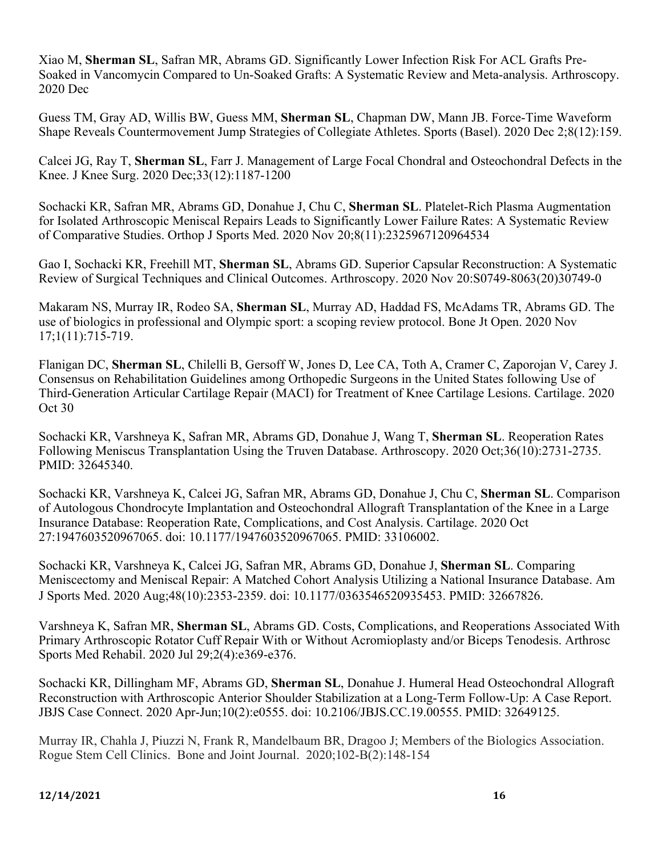Xiao M, **Sherman SL**, Safran MR, Abrams GD. Significantly Lower Infection Risk For ACL Grafts Pre-Soaked in Vancomycin Compared to Un-Soaked Grafts: A Systematic Review and Meta-analysis. Arthroscopy. 2020 Dec

Guess TM, Gray AD, Willis BW, Guess MM, **Sherman SL**, Chapman DW, Mann JB. Force-Time Waveform Shape Reveals Countermovement Jump Strategies of Collegiate Athletes. Sports (Basel). 2020 Dec 2;8(12):159.

Calcei JG, Ray T, **Sherman SL**, Farr J. Management of Large Focal Chondral and Osteochondral Defects in the Knee. J Knee Surg. 2020 Dec;33(12):1187-1200

Sochacki KR, Safran MR, Abrams GD, Donahue J, Chu C, **Sherman SL**. Platelet-Rich Plasma Augmentation for Isolated Arthroscopic Meniscal Repairs Leads to Significantly Lower Failure Rates: A Systematic Review of Comparative Studies. Orthop J Sports Med. 2020 Nov 20;8(11):2325967120964534

Gao I, Sochacki KR, Freehill MT, **Sherman SL**, Abrams GD. Superior Capsular Reconstruction: A Systematic Review of Surgical Techniques and Clinical Outcomes. Arthroscopy. 2020 Nov 20:S0749-8063(20)30749-0

Makaram NS, Murray IR, Rodeo SA, **Sherman SL**, Murray AD, Haddad FS, McAdams TR, Abrams GD. The use of biologics in professional and Olympic sport: a scoping review protocol. Bone Jt Open. 2020 Nov 17;1(11):715-719.

Flanigan DC, **Sherman SL**, Chilelli B, Gersoff W, Jones D, Lee CA, Toth A, Cramer C, Zaporojan V, Carey J. Consensus on Rehabilitation Guidelines among Orthopedic Surgeons in the United States following Use of Third-Generation Articular Cartilage Repair (MACI) for Treatment of Knee Cartilage Lesions. Cartilage. 2020 Oct 30

Sochacki KR, Varshneya K, Safran MR, Abrams GD, Donahue J, Wang T, **Sherman SL**. Reoperation Rates Following Meniscus Transplantation Using the Truven Database. Arthroscopy. 2020 Oct;36(10):2731-2735. PMID: 32645340.

Sochacki KR, Varshneya K, Calcei JG, Safran MR, Abrams GD, Donahue J, Chu C, **Sherman SL**. Comparison of Autologous Chondrocyte Implantation and Osteochondral Allograft Transplantation of the Knee in a Large Insurance Database: Reoperation Rate, Complications, and Cost Analysis. Cartilage. 2020 Oct 27:1947603520967065. doi: 10.1177/1947603520967065. PMID: 33106002.

Sochacki KR, Varshneya K, Calcei JG, Safran MR, Abrams GD, Donahue J, **Sherman SL**. Comparing Meniscectomy and Meniscal Repair: A Matched Cohort Analysis Utilizing a National Insurance Database. Am J Sports Med. 2020 Aug;48(10):2353-2359. doi: 10.1177/0363546520935453. PMID: 32667826.

Varshneya K, Safran MR, **Sherman SL**, Abrams GD. Costs, Complications, and Reoperations Associated With Primary Arthroscopic Rotator Cuff Repair With or Without Acromioplasty and/or Biceps Tenodesis. Arthrosc Sports Med Rehabil. 2020 Jul 29;2(4):e369-e376.

Sochacki KR, Dillingham MF, Abrams GD, **Sherman SL**, Donahue J. Humeral Head Osteochondral Allograft Reconstruction with Arthroscopic Anterior Shoulder Stabilization at a Long-Term Follow-Up: A Case Report. JBJS Case Connect. 2020 Apr-Jun;10(2):e0555. doi: 10.2106/JBJS.CC.19.00555. PMID: 32649125.

Murray IR, Chahla J, Piuzzi N, Frank R, Mandelbaum BR, Dragoo J; Members of the Biologics Association. Rogue Stem Cell Clinics. Bone and Joint Journal. 2020;102-B(2):148-154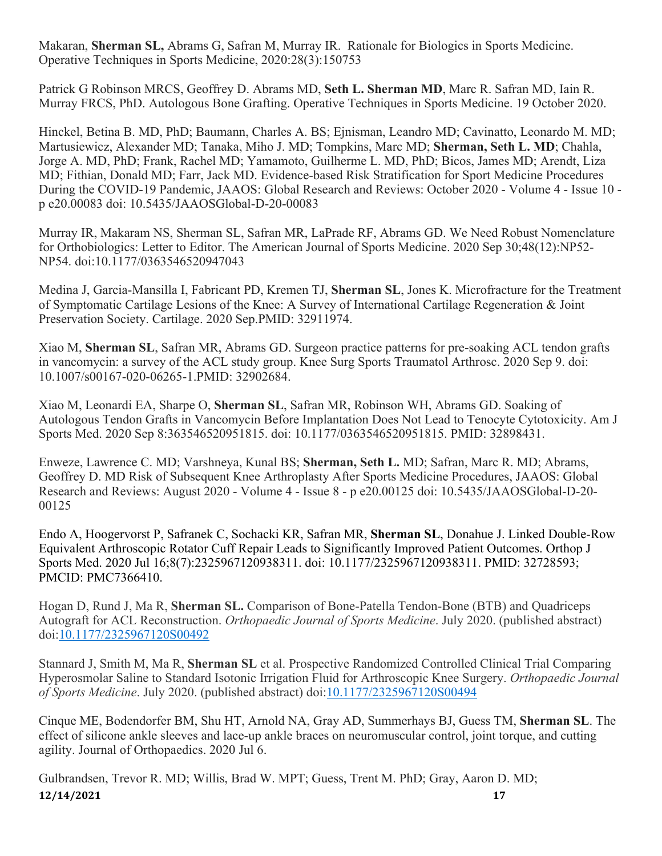Makaran, **Sherman SL,** Abrams G, Safran M, Murray IR. Rationale for Biologics in Sports Medicine. Operative Techniques in Sports Medicine, 2020:28(3):150753

Patrick G Robinson MRCS, Geoffrey D. Abrams MD, **Seth L. Sherman MD**, Marc R. Safran MD, Iain R. Murray FRCS, PhD. Autologous Bone Grafting. Operative Techniques in Sports Medicine. 19 October 2020.

Hinckel, Betina B. MD, PhD; Baumann, Charles A. BS; Ejnisman, Leandro MD; Cavinatto, Leonardo M. MD; Martusiewicz, Alexander MD; Tanaka, Miho J. MD; Tompkins, Marc MD; **Sherman, Seth L. MD**; Chahla, Jorge A. MD, PhD; Frank, Rachel MD; Yamamoto, Guilherme L. MD, PhD; Bicos, James MD; Arendt, Liza MD; Fithian, Donald MD; Farr, Jack MD. Evidence-based Risk Stratification for Sport Medicine Procedures During the COVID-19 Pandemic, JAAOS: Global Research and Reviews: October 2020 - Volume 4 - Issue 10 p e20.00083 doi: 10.5435/JAAOSGlobal-D-20-00083

Murray IR, Makaram NS, Sherman SL, Safran MR, LaPrade RF, Abrams GD. We Need Robust Nomenclature for Orthobiologics: Letter to Editor. The American Journal of Sports Medicine. 2020 Sep 30;48(12):NP52- NP54. doi:10.1177/0363546520947043

Medina J, Garcia-Mansilla I, Fabricant PD, Kremen TJ, **Sherman SL**, Jones K. Microfracture for the Treatment of Symptomatic Cartilage Lesions of the Knee: A Survey of International Cartilage Regeneration & Joint Preservation Society. Cartilage. 2020 Sep.PMID: 32911974.

Xiao M, **Sherman SL**, Safran MR, Abrams GD. Surgeon practice patterns for pre-soaking ACL tendon grafts in vancomycin: a survey of the ACL study group. Knee Surg Sports Traumatol Arthrosc. 2020 Sep 9. doi: 10.1007/s00167-020-06265-1.PMID: 32902684.

Xiao M, Leonardi EA, Sharpe O, **Sherman SL**, Safran MR, Robinson WH, Abrams GD. Soaking of Autologous Tendon Grafts in Vancomycin Before Implantation Does Not Lead to Tenocyte Cytotoxicity. Am J Sports Med. 2020 Sep 8:363546520951815. doi: 10.1177/0363546520951815. PMID: 32898431.

Enweze, Lawrence C. MD; Varshneya, Kunal BS; **Sherman, Seth L.** MD; Safran, Marc R. MD; Abrams, Geoffrey D. MD Risk of Subsequent Knee Arthroplasty After Sports Medicine Procedures, JAAOS: Global Research and Reviews: August 2020 - Volume 4 - Issue 8 - p e20.00125 doi: 10.5435/JAAOSGlobal-D-20- 00125

Endo A, Hoogervorst P, Safranek C, Sochacki KR, Safran MR, **Sherman SL**, Donahue J. Linked Double-Row Equivalent Arthroscopic Rotator Cuff Repair Leads to Significantly Improved Patient Outcomes. Orthop J Sports Med. 2020 Jul 16;8(7):2325967120938311. doi: 10.1177/2325967120938311. PMID: 32728593; PMCID: PMC7366410.

Hogan D, Rund J, Ma R, **Sherman SL.** Comparison of Bone-Patella Tendon-Bone (BTB) and Quadriceps Autograft for ACL Reconstruction. *Orthopaedic Journal of Sports Medicine*. July 2020. (published abstract) doi:10.1177/2325967120S00492

Stannard J, Smith M, Ma R, **Sherman SL** et al. Prospective Randomized Controlled Clinical Trial Comparing Hyperosmolar Saline to Standard Isotonic Irrigation Fluid for Arthroscopic Knee Surgery. *Orthopaedic Journal of Sports Medicine*. July 2020. (published abstract) doi:10.1177/2325967120S00494

Cinque ME, Bodendorfer BM, Shu HT, Arnold NA, Gray AD, Summerhays BJ, Guess TM, **Sherman SL**. The effect of silicone ankle sleeves and lace-up ankle braces on neuromuscular control, joint torque, and cutting agility. Journal of Orthopaedics. 2020 Jul 6.

**12/14/2021 17** Gulbrandsen, Trevor R. MD; Willis, Brad W. MPT; Guess, Trent M. PhD; Gray, Aaron D. MD;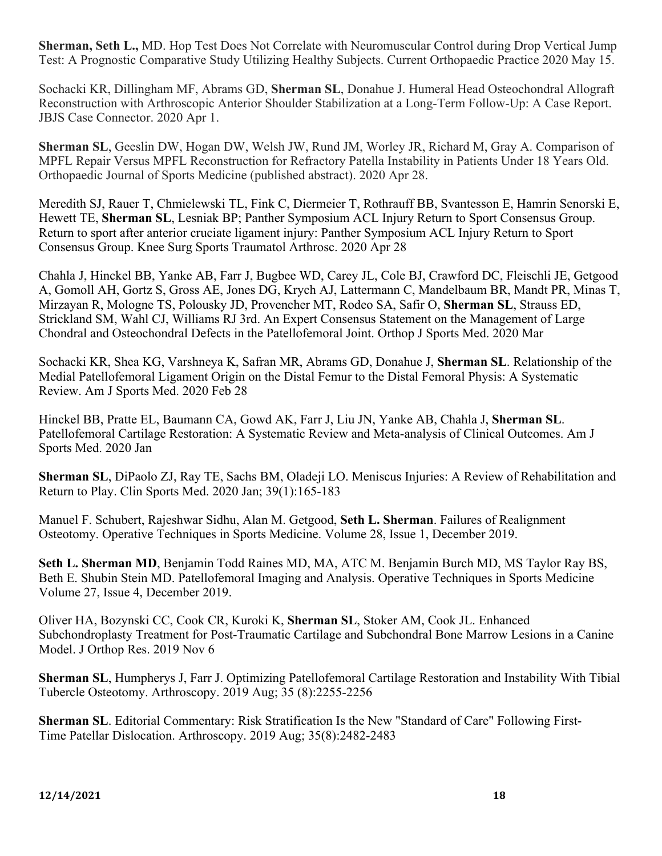**Sherman, Seth L.,** MD. Hop Test Does Not Correlate with Neuromuscular Control during Drop Vertical Jump Test: A Prognostic Comparative Study Utilizing Healthy Subjects. Current Orthopaedic Practice 2020 May 15.

Sochacki KR, Dillingham MF, Abrams GD, **Sherman SL**, Donahue J. Humeral Head Osteochondral Allograft Reconstruction with Arthroscopic Anterior Shoulder Stabilization at a Long-Term Follow-Up: A Case Report. JBJS Case Connector. 2020 Apr 1.

**Sherman SL**, Geeslin DW, Hogan DW, Welsh JW, Rund JM, Worley JR, Richard M, Gray A. Comparison of MPFL Repair Versus MPFL Reconstruction for Refractory Patella Instability in Patients Under 18 Years Old. Orthopaedic Journal of Sports Medicine (published abstract). 2020 Apr 28.

Meredith SJ, Rauer T, Chmielewski TL, Fink C, Diermeier T, Rothrauff BB, Svantesson E, Hamrin Senorski E, Hewett TE, **Sherman SL**, Lesniak BP; Panther Symposium ACL Injury Return to Sport Consensus Group. Return to sport after anterior cruciate ligament injury: Panther Symposium ACL Injury Return to Sport Consensus Group. Knee Surg Sports Traumatol Arthrosc. 2020 Apr 28

Chahla J, Hinckel BB, Yanke AB, Farr J, Bugbee WD, Carey JL, Cole BJ, Crawford DC, Fleischli JE, Getgood A, Gomoll AH, Gortz S, Gross AE, Jones DG, Krych AJ, Lattermann C, Mandelbaum BR, Mandt PR, Minas T, Mirzayan R, Mologne TS, Polousky JD, Provencher MT, Rodeo SA, Safir O, **Sherman SL**, Strauss ED, Strickland SM, Wahl CJ, Williams RJ 3rd. An Expert Consensus Statement on the Management of Large Chondral and Osteochondral Defects in the Patellofemoral Joint. Orthop J Sports Med. 2020 Mar

Sochacki KR, Shea KG, Varshneya K, Safran MR, Abrams GD, Donahue J, **Sherman SL**. Relationship of the Medial Patellofemoral Ligament Origin on the Distal Femur to the Distal Femoral Physis: A Systematic Review. Am J Sports Med. 2020 Feb 28

Hinckel BB, Pratte EL, Baumann CA, Gowd AK, Farr J, Liu JN, Yanke AB, Chahla J, **Sherman SL**. Patellofemoral Cartilage Restoration: A Systematic Review and Meta-analysis of Clinical Outcomes. Am J Sports Med. 2020 Jan

**Sherman SL**, DiPaolo ZJ, Ray TE, Sachs BM, Oladeji LO. Meniscus Injuries: A Review of Rehabilitation and Return to Play. Clin Sports Med. 2020 Jan; 39(1):165-183

Manuel F. Schubert, Rajeshwar Sidhu, Alan M. Getgood, **Seth L. Sherman**. Failures of Realignment Osteotomy. Operative Techniques in Sports Medicine. Volume 28, Issue 1, December 2019.

**Seth L. Sherman MD**, Benjamin Todd Raines MD, MA, ATC M. Benjamin Burch MD, MS Taylor Ray BS, Beth E. Shubin Stein MD. Patellofemoral Imaging and Analysis. Operative Techniques in Sports Medicine Volume 27, Issue 4, December 2019.

Oliver HA, Bozynski CC, Cook CR, Kuroki K, **Sherman SL**, Stoker AM, Cook JL. Enhanced Subchondroplasty Treatment for Post-Traumatic Cartilage and Subchondral Bone Marrow Lesions in a Canine Model. J Orthop Res. 2019 Nov 6

**Sherman SL**, Humpherys J, Farr J. Optimizing Patellofemoral Cartilage Restoration and Instability With Tibial Tubercle Osteotomy. Arthroscopy. 2019 Aug; 35 (8):2255-2256

**Sherman SL**. Editorial Commentary: Risk Stratification Is the New "Standard of Care" Following First-Time Patellar Dislocation. Arthroscopy. 2019 Aug; 35(8):2482-2483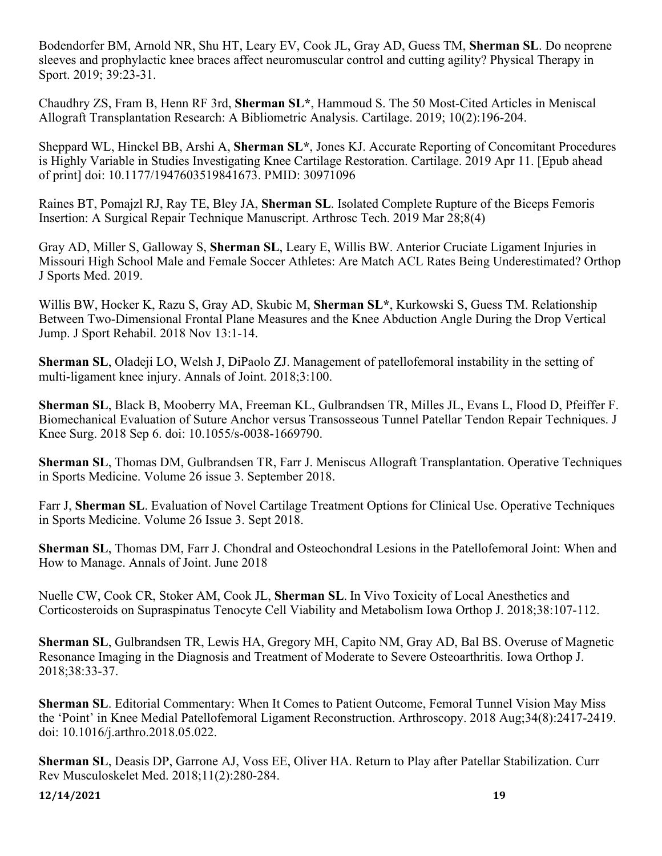Bodendorfer BM, Arnold NR, Shu HT, Leary EV, Cook JL, Gray AD, Guess TM, **Sherman SL**. Do neoprene sleeves and prophylactic knee braces affect neuromuscular control and cutting agility? Physical Therapy in Sport. 2019; 39:23-31.

Chaudhry ZS, Fram B, Henn RF 3rd, **Sherman SL\***, Hammoud S. The 50 Most-Cited Articles in Meniscal Allograft Transplantation Research: A Bibliometric Analysis. Cartilage. 2019; 10(2):196-204.

Sheppard WL, Hinckel BB, Arshi A, **Sherman SL\***, Jones KJ. Accurate Reporting of Concomitant Procedures is Highly Variable in Studies Investigating Knee Cartilage Restoration. Cartilage. 2019 Apr 11. [Epub ahead of print] doi: 10.1177/1947603519841673. PMID: 30971096

Raines BT, Pomajzl RJ, Ray TE, Bley JA, **Sherman SL**. Isolated Complete Rupture of the Biceps Femoris Insertion: A Surgical Repair Technique Manuscript. Arthrosc Tech. 2019 Mar 28;8(4)

Gray AD, Miller S, Galloway S, **Sherman SL**, Leary E, Willis BW. Anterior Cruciate Ligament Injuries in Missouri High School Male and Female Soccer Athletes: Are Match ACL Rates Being Underestimated? Orthop J Sports Med. 2019.

Willis BW, Hocker K, Razu S, Gray AD, Skubic M, **Sherman SL\***, Kurkowski S, Guess TM. Relationship Between Two-Dimensional Frontal Plane Measures and the Knee Abduction Angle During the Drop Vertical Jump. J Sport Rehabil. 2018 Nov 13:1-14.

**Sherman SL**, Oladeji LO, Welsh J, DiPaolo ZJ. Management of patellofemoral instability in the setting of multi-ligament knee injury. Annals of Joint. 2018;3:100.

**Sherman SL**, Black B, Mooberry MA, Freeman KL, Gulbrandsen TR, Milles JL, Evans L, Flood D, Pfeiffer F. Biomechanical Evaluation of Suture Anchor versus Transosseous Tunnel Patellar Tendon Repair Techniques. J Knee Surg. 2018 Sep 6. doi: 10.1055/s-0038-1669790.

**Sherman SL**, Thomas DM, Gulbrandsen TR, Farr J. Meniscus Allograft Transplantation. Operative Techniques in Sports Medicine. Volume 26 issue 3. September 2018.

Farr J, **Sherman SL**. Evaluation of Novel Cartilage Treatment Options for Clinical Use. Operative Techniques in Sports Medicine. Volume 26 Issue 3. Sept 2018.

**Sherman SL**, Thomas DM, Farr J. Chondral and Osteochondral Lesions in the Patellofemoral Joint: When and How to Manage. Annals of Joint. June 2018

Nuelle CW, Cook CR, Stoker AM, Cook JL, **Sherman SL**. In Vivo Toxicity of Local Anesthetics and Corticosteroids on Supraspinatus Tenocyte Cell Viability and Metabolism Iowa Orthop J. 2018;38:107-112.

**Sherman SL**, Gulbrandsen TR, Lewis HA, Gregory MH, Capito NM, Gray AD, Bal BS. Overuse of Magnetic Resonance Imaging in the Diagnosis and Treatment of Moderate to Severe Osteoarthritis. Iowa Orthop J. 2018;38:33-37.

**Sherman SL**. Editorial Commentary: When It Comes to Patient Outcome, Femoral Tunnel Vision May Miss the 'Point' in Knee Medial Patellofemoral Ligament Reconstruction. Arthroscopy. 2018 Aug;34(8):2417-2419. doi: 10.1016/j.arthro.2018.05.022.

**Sherman SL**, Deasis DP, Garrone AJ, Voss EE, Oliver HA. Return to Play after Patellar Stabilization. Curr Rev Musculoskelet Med. 2018;11(2):280-284.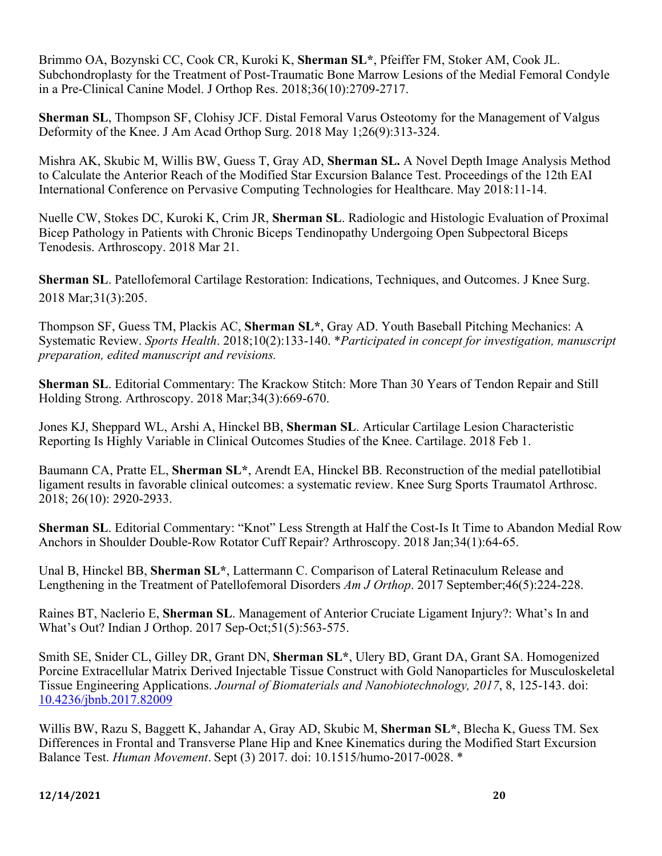Brimmo OA, Bozynski CC, Cook CR, Kuroki K, **Sherman SL\***, Pfeiffer FM, Stoker AM, Cook JL. Subchondroplasty for the Treatment of Post-Traumatic Bone Marrow Lesions of the Medial Femoral Condyle in a Pre-Clinical Canine Model. J Orthop Res. 2018;36(10):2709-2717.

**Sherman SL**, Thompson SF, Clohisy JCF. Distal Femoral Varus Osteotomy for the Management of Valgus Deformity of the Knee. J Am Acad Orthop Surg. 2018 May 1;26(9):313-324.

Mishra AK, Skubic M, Willis BW, Guess T, Gray AD, **Sherman SL.** A Novel Depth Image Analysis Method to Calculate the Anterior Reach of the Modified Star Excursion Balance Test. Proceedings of the 12th EAI International Conference on Pervasive Computing Technologies for Healthcare. May 2018:11-14.

Nuelle CW, Stokes DC, Kuroki K, Crim JR, **Sherman SL**. Radiologic and Histologic Evaluation of Proximal Bicep Pathology in Patients with Chronic Biceps Tendinopathy Undergoing Open Subpectoral Biceps Tenodesis. Arthroscopy. 2018 Mar 21.

**Sherman SL**. Patellofemoral Cartilage Restoration: Indications, Techniques, and Outcomes. J Knee Surg. 2018 Mar;31(3):205.

Thompson SF, Guess TM, Plackis AC, **Sherman SL\***, Gray AD. Youth Baseball Pitching Mechanics: A Systematic Review. *Sports Health*. 2018;10(2):133-140. \**Participated in concept for investigation, manuscript preparation, edited manuscript and revisions.*

**Sherman SL**. Editorial Commentary: The Krackow Stitch: More Than 30 Years of Tendon Repair and Still Holding Strong. Arthroscopy. 2018 Mar;34(3):669-670.

Jones KJ, Sheppard WL, Arshi A, Hinckel BB, **Sherman SL**. Articular Cartilage Lesion Characteristic Reporting Is Highly Variable in Clinical Outcomes Studies of the Knee. Cartilage. 2018 Feb 1.

Baumann CA, Pratte EL, **Sherman SL\***, Arendt EA, Hinckel BB. Reconstruction of the medial patellotibial ligament results in favorable clinical outcomes: a systematic review. Knee Surg Sports Traumatol Arthrosc. 2018; 26(10): 2920-2933.

**Sherman SL**. Editorial Commentary: "Knot" Less Strength at Half the Cost-Is It Time to Abandon Medial Row Anchors in Shoulder Double-Row Rotator Cuff Repair? Arthroscopy. 2018 Jan;34(1):64-65.

Unal B, Hinckel BB, **Sherman SL\***, Lattermann C. Comparison of Lateral Retinaculum Release and Lengthening in the Treatment of Patellofemoral Disorders *Am J Orthop*. 2017 September;46(5):224-228.

Raines BT, Naclerio E, **Sherman SL**. Management of Anterior Cruciate Ligament Injury?: What's In and What's Out? Indian J Orthop. 2017 Sep-Oct;51(5):563-575.

Smith SE, Snider CL, Gilley DR, Grant DN, **Sherman SL\***, Ulery BD, Grant DA, Grant SA. Homogenized Porcine Extracellular Matrix Derived Injectable Tissue Construct with Gold Nanoparticles for Musculoskeletal Tissue Engineering Applications. *Journal of Biomaterials and Nanobiotechnology, 2017*, 8, 125-143. doi: 10.4236/jbnb.2017.82009

Willis BW, Razu S, Baggett K, Jahandar A, Gray AD, Skubic M, **Sherman SL\***, Blecha K, Guess TM. Sex Differences in Frontal and Transverse Plane Hip and Knee Kinematics during the Modified Start Excursion Balance Test. *Human Movement*. Sept (3) 2017. doi: 10.1515/humo-2017-0028. \*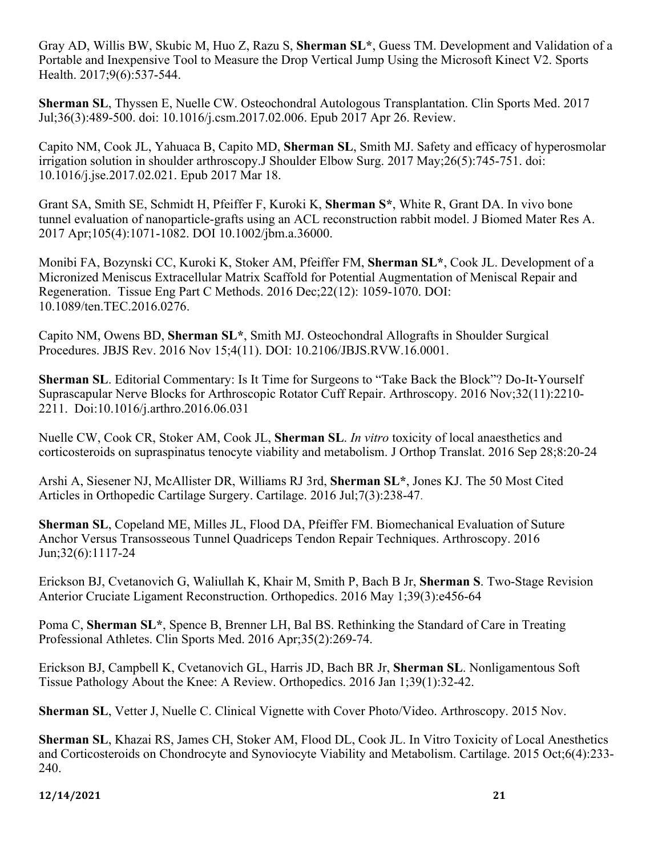Gray AD, Willis BW, Skubic M, Huo Z, Razu S, **Sherman SL\***, Guess TM. Development and Validation of a Portable and Inexpensive Tool to Measure the Drop Vertical Jump Using the Microsoft Kinect V2. Sports Health. 2017;9(6):537-544.

**Sherman SL**, Thyssen E, Nuelle CW. Osteochondral Autologous Transplantation. Clin Sports Med. 2017 Jul;36(3):489-500. doi: 10.1016/j.csm.2017.02.006. Epub 2017 Apr 26. Review.

Capito NM, Cook JL, Yahuaca B, Capito MD, **Sherman SL**, Smith MJ. Safety and efficacy of hyperosmolar irrigation solution in shoulder arthroscopy.J Shoulder Elbow Surg. 2017 May;26(5):745-751. doi: 10.1016/j.jse.2017.02.021. Epub 2017 Mar 18.

Grant SA, Smith SE, Schmidt H, Pfeiffer F, Kuroki K, **Sherman S\***, White R, Grant DA. In vivo bone tunnel evaluation of nanoparticle-grafts using an ACL reconstruction rabbit model. J Biomed Mater Res A. 2017 Apr;105(4):1071-1082. DOI 10.1002/jbm.a.36000.

Monibi FA, Bozynski CC, Kuroki K, Stoker AM, Pfeiffer FM, **Sherman SL\***, Cook JL. Development of a Micronized Meniscus Extracellular Matrix Scaffold for Potential Augmentation of Meniscal Repair and Regeneration. Tissue Eng Part C Methods. 2016 Dec;22(12): 1059-1070. DOI: 10.1089/ten.TEC.2016.0276.

Capito NM, Owens BD, **Sherman SL\***, Smith MJ. Osteochondral Allografts in Shoulder Surgical Procedures. JBJS Rev. 2016 Nov 15;4(11). DOI: 10.2106/JBJS.RVW.16.0001.

**Sherman SL**. Editorial Commentary: Is It Time for Surgeons to "Take Back the Block"? Do-It-Yourself Suprascapular Nerve Blocks for Arthroscopic Rotator Cuff Repair. Arthroscopy. 2016 Nov;32(11):2210- 2211. Doi:10.1016/j.arthro.2016.06.031

Nuelle CW, Cook CR, Stoker AM, Cook JL, **Sherman SL**. *In vitro* toxicity of local anaesthetics and corticosteroids on supraspinatus tenocyte viability and metabolism. J Orthop Translat. 2016 Sep 28;8:20-24

Arshi A, Siesener NJ, McAllister DR, Williams RJ 3rd, **Sherman SL\***, Jones KJ. The 50 Most Cited Articles in Orthopedic Cartilage Surgery. Cartilage. 2016 Jul;7(3):238-47.

**Sherman SL**, Copeland ME, Milles JL, Flood DA, Pfeiffer FM. Biomechanical Evaluation of Suture Anchor Versus Transosseous Tunnel Quadriceps Tendon Repair Techniques. Arthroscopy. 2016 Jun;32(6):1117-24

Erickson BJ, Cvetanovich G, Waliullah K, Khair M, Smith P, Bach B Jr, **Sherman S**. Two-Stage Revision Anterior Cruciate Ligament Reconstruction. Orthopedics. 2016 May 1;39(3):e456-64

Poma C, **Sherman SL\***, Spence B, Brenner LH, Bal BS. Rethinking the Standard of Care in Treating Professional Athletes. Clin Sports Med. 2016 Apr;35(2):269-74.

Erickson BJ, Campbell K, Cvetanovich GL, Harris JD, Bach BR Jr, **Sherman SL**. Nonligamentous Soft Tissue Pathology About the Knee: A Review. Orthopedics. 2016 Jan 1;39(1):32-42.

**Sherman SL**, Vetter J, Nuelle C. Clinical Vignette with Cover Photo/Video. Arthroscopy. 2015 Nov.

**Sherman SL**, Khazai RS, James CH, Stoker AM, Flood DL, Cook JL. In Vitro Toxicity of Local Anesthetics and Corticosteroids on Chondrocyte and Synoviocyte Viability and Metabolism. Cartilage. 2015 Oct;6(4):233- 240.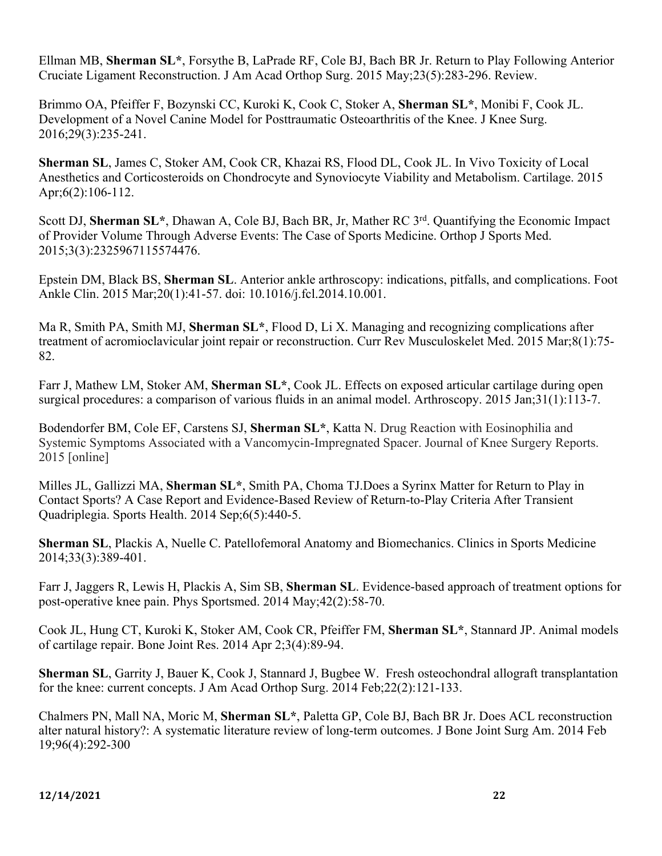Ellman MB, **Sherman SL\***, Forsythe B, LaPrade RF, Cole BJ, Bach BR Jr. Return to Play Following Anterior Cruciate Ligament Reconstruction. J Am Acad Orthop Surg. 2015 May;23(5):283-296. Review.

Brimmo OA, Pfeiffer F, Bozynski CC, Kuroki K, Cook C, Stoker A, **Sherman SL\***, Monibi F, Cook JL. Development of a Novel Canine Model for Posttraumatic Osteoarthritis of the Knee. J Knee Surg. 2016;29(3):235-241.

**Sherman SL**, James C, Stoker AM, Cook CR, Khazai RS, Flood DL, Cook JL. In Vivo Toxicity of Local Anesthetics and Corticosteroids on Chondrocyte and Synoviocyte Viability and Metabolism. Cartilage. 2015 Apr;6(2):106-112.

Scott DJ, **Sherman SL\***, Dhawan A, Cole BJ, Bach BR, Jr, Mather RC 3rd. Quantifying the Economic Impact of Provider Volume Through Adverse Events: The Case of Sports Medicine. Orthop J Sports Med. 2015;3(3):2325967115574476.

Epstein DM, Black BS, **Sherman SL**. Anterior ankle arthroscopy: indications, pitfalls, and complications. Foot Ankle Clin. 2015 Mar;20(1):41-57. doi: 10.1016/j.fcl.2014.10.001.

Ma R, Smith PA, Smith MJ, **Sherman SL\***, Flood D, Li X. Managing and recognizing complications after treatment of acromioclavicular joint repair or reconstruction. Curr Rev Musculoskelet Med. 2015 Mar;8(1):75- 82.

Farr J, Mathew LM, Stoker AM, **Sherman SL\***, Cook JL. Effects on exposed articular cartilage during open surgical procedures: a comparison of various fluids in an animal model. Arthroscopy. 2015 Jan;31(1):113-7.

Bodendorfer BM, Cole EF, Carstens SJ, **Sherman SL\***, Katta N. Drug Reaction with Eosinophilia and Systemic Symptoms Associated with a Vancomycin-Impregnated Spacer. Journal of Knee Surgery Reports. 2015 [online]

Milles JL, Gallizzi MA, **Sherman SL\***, Smith PA, Choma TJ.Does a Syrinx Matter for Return to Play in Contact Sports? A Case Report and Evidence-Based Review of Return-to-Play Criteria After Transient Quadriplegia. Sports Health. 2014 Sep;6(5):440-5.

**Sherman SL**, Plackis A, Nuelle C. Patellofemoral Anatomy and Biomechanics. Clinics in Sports Medicine 2014;33(3):389-401.

Farr J, Jaggers R, Lewis H, Plackis A, Sim SB, **Sherman SL**. Evidence-based approach of treatment options for post-operative knee pain. Phys Sportsmed. 2014 May;42(2):58-70.

Cook JL, Hung CT, Kuroki K, Stoker AM, Cook CR, Pfeiffer FM, **Sherman SL\***, Stannard JP. Animal models of cartilage repair. Bone Joint Res. 2014 Apr 2;3(4):89-94.

**Sherman SL**, Garrity J, Bauer K, Cook J, Stannard J, Bugbee W. Fresh osteochondral allograft transplantation for the knee: current concepts. J Am Acad Orthop Surg. 2014 Feb;22(2):121-133.

Chalmers PN, Mall NA, Moric M, **Sherman SL\***, Paletta GP, Cole BJ, Bach BR Jr. Does ACL reconstruction alter natural history?: A systematic literature review of long-term outcomes. J Bone Joint Surg Am. 2014 Feb 19;96(4):292-300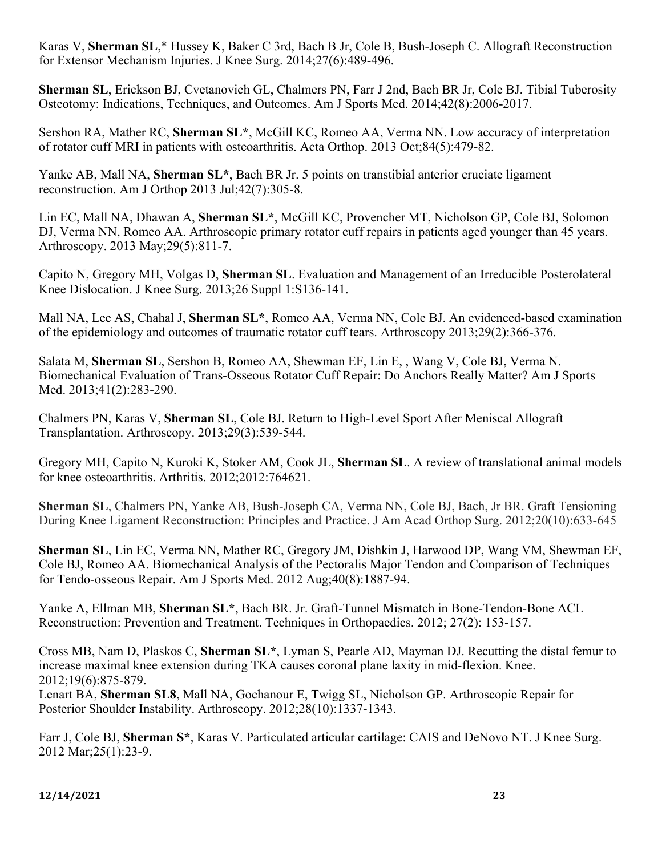Karas V, **Sherman SL**,\* Hussey K, Baker C 3rd, Bach B Jr, Cole B, Bush-Joseph C. Allograft Reconstruction for Extensor Mechanism Injuries. J Knee Surg. 2014;27(6):489-496.

**Sherman SL**, Erickson BJ, Cvetanovich GL, Chalmers PN, Farr J 2nd, Bach BR Jr, Cole BJ. Tibial Tuberosity Osteotomy: Indications, Techniques, and Outcomes. Am J Sports Med. 2014;42(8):2006-2017.

Sershon RA, Mather RC, **Sherman SL\***, McGill KC, Romeo AA, Verma NN. Low accuracy of interpretation of rotator cuff MRI in patients with osteoarthritis. Acta Orthop. 2013 Oct;84(5):479-82.

Yanke AB, Mall NA, **Sherman SL\***, Bach BR Jr. 5 points on transtibial anterior cruciate ligament reconstruction. Am J Orthop 2013 Jul;42(7):305-8.

Lin EC, Mall NA, Dhawan A, **Sherman SL\***, McGill KC, Provencher MT, Nicholson GP, Cole BJ, Solomon DJ, Verma NN, Romeo AA. Arthroscopic primary rotator cuff repairs in patients aged younger than 45 years. Arthroscopy. 2013 May;29(5):811-7.

Capito N, Gregory MH, Volgas D, **Sherman SL**. Evaluation and Management of an Irreducible Posterolateral Knee Dislocation. J Knee Surg. 2013;26 Suppl 1:S136-141.

Mall NA, Lee AS, Chahal J, **Sherman SL\***, Romeo AA, Verma NN, Cole BJ. An evidenced-based examination of the epidemiology and outcomes of traumatic rotator cuff tears. Arthroscopy 2013;29(2):366-376.

Salata M, **Sherman SL**, Sershon B, Romeo AA, Shewman EF, Lin E, , Wang V, Cole BJ, Verma N. Biomechanical Evaluation of Trans-Osseous Rotator Cuff Repair: Do Anchors Really Matter? Am J Sports Med. 2013;41(2):283-290.

Chalmers PN, Karas V, **Sherman SL**, Cole BJ. Return to High-Level Sport After Meniscal Allograft Transplantation. Arthroscopy. 2013;29(3):539-544.

Gregory MH, Capito N, Kuroki K, Stoker AM, Cook JL, **Sherman SL**. A review of translational animal models for knee osteoarthritis. Arthritis. 2012;2012:764621.

**Sherman SL**, Chalmers PN, Yanke AB, Bush-Joseph CA, Verma NN, Cole BJ, Bach, Jr BR. Graft Tensioning During Knee Ligament Reconstruction: Principles and Practice. J Am Acad Orthop Surg. 2012;20(10):633-645

**Sherman SL**, Lin EC, Verma NN, Mather RC, Gregory JM, Dishkin J, Harwood DP, Wang VM, Shewman EF, Cole BJ, Romeo AA. Biomechanical Analysis of the Pectoralis Major Tendon and Comparison of Techniques for Tendo-osseous Repair. Am J Sports Med. 2012 Aug;40(8):1887-94.

Yanke A, Ellman MB, **Sherman SL\***, Bach BR. Jr. Graft-Tunnel Mismatch in Bone-Tendon-Bone ACL Reconstruction: Prevention and Treatment. Techniques in Orthopaedics. 2012; 27(2): 153-157.

Cross MB, Nam D, Plaskos C, **Sherman SL\***, Lyman S, Pearle AD, Mayman DJ. Recutting the distal femur to increase maximal knee extension during TKA causes coronal plane laxity in mid-flexion. Knee. 2012;19(6):875-879.

Lenart BA, **Sherman SL8**, Mall NA, Gochanour E, Twigg SL, Nicholson GP. Arthroscopic Repair for Posterior Shoulder Instability. Arthroscopy. 2012;28(10):1337-1343.

Farr J, Cole BJ, **Sherman S\***, Karas V. Particulated articular cartilage: CAIS and DeNovo NT. J Knee Surg. 2012 Mar;25(1):23-9.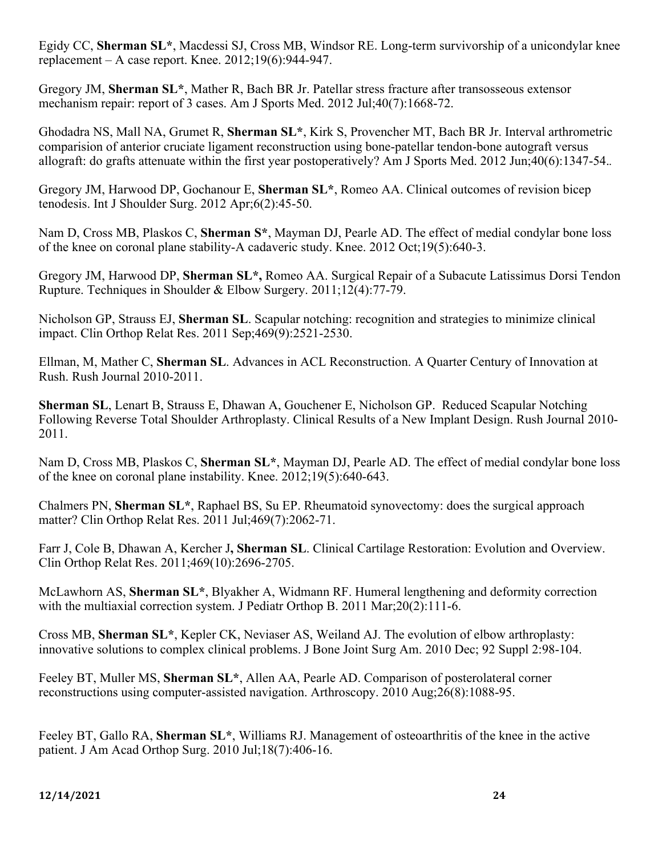Egidy CC, **Sherman SL\***, Macdessi SJ, Cross MB, Windsor RE. Long-term survivorship of a unicondylar knee replacement – A case report. Knee. 2012;19(6):944-947.

Gregory JM, **Sherman SL\***, Mather R, Bach BR Jr. Patellar stress fracture after transosseous extensor mechanism repair: report of 3 cases. Am J Sports Med. 2012 Jul;40(7):1668-72.

Ghodadra NS, Mall NA, Grumet R, **Sherman SL\***, Kirk S, Provencher MT, Bach BR Jr. Interval arthrometric comparision of anterior cruciate ligament reconstruction using bone-patellar tendon-bone autograft versus allograft: do grafts attenuate within the first year postoperatively? Am J Sports Med. 2012 Jun;40(6):1347-54.*.*

Gregory JM, Harwood DP, Gochanour E, **Sherman SL\***, Romeo AA. Clinical outcomes of revision bicep tenodesis. Int J Shoulder Surg. 2012 Apr;6(2):45-50.

Nam D, Cross MB, Plaskos C, **Sherman S\***, Mayman DJ, Pearle AD. The effect of medial condylar bone loss of the knee on coronal plane stability-A cadaveric study. Knee. 2012 Oct;19(5):640-3.

Gregory JM, Harwood DP, **Sherman SL\*,** Romeo AA. Surgical Repair of a Subacute Latissimus Dorsi Tendon Rupture. Techniques in Shoulder & Elbow Surgery. 2011;12(4):77-79.

Nicholson GP, Strauss EJ, **Sherman SL**. Scapular notching: recognition and strategies to minimize clinical impact. Clin Orthop Relat Res. 2011 Sep;469(9):2521-2530.

Ellman, M, Mather C, **Sherman SL**. Advances in ACL Reconstruction. A Quarter Century of Innovation at Rush. Rush Journal 2010-2011.

**Sherman SL**, Lenart B, Strauss E, Dhawan A, Gouchener E, Nicholson GP. Reduced Scapular Notching Following Reverse Total Shoulder Arthroplasty. Clinical Results of a New Implant Design. Rush Journal 2010- 2011.

Nam D, Cross MB, Plaskos C, **Sherman SL\***, Mayman DJ, Pearle AD. The effect of medial condylar bone loss of the knee on coronal plane instability. Knee. 2012;19(5):640-643.

Chalmers PN, **Sherman SL\***, Raphael BS, Su EP. Rheumatoid synovectomy: does the surgical approach matter? Clin Orthop Relat Res. 2011 Jul;469(7):2062-71.

Farr J, Cole B, Dhawan A, Kercher J**, Sherman SL**. Clinical Cartilage Restoration: Evolution and Overview. Clin Orthop Relat Res. 2011;469(10):2696-2705.

McLawhorn AS, **Sherman SL\***, Blyakher A, Widmann RF. Humeral lengthening and deformity correction with the multiaxial correction system. J Pediatr Orthop B. 2011 Mar;20(2):111-6.

Cross MB, **Sherman SL\***, Kepler CK, Neviaser AS, Weiland AJ. The evolution of elbow arthroplasty: innovative solutions to complex clinical problems. J Bone Joint Surg Am. 2010 Dec; 92 Suppl 2:98-104.

Feeley BT, Muller MS, **Sherman SL\***, Allen AA, Pearle AD. Comparison of posterolateral corner reconstructions using computer-assisted navigation. Arthroscopy. 2010 Aug;26(8):1088-95.

Feeley BT, Gallo RA, **Sherman SL\***, Williams RJ. Management of osteoarthritis of the knee in the active patient. J Am Acad Orthop Surg. 2010 Jul;18(7):406-16.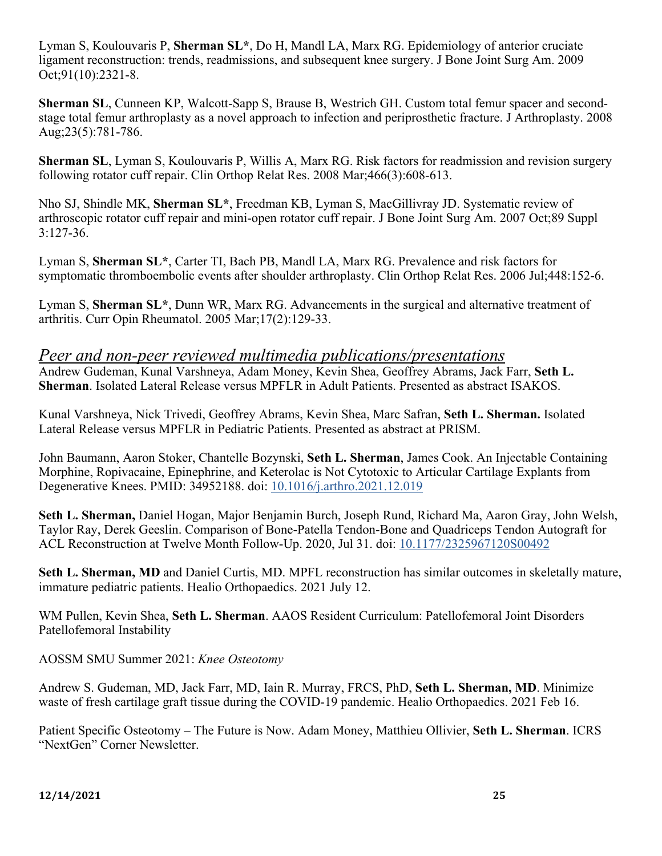Lyman S, Koulouvaris P, **Sherman SL\***, Do H, Mandl LA, Marx RG. Epidemiology of anterior cruciate ligament reconstruction: trends, readmissions, and subsequent knee surgery. J Bone Joint Surg Am. 2009 Oct;91(10):2321-8.

**Sherman SL**, Cunneen KP, Walcott-Sapp S, Brause B, Westrich GH. Custom total femur spacer and secondstage total femur arthroplasty as a novel approach to infection and periprosthetic fracture. J Arthroplasty. 2008 Aug;23(5):781-786.

**Sherman SL**, Lyman S, Koulouvaris P, Willis A, Marx RG. Risk factors for readmission and revision surgery following rotator cuff repair. Clin Orthop Relat Res. 2008 Mar;466(3):608-613.

Nho SJ, Shindle MK, **Sherman SL\***, Freedman KB, Lyman S, MacGillivray JD. Systematic review of arthroscopic rotator cuff repair and mini-open rotator cuff repair. J Bone Joint Surg Am. 2007 Oct;89 Suppl 3:127-36.

Lyman S, **Sherman SL\***, Carter TI, Bach PB, Mandl LA, Marx RG. Prevalence and risk factors for symptomatic thromboembolic events after shoulder arthroplasty. Clin Orthop Relat Res. 2006 Jul;448:152-6.

Lyman S, **Sherman SL\***, Dunn WR, Marx RG. Advancements in the surgical and alternative treatment of arthritis. Curr Opin Rheumatol. 2005 Mar;17(2):129-33.

### *Peer and non-peer reviewed multimedia publications/presentations*

Andrew Gudeman, Kunal Varshneya, Adam Money, Kevin Shea, Geoffrey Abrams, Jack Farr, **Seth L. Sherman**. Isolated Lateral Release versus MPFLR in Adult Patients. Presented as abstract ISAKOS.

Kunal Varshneya, Nick Trivedi, Geoffrey Abrams, Kevin Shea, Marc Safran, **Seth L. Sherman.** Isolated Lateral Release versus MPFLR in Pediatric Patients. Presented as abstract at PRISM.

John Baumann, Aaron Stoker, Chantelle Bozynski, **Seth L. Sherman**, James Cook. An Injectable Containing Morphine, Ropivacaine, Epinephrine, and Keterolac is Not Cytotoxic to Articular Cartilage Explants from Degenerative Knees. PMID: 34952188. doi: 10.1016/j.arthro.2021.12.019

**Seth L. Sherman,** Daniel Hogan, Major Benjamin Burch, Joseph Rund, Richard Ma, Aaron Gray, John Welsh, Taylor Ray, Derek Geeslin. Comparison of Bone-Patella Tendon-Bone and Quadriceps Tendon Autograft for ACL Reconstruction at Twelve Month Follow-Up. 2020, Jul 31. doi: 10.1177/2325967120S00492

**Seth L. Sherman, MD** and Daniel Curtis, MD. MPFL reconstruction has similar outcomes in skeletally mature, immature pediatric patients. Healio Orthopaedics. 2021 July 12.

WM Pullen, Kevin Shea, **Seth L. Sherman**. AAOS Resident Curriculum: Patellofemoral Joint Disorders Patellofemoral Instability

AOSSM SMU Summer 2021: *Knee Osteotomy*

Andrew S. Gudeman, MD, Jack Farr, MD, Iain R. Murray, FRCS, PhD, **Seth L. Sherman, MD**. Minimize waste of fresh cartilage graft tissue during the COVID-19 pandemic. Healio Orthopaedics. 2021 Feb 16.

Patient Specific Osteotomy – The Future is Now. Adam Money, Matthieu Ollivier, **Seth L. Sherman**. ICRS "NextGen" Corner Newsletter.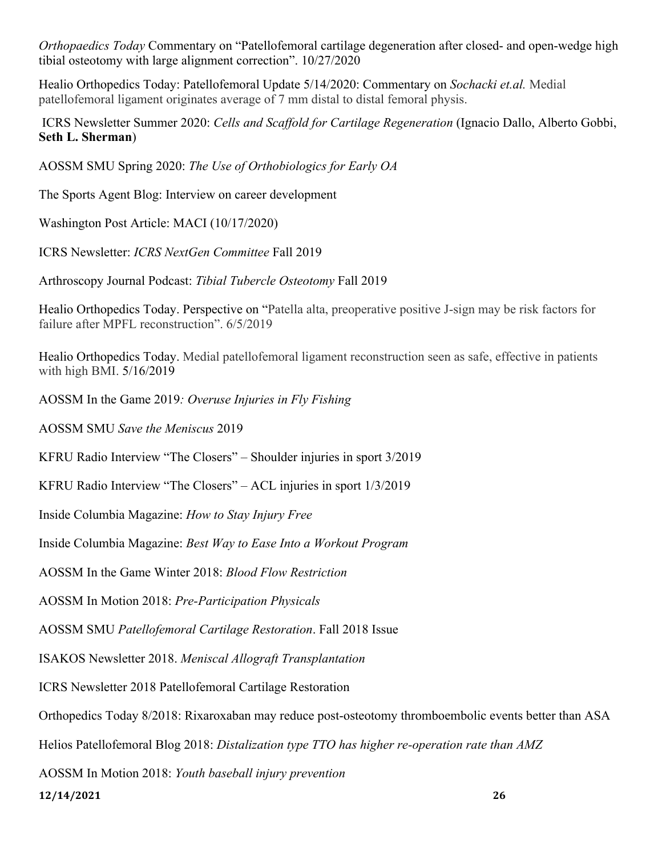*Orthopaedics Today* Commentary on "Patellofemoral cartilage degeneration after closed- and open-wedge high tibial osteotomy with large alignment correction". 10/27/2020

Healio Orthopedics Today: Patellofemoral Update 5/14/2020: Commentary on *Sochacki et.al.* Medial patellofemoral ligament originates average of 7 mm distal to distal femoral physis.

ICRS Newsletter Summer 2020: *Cells and Scaffold for Cartilage Regeneration* (Ignacio Dallo, Alberto Gobbi, **Seth L. Sherman**)

AOSSM SMU Spring 2020: *The Use of Orthobiologics for Early OA*

The Sports Agent Blog: Interview on career development

Washington Post Article: MACI (10/17/2020)

ICRS Newsletter: *ICRS NextGen Committee* Fall 2019

Arthroscopy Journal Podcast: *Tibial Tubercle Osteotomy* Fall 2019

Healio Orthopedics Today. Perspective on "Patella alta, preoperative positive J-sign may be risk factors for failure after MPFL reconstruction". 6/5/2019

Healio Orthopedics Today. Medial patellofemoral ligament reconstruction seen as safe, effective in patients with high BMI. 5/16/2019

AOSSM In the Game 2019*: Overuse Injuries in Fly Fishing* 

AOSSM SMU *Save the Meniscus* 2019

KFRU Radio Interview "The Closers" – Shoulder injuries in sport 3/2019

KFRU Radio Interview "The Closers" – ACL injuries in sport 1/3/2019

Inside Columbia Magazine: *How to Stay Injury Free*

Inside Columbia Magazine: *Best Way to Ease Into a Workout Program*

AOSSM In the Game Winter 2018: *Blood Flow Restriction*

AOSSM In Motion 2018: *Pre-Participation Physicals* 

AOSSM SMU *Patellofemoral Cartilage Restoration*. Fall 2018 Issue

ISAKOS Newsletter 2018. *Meniscal Allograft Transplantation*

ICRS Newsletter 2018 Patellofemoral Cartilage Restoration

Orthopedics Today 8/2018: Rixaroxaban may reduce post-osteotomy thromboembolic events better than ASA

Helios Patellofemoral Blog 2018: *Distalization type TTO has higher re-operation rate than AMZ*

AOSSM In Motion 2018: *Youth baseball injury prevention*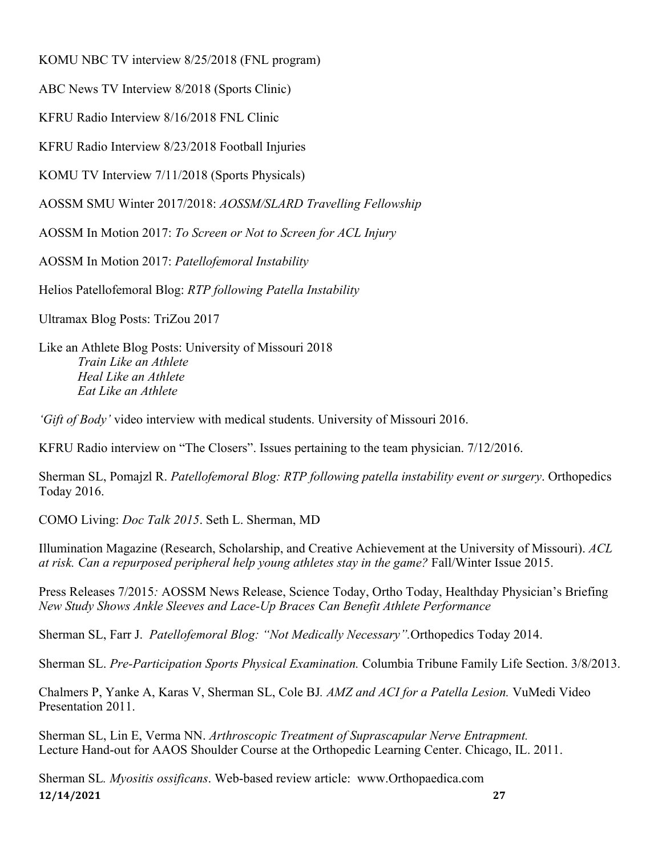KOMU NBC TV interview 8/25/2018 (FNL program)

ABC News TV Interview 8/2018 (Sports Clinic)

KFRU Radio Interview 8/16/2018 FNL Clinic

KFRU Radio Interview 8/23/2018 Football Injuries

KOMU TV Interview 7/11/2018 (Sports Physicals)

AOSSM SMU Winter 2017/2018: *AOSSM/SLARD Travelling Fellowship* 

AOSSM In Motion 2017: *To Screen or Not to Screen for ACL Injury*

AOSSM In Motion 2017: *Patellofemoral Instability*

Helios Patellofemoral Blog: *RTP following Patella Instability* 

Ultramax Blog Posts: TriZou 2017

Like an Athlete Blog Posts: University of Missouri 2018 *Train Like an Athlete Heal Like an Athlete Eat Like an Athlete* 

*'Gift of Body'* video interview with medical students. University of Missouri 2016.

KFRU Radio interview on "The Closers". Issues pertaining to the team physician. 7/12/2016.

Sherman SL, Pomajzl R. *Patellofemoral Blog: RTP following patella instability event or surgery*. Orthopedics Today 2016.

COMO Living: *Doc Talk 2015*. Seth L. Sherman, MD

Illumination Magazine (Research, Scholarship, and Creative Achievement at the University of Missouri). *ACL at risk. Can a repurposed peripheral help young athletes stay in the game?* Fall/Winter Issue 2015.

Press Releases 7/2015*:* AOSSM News Release, Science Today, Ortho Today, Healthday Physician's Briefing *New Study Shows Ankle Sleeves and Lace-Up Braces Can Benefit Athlete Performance*

Sherman SL, Farr J. *Patellofemoral Blog: "Not Medically Necessary".*Orthopedics Today 2014.

Sherman SL. *Pre-Participation Sports Physical Examination.* Columbia Tribune Family Life Section. 3/8/2013.

Chalmers P, Yanke A, Karas V, Sherman SL, Cole BJ*. AMZ and ACI for a Patella Lesion.* VuMedi Video Presentation 2011.

Sherman SL, Lin E, Verma NN. *Arthroscopic Treatment of Suprascapular Nerve Entrapment.*  Lecture Hand-out for AAOS Shoulder Course at the Orthopedic Learning Center. Chicago, IL. 2011.

**12/14/2021 27** Sherman SL*. Myositis ossificans*. Web-based review article: www.Orthopaedica.com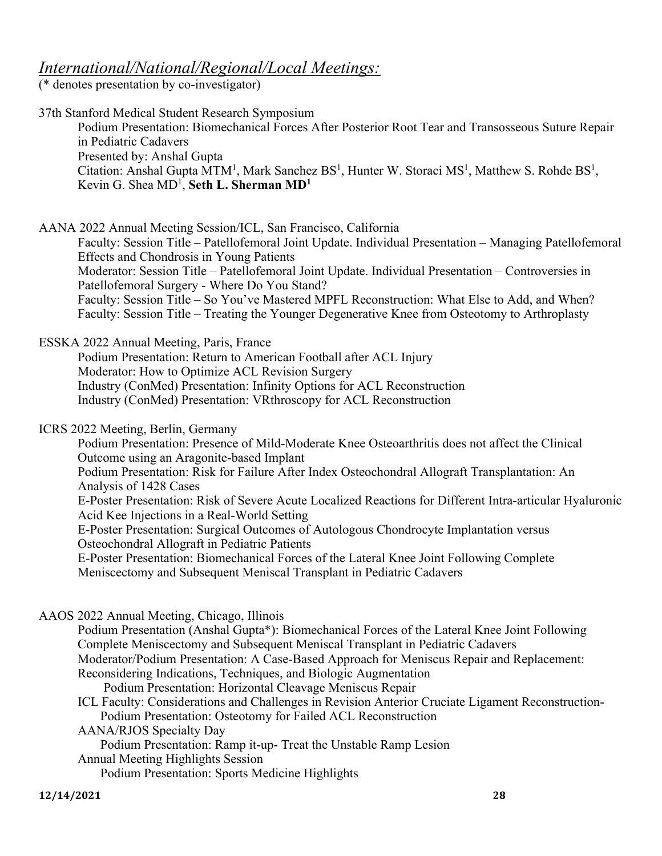## *International/National/Regional/Local Meetings:*

(\* denotes presentation by co-investigator)

37th Stanford Medical Student Research Symposium Podium Presentation: Biomechanical Forces After Posterior Root Tear and Transosseous Suture Repair in Pediatric Cadavers Presented by: Anshal Gupta Citation: Anshal Gupta MTM<sup>1</sup>, Mark Sanchez  $BS^1$ , Hunter W. Storaci MS<sup>1</sup>, Matthew S. Rohde  $BS^1$ , Kevin G. Shea MD1 , **Seth L. Sherman MD1** AANA 2022 Annual Meeting Session/ICL, San Francisco, California Faculty: Session Title – Patellofemoral Joint Update. Individual Presentation – Managing Patellofemoral Effects and Chondrosis in Young Patients Moderator: Session Title – Patellofemoral Joint Update. Individual Presentation – Controversies in Patellofemoral Surgery - Where Do You Stand? Faculty: Session Title – So You've Mastered MPFL Reconstruction: What Else to Add, and When? Faculty: Session Title – Treating the Younger Degenerative Knee from Osteotomy to Arthroplasty ESSKA 2022 Annual Meeting, Paris, France Podium Presentation: Return to American Football after ACL Injury Moderator: How to Optimize ACL Revision Surgery Industry (ConMed) Presentation: Infinity Options for ACL Reconstruction Industry (ConMed) Presentation: VRthroscopy for ACL Reconstruction ICRS 2022 Meeting, Berlin, Germany Podium Presentation: Presence of Mild-Moderate Knee Osteoarthritis does not affect the Clinical Outcome using an Aragonite-based Implant Podium Presentation: Risk for Failure After Index Osteochondral Allograft Transplantation: An Analysis of 1428 Cases E-Poster Presentation: Risk of Severe Acute Localized Reactions for Different Intra-articular Hyaluronic Acid Kee Injections in a Real-World Setting E-Poster Presentation: Surgical Outcomes of Autologous Chondrocyte Implantation versus Osteochondral Allograft in Pediatric Patients E-Poster Presentation: Biomechanical Forces of the Lateral Knee Joint Following Complete Meniscectomy and Subsequent Meniscal Transplant in Pediatric Cadavers AAOS 2022 Annual Meeting, Chicago, Illinois Podium Presentation (Anshal Gupta\*): Biomechanical Forces of the Lateral Knee Joint Following Complete Meniscectomy and Subsequent Meniscal Transplant in Pediatric Cadavers Moderator/Podium Presentation: A Case-Based Approach for Meniscus Repair and Replacement: Reconsidering Indications, Techniques, and Biologic Augmentation Podium Presentation: Horizontal Cleavage Meniscus Repair ICL Faculty: Considerations and Challenges in Revision Anterior Cruciate Ligament Reconstruction- Podium Presentation: Osteotomy for Failed ACL Reconstruction AANA/RJOS Specialty Day Podium Presentation: Ramp it-up- Treat the Unstable Ramp Lesion Annual Meeting Highlights Session Podium Presentation: Sports Medicine Highlights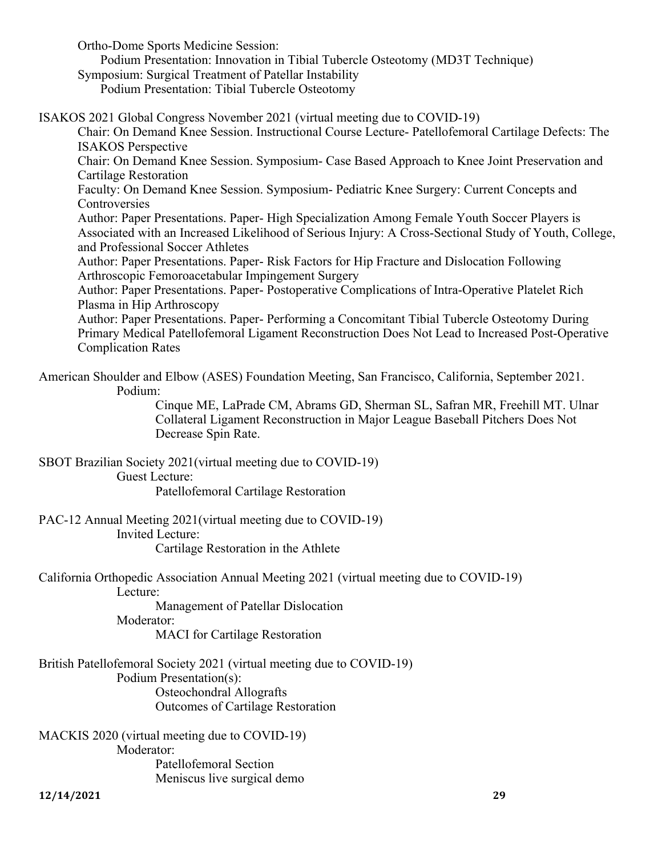Ortho-Dome Sports Medicine Session:

 Podium Presentation: Innovation in Tibial Tubercle Osteotomy (MD3T Technique) Symposium: Surgical Treatment of Patellar Instability

Podium Presentation: Tibial Tubercle Osteotomy

ISAKOS 2021 Global Congress November 2021 (virtual meeting due to COVID-19)

Chair: On Demand Knee Session. Instructional Course Lecture- Patellofemoral Cartilage Defects: The ISAKOS Perspective

Chair: On Demand Knee Session. Symposium- Case Based Approach to Knee Joint Preservation and Cartilage Restoration

Faculty: On Demand Knee Session. Symposium- Pediatric Knee Surgery: Current Concepts and **Controversies** 

Author: Paper Presentations. Paper- High Specialization Among Female Youth Soccer Players is Associated with an Increased Likelihood of Serious Injury: A Cross-Sectional Study of Youth, College, and Professional Soccer Athletes

Author: Paper Presentations. Paper- Risk Factors for Hip Fracture and Dislocation Following Arthroscopic Femoroacetabular Impingement Surgery

Author: Paper Presentations. Paper- Postoperative Complications of Intra-Operative Platelet Rich Plasma in Hip Arthroscopy

Author: Paper Presentations. Paper- Performing a Concomitant Tibial Tubercle Osteotomy During Primary Medical Patellofemoral Ligament Reconstruction Does Not Lead to Increased Post-Operative Complication Rates

American Shoulder and Elbow (ASES) Foundation Meeting, San Francisco, California, September 2021. Podium:

Cinque ME, LaPrade CM, Abrams GD, Sherman SL, Safran MR, Freehill MT. Ulnar Collateral Ligament Reconstruction in Major League Baseball Pitchers Does Not Decrease Spin Rate.

SBOT Brazilian Society 2021(virtual meeting due to COVID-19) Guest Lecture:

Patellofemoral Cartilage Restoration

PAC-12 Annual Meeting 2021(virtual meeting due to COVID-19) Invited Lecture: Cartilage Restoration in the Athlete

California Orthopedic Association Annual Meeting 2021 (virtual meeting due to COVID-19) Lecture:

Management of Patellar Dislocation

Moderator:

MACI for Cartilage Restoration

British Patellofemoral Society 2021 (virtual meeting due to COVID-19) Podium Presentation(s): Osteochondral Allografts Outcomes of Cartilage Restoration

MACKIS 2020 (virtual meeting due to COVID-19) Moderator: Patellofemoral Section

Meniscus live surgical demo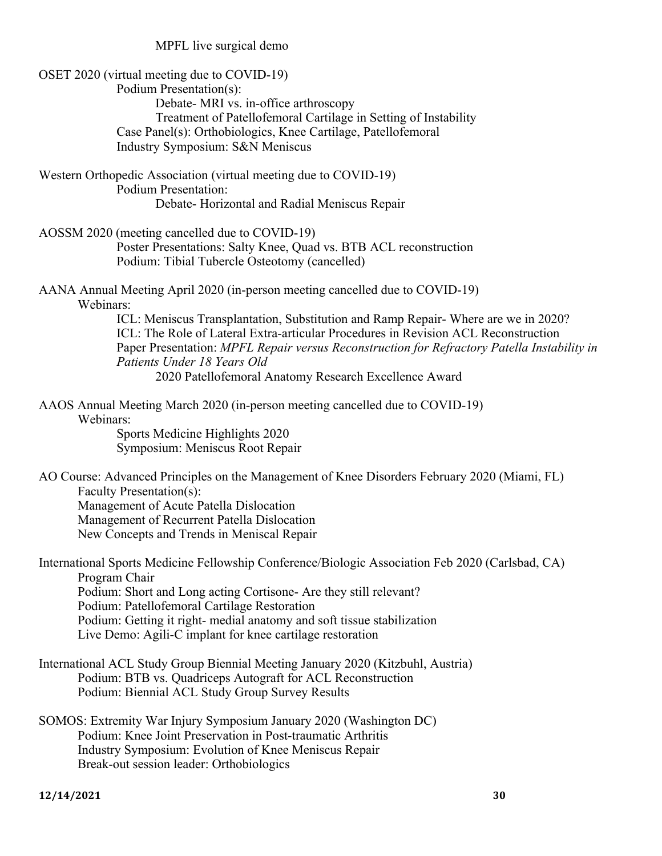MPFL live surgical demo

| OSET 2020 (virtual meeting due to COVID-19)<br>Podium Presentation(s):<br>Debate- MRI vs. in-office arthroscopy<br>Treatment of Patellofemoral Cartilage in Setting of Instability<br>Case Panel(s): Orthobiologics, Knee Cartilage, Patellofemoral                                                                                                                           |
|-------------------------------------------------------------------------------------------------------------------------------------------------------------------------------------------------------------------------------------------------------------------------------------------------------------------------------------------------------------------------------|
| Industry Symposium: S&N Meniscus                                                                                                                                                                                                                                                                                                                                              |
| Western Orthopedic Association (virtual meeting due to COVID-19)<br><b>Podium Presentation:</b><br>Debate-Horizontal and Radial Meniscus Repair                                                                                                                                                                                                                               |
| AOSSM 2020 (meeting cancelled due to COVID-19)<br>Poster Presentations: Salty Knee, Quad vs. BTB ACL reconstruction<br>Podium: Tibial Tubercle Osteotomy (cancelled)                                                                                                                                                                                                          |
| AANA Annual Meeting April 2020 (in-person meeting cancelled due to COVID-19)<br>Webinars:                                                                                                                                                                                                                                                                                     |
| ICL: Meniscus Transplantation, Substitution and Ramp Repair-Where are we in 2020?<br>ICL: The Role of Lateral Extra-articular Procedures in Revision ACL Reconstruction<br>Paper Presentation: MPFL Repair versus Reconstruction for Refractory Patella Instability in<br>Patients Under 18 Years Old<br>2020 Patellofemoral Anatomy Research Excellence Award                |
|                                                                                                                                                                                                                                                                                                                                                                               |
| AAOS Annual Meeting March 2020 (in-person meeting cancelled due to COVID-19)<br>Webinars:                                                                                                                                                                                                                                                                                     |
| Sports Medicine Highlights 2020<br>Symposium: Meniscus Root Repair                                                                                                                                                                                                                                                                                                            |
| AO Course: Advanced Principles on the Management of Knee Disorders February 2020 (Miami, FL)<br>Faculty Presentation(s):<br>Management of Acute Patella Dislocation<br>Management of Recurrent Patella Dislocation<br>New Concepts and Trends in Meniscal Repair                                                                                                              |
| International Sports Medicine Fellowship Conference/Biologic Association Feb 2020 (Carlsbad, CA)<br>Program Chair<br>Podium: Short and Long acting Cortisone- Are they still relevant?<br>Podium: Patellofemoral Cartilage Restoration<br>Podium: Getting it right- medial anatomy and soft tissue stabilization<br>Live Demo: Agili-C implant for knee cartilage restoration |
| International ACL Study Group Biennial Meeting January 2020 (Kitzbuhl, Austria)<br>Podium: BTB vs. Quadriceps Autograft for ACL Reconstruction<br>Podium: Biennial ACL Study Group Survey Results                                                                                                                                                                             |
| SOMOS: Extremity War Injury Symposium January 2020 (Washington DC)<br>Podium: Knee Joint Preservation in Post-traumatic Arthritis<br>Industry Symposium: Evolution of Knee Meniscus Repair<br>Break-out session leader: Orthobiologics                                                                                                                                        |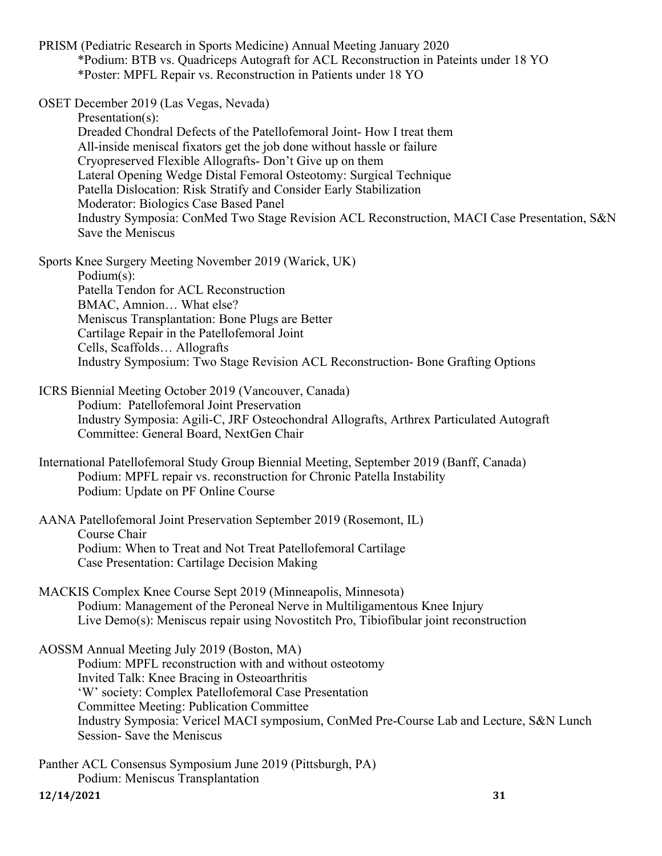PRISM (Pediatric Research in Sports Medicine) Annual Meeting January 2020 \*Podium: BTB vs. Quadriceps Autograft for ACL Reconstruction in Pateints under 18 YO \*Poster: MPFL Repair vs. Reconstruction in Patients under 18 YO

OSET December 2019 (Las Vegas, Nevada)

Presentation(s): Dreaded Chondral Defects of the Patellofemoral Joint- How I treat them All-inside meniscal fixators get the job done without hassle or failure Cryopreserved Flexible Allografts- Don't Give up on them Lateral Opening Wedge Distal Femoral Osteotomy: Surgical Technique Patella Dislocation: Risk Stratify and Consider Early Stabilization Moderator: Biologics Case Based Panel Industry Symposia: ConMed Two Stage Revision ACL Reconstruction, MACI Case Presentation, S&N Save the Meniscus

Sports Knee Surgery Meeting November 2019 (Warick, UK)

Podium(s): Patella Tendon for ACL Reconstruction BMAC, Amnion… What else? Meniscus Transplantation: Bone Plugs are Better Cartilage Repair in the Patellofemoral Joint Cells, Scaffolds… Allografts Industry Symposium: Two Stage Revision ACL Reconstruction- Bone Grafting Options

ICRS Biennial Meeting October 2019 (Vancouver, Canada) Podium: Patellofemoral Joint Preservation Industry Symposia: Agili-C, JRF Osteochondral Allografts, Arthrex Particulated Autograft Committee: General Board, NextGen Chair

International Patellofemoral Study Group Biennial Meeting, September 2019 (Banff, Canada) Podium: MPFL repair vs. reconstruction for Chronic Patella Instability Podium: Update on PF Online Course

AANA Patellofemoral Joint Preservation September 2019 (Rosemont, IL) Course Chair Podium: When to Treat and Not Treat Patellofemoral Cartilage Case Presentation: Cartilage Decision Making

MACKIS Complex Knee Course Sept 2019 (Minneapolis, Minnesota) Podium: Management of the Peroneal Nerve in Multiligamentous Knee Injury Live Demo(s): Meniscus repair using Novostitch Pro, Tibiofibular joint reconstruction

AOSSM Annual Meeting July 2019 (Boston, MA) Podium: MPFL reconstruction with and without osteotomy Invited Talk: Knee Bracing in Osteoarthritis 'W' society: Complex Patellofemoral Case Presentation Committee Meeting: Publication Committee Industry Symposia: Vericel MACI symposium, ConMed Pre-Course Lab and Lecture, S&N Lunch Session- Save the Meniscus

**12/14/2021 31** Panther ACL Consensus Symposium June 2019 (Pittsburgh, PA) Podium: Meniscus Transplantation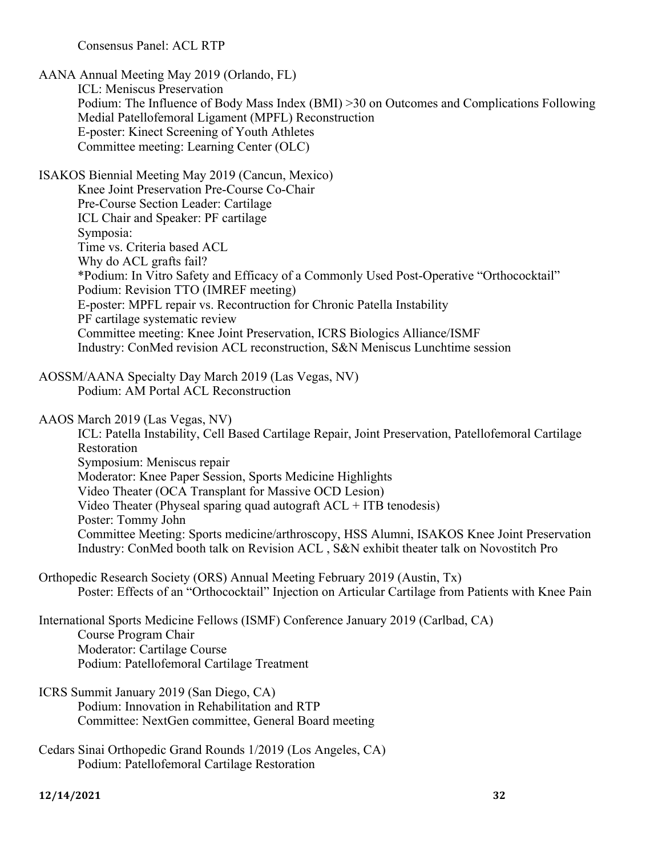Consensus Panel: ACL RTP

AANA Annual Meeting May 2019 (Orlando, FL) ICL: Meniscus Preservation Podium: The Influence of Body Mass Index (BMI) >30 on Outcomes and Complications Following Medial Patellofemoral Ligament (MPFL) Reconstruction E-poster: Kinect Screening of Youth Athletes Committee meeting: Learning Center (OLC) ISAKOS Biennial Meeting May 2019 (Cancun, Mexico) Knee Joint Preservation Pre-Course Co-Chair Pre-Course Section Leader: Cartilage ICL Chair and Speaker: PF cartilage Symposia: Time vs. Criteria based ACL Why do ACL grafts fail? \*Podium: In Vitro Safety and Efficacy of a Commonly Used Post-Operative "Orthococktail" Podium: Revision TTO (IMREF meeting) E-poster: MPFL repair vs. Recontruction for Chronic Patella Instability PF cartilage systematic review Committee meeting: Knee Joint Preservation, ICRS Biologics Alliance/ISMF Industry: ConMed revision ACL reconstruction, S&N Meniscus Lunchtime session AOSSM/AANA Specialty Day March 2019 (Las Vegas, NV) Podium: AM Portal ACL Reconstruction AAOS March 2019 (Las Vegas, NV) ICL: Patella Instability, Cell Based Cartilage Repair, Joint Preservation, Patellofemoral Cartilage Restoration Symposium: Meniscus repair Moderator: Knee Paper Session, Sports Medicine Highlights Video Theater (OCA Transplant for Massive OCD Lesion) Video Theater (Physeal sparing quad autograft  $ACL + ITB$  tenodesis) Poster: Tommy John Committee Meeting: Sports medicine/arthroscopy, HSS Alumni, ISAKOS Knee Joint Preservation Industry: ConMed booth talk on Revision ACL , S&N exhibit theater talk on Novostitch Pro Orthopedic Research Society (ORS) Annual Meeting February 2019 (Austin, Tx) Poster: Effects of an "Orthococktail" Injection on Articular Cartilage from Patients with Knee Pain International Sports Medicine Fellows (ISMF) Conference January 2019 (Carlbad, CA) Course Program Chair Moderator: Cartilage Course Podium: Patellofemoral Cartilage Treatment ICRS Summit January 2019 (San Diego, CA) Podium: Innovation in Rehabilitation and RTP Committee: NextGen committee, General Board meeting Cedars Sinai Orthopedic Grand Rounds 1/2019 (Los Angeles, CA) Podium: Patellofemoral Cartilage Restoration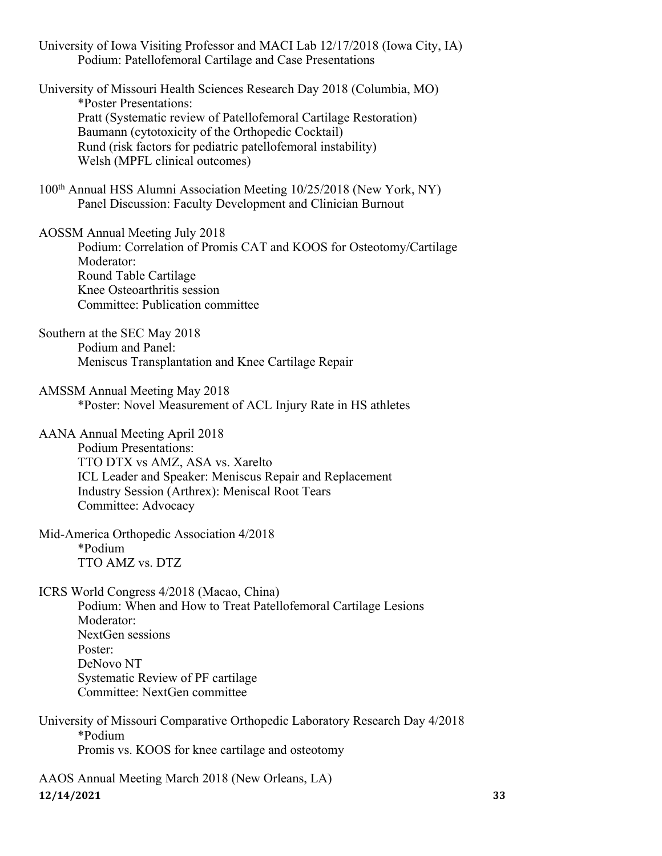University of Iowa Visiting Professor and MACI Lab 12/17/2018 (Iowa City, IA) Podium: Patellofemoral Cartilage and Case Presentations

University of Missouri Health Sciences Research Day 2018 (Columbia, MO) \*Poster Presentations: Pratt (Systematic review of Patellofemoral Cartilage Restoration) Baumann (cytotoxicity of the Orthopedic Cocktail) Rund (risk factors for pediatric patellofemoral instability) Welsh (MPFL clinical outcomes)

100th Annual HSS Alumni Association Meeting 10/25/2018 (New York, NY) Panel Discussion: Faculty Development and Clinician Burnout

AOSSM Annual Meeting July 2018

Podium: Correlation of Promis CAT and KOOS for Osteotomy/Cartilage Moderator: Round Table Cartilage Knee Osteoarthritis session Committee: Publication committee

Southern at the SEC May 2018 Podium and Panel: Meniscus Transplantation and Knee Cartilage Repair

AMSSM Annual Meeting May 2018 \*Poster: Novel Measurement of ACL Injury Rate in HS athletes

AANA Annual Meeting April 2018

Podium Presentations: TTO DTX vs AMZ, ASA vs. Xarelto ICL Leader and Speaker: Meniscus Repair and Replacement Industry Session (Arthrex): Meniscal Root Tears Committee: Advocacy

Mid-America Orthopedic Association 4/2018 \*Podium TTO AMZ vs. DTZ

ICRS World Congress 4/2018 (Macao, China)

Podium: When and How to Treat Patellofemoral Cartilage Lesions Moderator: NextGen sessions Poster: DeNovo NT Systematic Review of PF cartilage Committee: NextGen committee

University of Missouri Comparative Orthopedic Laboratory Research Day 4/2018 \*Podium Promis vs. KOOS for knee cartilage and osteotomy

**12/14/2021 33** AAOS Annual Meeting March 2018 (New Orleans, LA)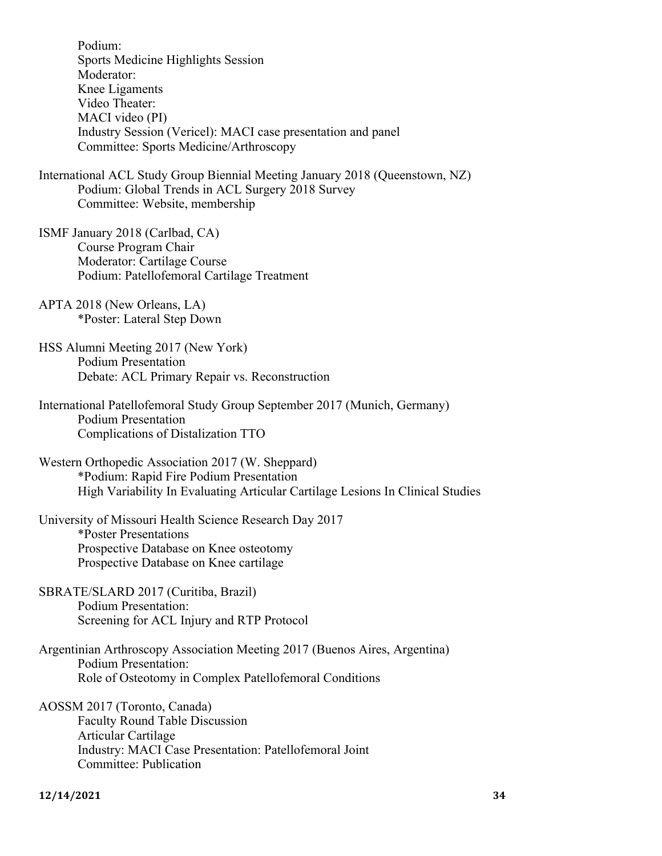Podium: Sports Medicine Highlights Session Moderator: Knee Ligaments Video Theater: MACI video (PI) Industry Session (Vericel): MACI case presentation and panel Committee: Sports Medicine/Arthroscopy

International ACL Study Group Biennial Meeting January 2018 (Queenstown, NZ) Podium: Global Trends in ACL Surgery 2018 Survey Committee: Website, membership

- ISMF January 2018 (Carlbad, CA) Course Program Chair Moderator: Cartilage Course Podium: Patellofemoral Cartilage Treatment
- APTA 2018 (New Orleans, LA) \*Poster: Lateral Step Down

HSS Alumni Meeting 2017 (New York) Podium Presentation Debate: ACL Primary Repair vs. Reconstruction

- International Patellofemoral Study Group September 2017 (Munich, Germany) Podium Presentation Complications of Distalization TTO
- Western Orthopedic Association 2017 (W. Sheppard) \*Podium: Rapid Fire Podium Presentation High Variability In Evaluating Articular Cartilage Lesions In Clinical Studies

University of Missouri Health Science Research Day 2017 \*Poster Presentations Prospective Database on Knee osteotomy Prospective Database on Knee cartilage

SBRATE/SLARD 2017 (Curitiba, Brazil) Podium Presentation: Screening for ACL Injury and RTP Protocol

Argentinian Arthroscopy Association Meeting 2017 (Buenos Aires, Argentina) Podium Presentation: Role of Osteotomy in Complex Patellofemoral Conditions

AOSSM 2017 (Toronto, Canada) Faculty Round Table Discussion Articular Cartilage Industry: MACI Case Presentation: Patellofemoral Joint Committee: Publication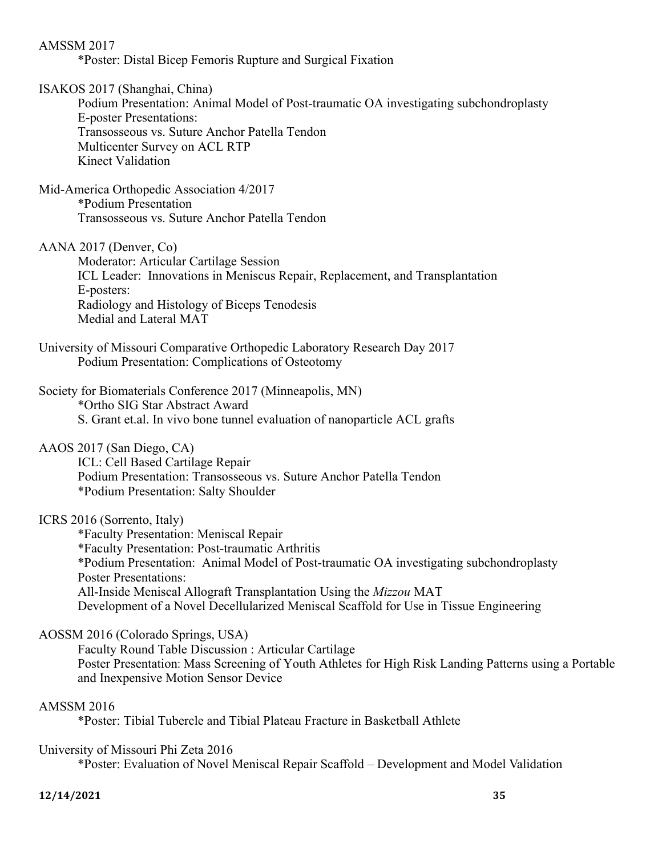AMSSM 2017 \*Poster: Distal Bicep Femoris Rupture and Surgical Fixation ISAKOS 2017 (Shanghai, China) Podium Presentation: Animal Model of Post-traumatic OA investigating subchondroplasty E-poster Presentations: Transosseous vs. Suture Anchor Patella Tendon Multicenter Survey on ACL RTP Kinect Validation Mid-America Orthopedic Association 4/2017 \*Podium Presentation Transosseous vs. Suture Anchor Patella Tendon AANA 2017 (Denver, Co) Moderator: Articular Cartilage Session

ICL Leader: Innovations in Meniscus Repair, Replacement, and Transplantation E-posters: Radiology and Histology of Biceps Tenodesis Medial and Lateral MAT

University of Missouri Comparative Orthopedic Laboratory Research Day 2017 Podium Presentation: Complications of Osteotomy

Society for Biomaterials Conference 2017 (Minneapolis, MN) \*Ortho SIG Star Abstract Award S. Grant et.al. In vivo bone tunnel evaluation of nanoparticle ACL grafts

AAOS 2017 (San Diego, CA)

ICL: Cell Based Cartilage Repair Podium Presentation: Transosseous vs. Suture Anchor Patella Tendon \*Podium Presentation: Salty Shoulder

ICRS 2016 (Sorrento, Italy)

\*Faculty Presentation: Meniscal Repair \*Faculty Presentation: Post-traumatic Arthritis \*Podium Presentation: Animal Model of Post-traumatic OA investigating subchondroplasty Poster Presentations: All-Inside Meniscal Allograft Transplantation Using the *Mizzou* MAT Development of a Novel Decellularized Meniscal Scaffold for Use in Tissue Engineering

#### AOSSM 2016 (Colorado Springs, USA)

Faculty Round Table Discussion : Articular Cartilage Poster Presentation: Mass Screening of Youth Athletes for High Risk Landing Patterns using a Portable and Inexpensive Motion Sensor Device

#### AMSSM 2016

\*Poster: Tibial Tubercle and Tibial Plateau Fracture in Basketball Athlete

#### University of Missouri Phi Zeta 2016

\*Poster: Evaluation of Novel Meniscal Repair Scaffold – Development and Model Validation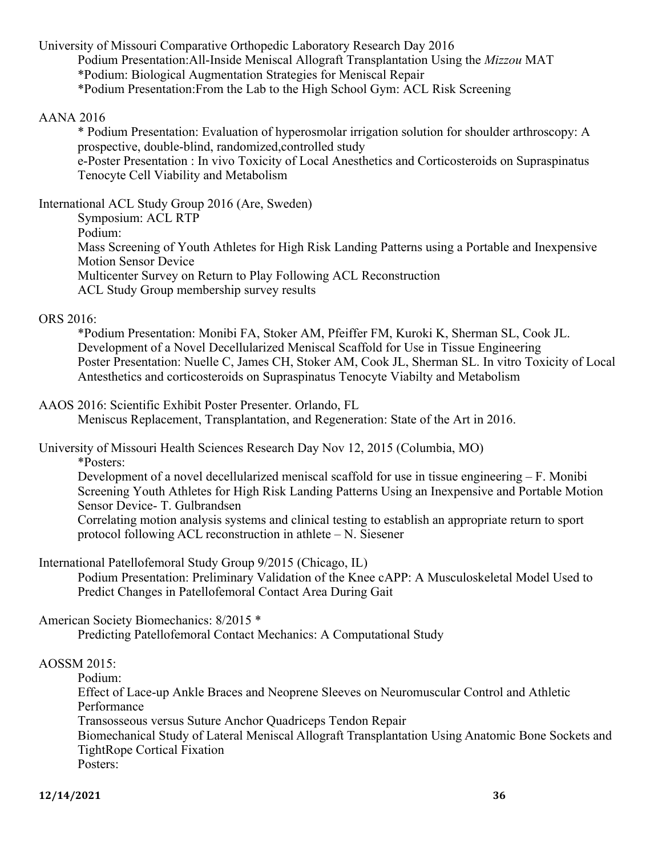University of Missouri Comparative Orthopedic Laboratory Research Day 2016 Podium Presentation:All-Inside Meniscal Allograft Transplantation Using the *Mizzou* MAT \*Podium: Biological Augmentation Strategies for Meniscal Repair \*Podium Presentation:From the Lab to the High School Gym: ACL Risk Screening

#### AANA 2016

\* Podium Presentation: Evaluation of hyperosmolar irrigation solution for shoulder arthroscopy: A prospective, double-blind, randomized,controlled study e-Poster Presentation : In vivo Toxicity of Local Anesthetics and Corticosteroids on Supraspinatus Tenocyte Cell Viability and Metabolism

International ACL Study Group 2016 (Are, Sweden)

Symposium: ACL RTP

Podium:

Mass Screening of Youth Athletes for High Risk Landing Patterns using a Portable and Inexpensive Motion Sensor Device

Multicenter Survey on Return to Play Following ACL Reconstruction

ACL Study Group membership survey results

#### ORS 2016:

\*Podium Presentation: Monibi FA, Stoker AM, Pfeiffer FM, Kuroki K, Sherman SL, Cook JL. Development of a Novel Decellularized Meniscal Scaffold for Use in Tissue Engineering Poster Presentation: Nuelle C, James CH, Stoker AM, Cook JL, Sherman SL. In vitro Toxicity of Local Antesthetics and corticosteroids on Supraspinatus Tenocyte Viabilty and Metabolism

#### AAOS 2016: Scientific Exhibit Poster Presenter. Orlando, FL

Meniscus Replacement, Transplantation, and Regeneration: State of the Art in 2016.

University of Missouri Health Sciences Research Day Nov 12, 2015 (Columbia, MO)

\*Posters:

Development of a novel decellularized meniscal scaffold for use in tissue engineering – F. Monibi Screening Youth Athletes for High Risk Landing Patterns Using an Inexpensive and Portable Motion Sensor Device- T. Gulbrandsen Correlating motion analysis systems and clinical testing to establish an appropriate return to sport protocol following ACL reconstruction in athlete – N. Siesener

International Patellofemoral Study Group 9/2015 (Chicago, IL)

Podium Presentation: Preliminary Validation of the Knee cAPP: A Musculoskeletal Model Used to Predict Changes in Patellofemoral Contact Area During Gait

American Society Biomechanics: 8/2015 \*

Predicting Patellofemoral Contact Mechanics: A Computational Study

#### AOSSM 2015:

Podium:

Effect of Lace-up Ankle Braces and Neoprene Sleeves on Neuromuscular Control and Athletic Performance Transosseous versus Suture Anchor Quadriceps Tendon Repair Biomechanical Study of Lateral Meniscal Allograft Transplantation Using Anatomic Bone Sockets and

TightRope Cortical Fixation

Posters: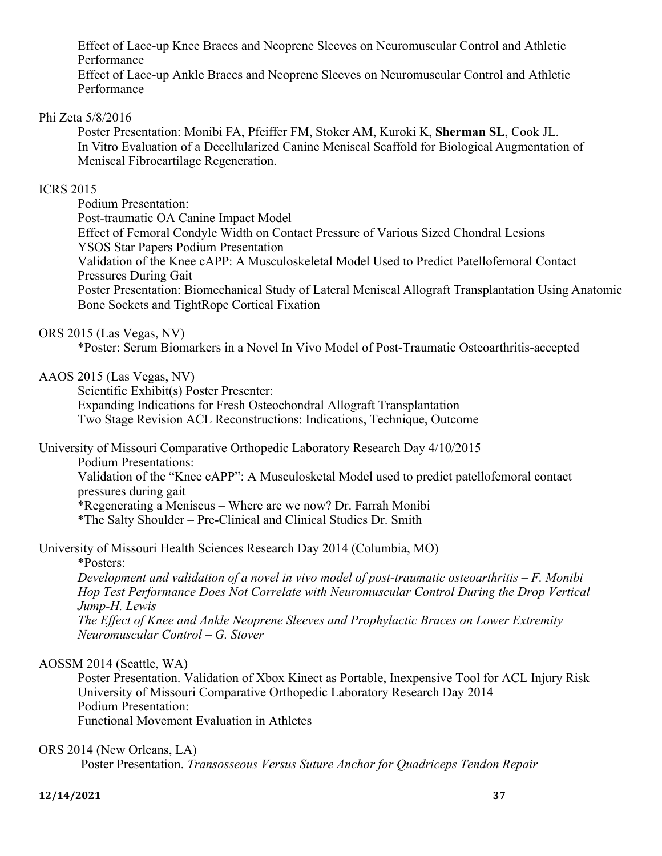Effect of Lace-up Knee Braces and Neoprene Sleeves on Neuromuscular Control and Athletic Performance

Effect of Lace-up Ankle Braces and Neoprene Sleeves on Neuromuscular Control and Athletic Performance

#### Phi Zeta 5/8/2016

Poster Presentation: Monibi FA, Pfeiffer FM, Stoker AM, Kuroki K, **Sherman SL**, Cook JL. In Vitro Evaluation of a Decellularized Canine Meniscal Scaffold for Biological Augmentation of Meniscal Fibrocartilage Regeneration.

#### ICRS 2015

Podium Presentation: Post-traumatic OA Canine Impact Model Effect of Femoral Condyle Width on Contact Pressure of Various Sized Chondral Lesions YSOS Star Papers Podium Presentation Validation of the Knee cAPP: A Musculoskeletal Model Used to Predict Patellofemoral Contact Pressures During Gait Poster Presentation: Biomechanical Study of Lateral Meniscal Allograft Transplantation Using Anatomic Bone Sockets and TightRope Cortical Fixation

#### ORS 2015 (Las Vegas, NV)

\*Poster: Serum Biomarkers in a Novel In Vivo Model of Post-Traumatic Osteoarthritis-accepted

#### AAOS 2015 (Las Vegas, NV)

Scientific Exhibit(s) Poster Presenter: Expanding Indications for Fresh Osteochondral Allograft Transplantation Two Stage Revision ACL Reconstructions: Indications, Technique, Outcome

University of Missouri Comparative Orthopedic Laboratory Research Day 4/10/2015

Podium Presentations:

Validation of the "Knee cAPP": A Musculosketal Model used to predict patellofemoral contact pressures during gait

\*Regenerating a Meniscus – Where are we now? Dr. Farrah Monibi

\*The Salty Shoulder – Pre-Clinical and Clinical Studies Dr. Smith

University of Missouri Health Sciences Research Day 2014 (Columbia, MO)

\*Posters:

*Development and validation of a novel in vivo model of post-traumatic osteoarthritis – F. Monibi Hop Test Performance Does Not Correlate with Neuromuscular Control During the Drop Vertical Jump-H. Lewis*

*The Effect of Knee and Ankle Neoprene Sleeves and Prophylactic Braces on Lower Extremity Neuromuscular Control – G. Stover*

#### AOSSM 2014 (Seattle, WA)

Poster Presentation. Validation of Xbox Kinect as Portable, Inexpensive Tool for ACL Injury Risk University of Missouri Comparative Orthopedic Laboratory Research Day 2014 Podium Presentation: Functional Movement Evaluation in Athletes

#### ORS 2014 (New Orleans, LA)

Poster Presentation. *Transosseous Versus Suture Anchor for Quadriceps Tendon Repair*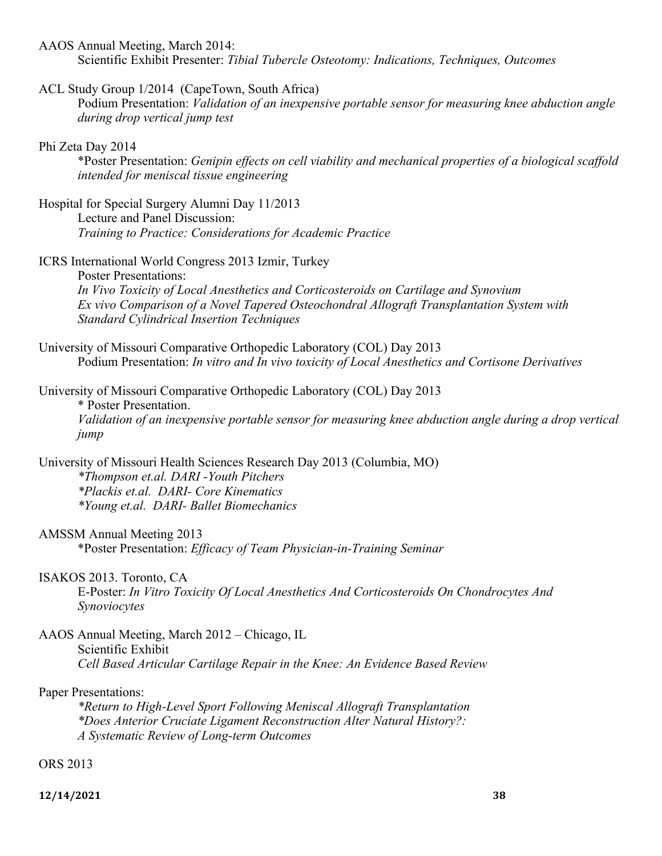AAOS Annual Meeting, March 2014:

Scientific Exhibit Presenter: *Tibial Tubercle Osteotomy: Indications, Techniques, Outcomes* 

#### ACL Study Group 1/2014 (CapeTown, South Africa)

Podium Presentation: *Validation of an inexpensive portable sensor for measuring knee abduction angle during drop vertical jump test*

#### Phi Zeta Day 2014

\*Poster Presentation: *Genipin effects on cell viability and mechanical properties of a biological scaffold intended for meniscal tissue engineering*

Hospital for Special Surgery Alumni Day 11/2013 Lecture and Panel Discussion:

*Training to Practice: Considerations for Academic Practice*

#### ICRS International World Congress 2013 Izmir, Turkey

Poster Presentations: *In Vivo Toxicity of Local Anesthetics and Corticosteroids on Cartilage and Synovium Ex vivo Comparison of a Novel Tapered Osteochondral Allograft Transplantation System with Standard Cylindrical Insertion Techniques*

University of Missouri Comparative Orthopedic Laboratory (COL) Day 2013 Podium Presentation: *In vitro and In vivo toxicity of Local Anesthetics and Cortisone Derivatives*

University of Missouri Comparative Orthopedic Laboratory (COL) Day 2013

\* Poster Presentation. *Validation of an inexpensive portable sensor for measuring knee abduction angle during a drop vertical jump*

University of Missouri Health Sciences Research Day 2013 (Columbia, MO) *\*Thompson et.al. DARI -Youth Pitchers \*Plackis et.al. DARI- Core Kinematics \*Young et.al. DARI- Ballet Biomechanics* 

#### AMSSM Annual Meeting 2013

\*Poster Presentation: *Efficacy of Team Physician-in-Training Seminar* 

#### ISAKOS 2013. Toronto, CA

E-Poster: *In Vitro Toxicity Of Local Anesthetics And Corticosteroids On Chondrocytes And Synoviocytes*

AAOS Annual Meeting, March 2012 – Chicago, IL Scientific Exhibit *Cell Based Articular Cartilage Repair in the Knee: An Evidence Based Review*

#### Paper Presentations:

*\*Return to High-Level Sport Following Meniscal Allograft Transplantation \*Does Anterior Cruciate Ligament Reconstruction Alter Natural History?: A Systematic Review of Long-term Outcomes*

ORS 2013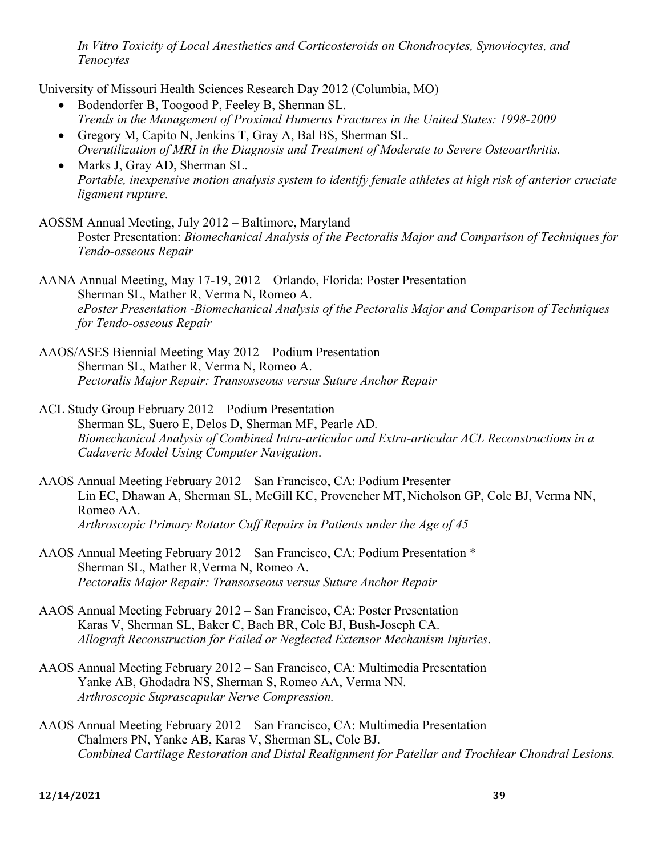*In Vitro Toxicity of Local Anesthetics and Corticosteroids on Chondrocytes, Synoviocytes, and Tenocytes*

University of Missouri Health Sciences Research Day 2012 (Columbia, MO)

- Bodendorfer B, Toogood P, Feeley B, Sherman SL. *Trends in the Management of Proximal Humerus Fractures in the United States: 1998-2009*
- Gregory M, Capito N, Jenkins T, Gray A, Bal BS, Sherman SL. *Overutilization of MRI in the Diagnosis and Treatment of Moderate to Severe Osteoarthritis.*
- Marks J, Gray AD, Sherman SL. *Portable, inexpensive motion analysis system to identify female athletes at high risk of anterior cruciate ligament rupture.*
- AOSSM Annual Meeting, July 2012 Baltimore, Maryland Poster Presentation: *Biomechanical Analysis of the Pectoralis Major and Comparison of Techniques for Tendo-osseous Repair*

AANA Annual Meeting, May 17-19, 2012 – Orlando, Florida: Poster Presentation Sherman SL, Mather R, Verma N, Romeo A. *ePoster Presentation -Biomechanical Analysis of the Pectoralis Major and Comparison of Techniques for Tendo-osseous Repair*

- AAOS/ASES Biennial Meeting May 2012 Podium Presentation Sherman SL, Mather R, Verma N, Romeo A. *Pectoralis Major Repair: Transosseous versus Suture Anchor Repair*
- ACL Study Group February 2012 Podium Presentation Sherman SL, Suero E, Delos D, Sherman MF, Pearle AD*. Biomechanical Analysis of Combined Intra-articular and Extra-articular ACL Reconstructions in a Cadaveric Model Using Computer Navigation*.
- AAOS Annual Meeting February 2012 San Francisco, CA: Podium Presenter Lin EC, Dhawan A, Sherman SL, McGill KC, Provencher MT, Nicholson GP, Cole BJ, Verma NN, Romeo AA. *Arthroscopic Primary Rotator Cuff Repairs in Patients under the Age of 45*
- AAOS Annual Meeting February 2012 San Francisco, CA: Podium Presentation \* Sherman SL, Mather R,Verma N, Romeo A. *Pectoralis Major Repair: Transosseous versus Suture Anchor Repair*
- AAOS Annual Meeting February 2012 San Francisco, CA: Poster Presentation Karas V, Sherman SL, Baker C, Bach BR, Cole BJ, Bush-Joseph CA. *Allograft Reconstruction for Failed or Neglected Extensor Mechanism Injuries*.
- AAOS Annual Meeting February 2012 San Francisco, CA: Multimedia Presentation Yanke AB, Ghodadra NS, Sherman S, Romeo AA, Verma NN. *Arthroscopic Suprascapular Nerve Compression.*
- AAOS Annual Meeting February 2012 San Francisco, CA: Multimedia Presentation Chalmers PN, Yanke AB, Karas V, Sherman SL, Cole BJ. *Combined Cartilage Restoration and Distal Realignment for Patellar and Trochlear Chondral Lesions.*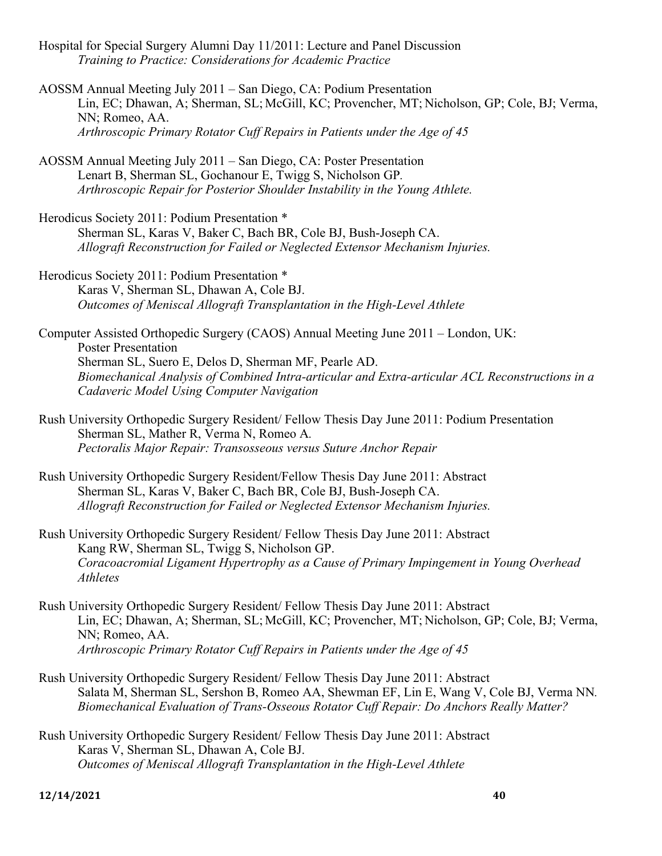- Hospital for Special Surgery Alumni Day 11/2011: Lecture and Panel Discussion *Training to Practice: Considerations for Academic Practice*
- AOSSM Annual Meeting July 2011 San Diego, CA: Podium Presentation Lin, EC; Dhawan, A; Sherman, SL; McGill, KC; Provencher, MT; Nicholson, GP; Cole, BJ; Verma, NN; Romeo, AA. *Arthroscopic Primary Rotator Cuff Repairs in Patients under the Age of 45*
- AOSSM Annual Meeting July 2011 San Diego, CA: Poster Presentation Lenart B, Sherman SL, Gochanour E, Twigg S, Nicholson GP*. Arthroscopic Repair for Posterior Shoulder Instability in the Young Athlete.*
- Herodicus Society 2011: Podium Presentation \* Sherman SL, Karas V, Baker C, Bach BR, Cole BJ, Bush-Joseph CA. *Allograft Reconstruction for Failed or Neglected Extensor Mechanism Injuries.*
- Herodicus Society 2011: Podium Presentation \* Karas V, Sherman SL, Dhawan A, Cole BJ. *Outcomes of Meniscal Allograft Transplantation in the High-Level Athlete*
- Computer Assisted Orthopedic Surgery (CAOS) Annual Meeting June 2011 London, UK: Poster Presentation Sherman SL, Suero E, Delos D, Sherman MF, Pearle AD. *Biomechanical Analysis of Combined Intra-articular and Extra-articular ACL Reconstructions in a Cadaveric Model Using Computer Navigation*
- Rush University Orthopedic Surgery Resident/ Fellow Thesis Day June 2011: Podium Presentation Sherman SL, Mather R, Verma N, Romeo A*. Pectoralis Major Repair: Transosseous versus Suture Anchor Repair*
- Rush University Orthopedic Surgery Resident/Fellow Thesis Day June 2011: Abstract Sherman SL, Karas V, Baker C, Bach BR, Cole BJ, Bush-Joseph CA. *Allograft Reconstruction for Failed or Neglected Extensor Mechanism Injuries.*
- Rush University Orthopedic Surgery Resident/ Fellow Thesis Day June 2011: Abstract Kang RW, Sherman SL, Twigg S, Nicholson GP. *Coracoacromial Ligament Hypertrophy as a Cause of Primary Impingement in Young Overhead Athletes*
- Rush University Orthopedic Surgery Resident/ Fellow Thesis Day June 2011: Abstract Lin, EC; Dhawan, A; Sherman, SL; McGill, KC; Provencher, MT; Nicholson, GP; Cole, BJ; Verma, NN; Romeo, AA. *Arthroscopic Primary Rotator Cuff Repairs in Patients under the Age of 45*
- Rush University Orthopedic Surgery Resident/ Fellow Thesis Day June 2011: Abstract Salata M, Sherman SL, Sershon B, Romeo AA, Shewman EF, Lin E, Wang V, Cole BJ, Verma NN*. Biomechanical Evaluation of Trans-Osseous Rotator Cuff Repair: Do Anchors Really Matter?*
- Rush University Orthopedic Surgery Resident/ Fellow Thesis Day June 2011: Abstract Karas V, Sherman SL, Dhawan A, Cole BJ. *Outcomes of Meniscal Allograft Transplantation in the High-Level Athlete*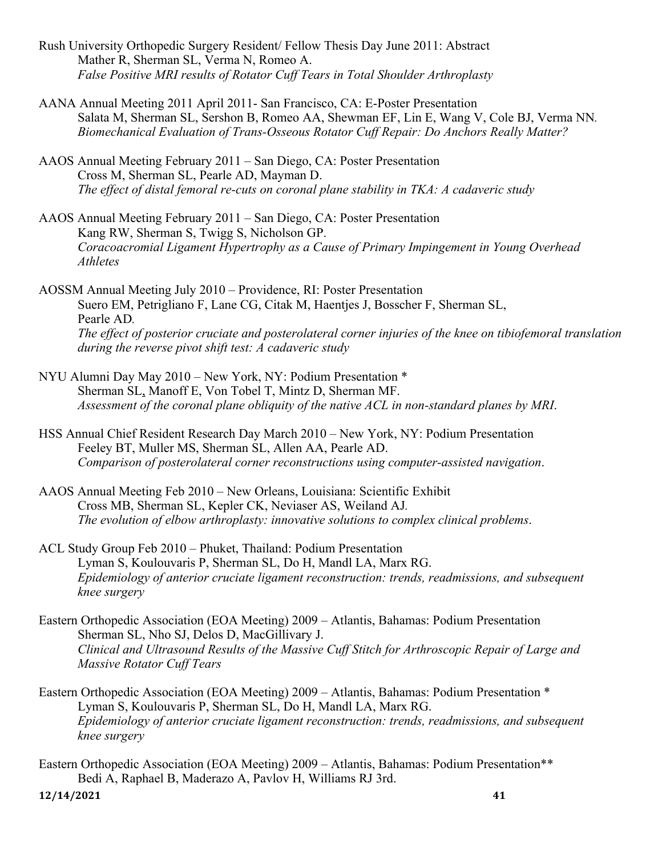- Rush University Orthopedic Surgery Resident/ Fellow Thesis Day June 2011: Abstract Mather R, Sherman SL, Verma N, Romeo A. *False Positive MRI results of Rotator Cuff Tears in Total Shoulder Arthroplasty*
- AANA Annual Meeting 2011 April 2011- San Francisco, CA: E-Poster Presentation Salata M, Sherman SL, Sershon B, Romeo AA, Shewman EF, Lin E, Wang V, Cole BJ, Verma NN*. Biomechanical Evaluation of Trans-Osseous Rotator Cuff Repair: Do Anchors Really Matter?*
- AAOS Annual Meeting February 2011 San Diego, CA: Poster Presentation Cross M, Sherman SL, Pearle AD, Mayman D. *The effect of distal femoral re-cuts on coronal plane stability in TKA: A cadaveric study*
- AAOS Annual Meeting February 2011 San Diego, CA: Poster Presentation Kang RW, Sherman S, Twigg S, Nicholson GP. *Coracoacromial Ligament Hypertrophy as a Cause of Primary Impingement in Young Overhead Athletes*
- AOSSM Annual Meeting July 2010 Providence, RI: Poster Presentation Suero EM, Petrigliano F, Lane CG, Citak M, Haentjes J, Bosscher F, Sherman SL, Pearle AD*. The effect of posterior cruciate and posterolateral corner injuries of the knee on tibiofemoral translation during the reverse pivot shift test: A cadaveric study*
- NYU Alumni Day May 2010 New York, NY: Podium Presentation \* Sherman SL, Manoff E, Von Tobel T, Mintz D, Sherman MF. *Assessment of the coronal plane obliquity of the native ACL in non-standard planes by MRI*.
- HSS Annual Chief Resident Research Day March 2010 New York, NY: Podium Presentation Feeley BT, Muller MS, Sherman SL, Allen AA, Pearle AD. *Comparison of posterolateral corner reconstructions using computer-assisted navigation*.
- AAOS Annual Meeting Feb 2010 New Orleans, Louisiana: Scientific Exhibit Cross MB, Sherman SL, Kepler CK, Neviaser AS, Weiland AJ*. The evolution of elbow arthroplasty: innovative solutions to complex clinical problems*.
- ACL Study Group Feb 2010 Phuket, Thailand: Podium Presentation Lyman S, Koulouvaris P, Sherman SL, Do H, Mandl LA, Marx RG. *Epidemiology of anterior cruciate ligament reconstruction: trends, readmissions, and subsequent knee surgery*
- Eastern Orthopedic Association (EOA Meeting) 2009 Atlantis, Bahamas: Podium Presentation Sherman SL, Nho SJ, Delos D, MacGillivary J. *Clinical and Ultrasound Results of the Massive Cuff Stitch for Arthroscopic Repair of Large and Massive Rotator Cuff Tears*
- Eastern Orthopedic Association (EOA Meeting) 2009 Atlantis, Bahamas: Podium Presentation \* Lyman S, Koulouvaris P, Sherman SL, Do H, Mandl LA, Marx RG. *Epidemiology of anterior cruciate ligament reconstruction: trends, readmissions, and subsequent knee surgery*

Eastern Orthopedic Association (EOA Meeting) 2009 – Atlantis, Bahamas: Podium Presentation\*\* Bedi A, Raphael B, Maderazo A, Pavlov H, Williams RJ 3rd.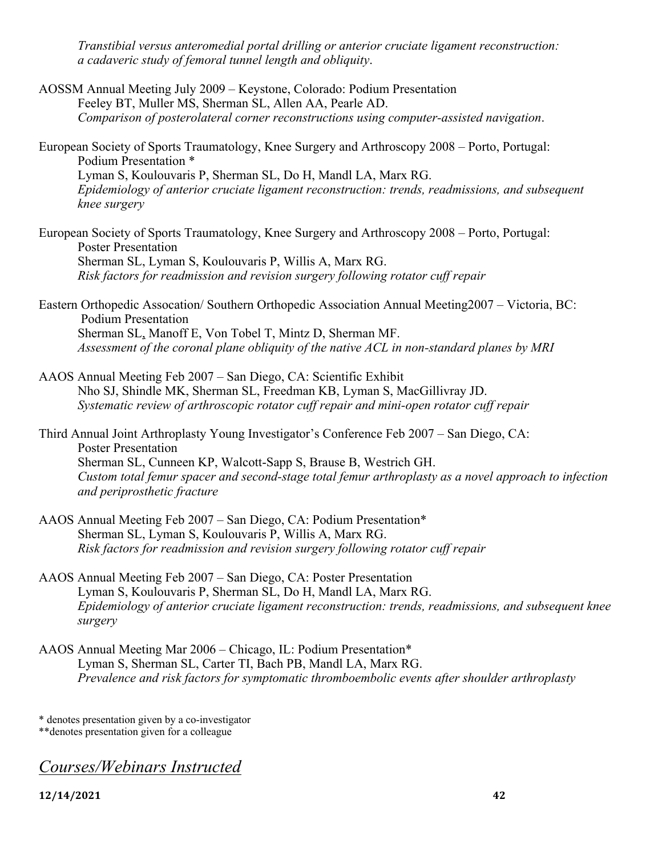*Transtibial versus anteromedial portal drilling or anterior cruciate ligament reconstruction: a cadaveric study of femoral tunnel length and obliquity*.

- AOSSM Annual Meeting July 2009 Keystone, Colorado: Podium Presentation Feeley BT, Muller MS, Sherman SL, Allen AA, Pearle AD. *Comparison of posterolateral corner reconstructions using computer-assisted navigation*.
- European Society of Sports Traumatology, Knee Surgery and Arthroscopy 2008 Porto, Portugal: Podium Presentation \* Lyman S, Koulouvaris P, Sherman SL, Do H, Mandl LA, Marx RG. *Epidemiology of anterior cruciate ligament reconstruction: trends, readmissions, and subsequent knee surgery*
- European Society of Sports Traumatology, Knee Surgery and Arthroscopy 2008 Porto, Portugal: Poster Presentation Sherman SL, Lyman S, Koulouvaris P, Willis A, Marx RG. *Risk factors for readmission and revision surgery following rotator cuff repair*
- Eastern Orthopedic Assocation/ Southern Orthopedic Association Annual Meeting2007 Victoria, BC: Podium Presentation Sherman SL, Manoff E, Von Tobel T, Mintz D, Sherman MF. *Assessment of the coronal plane obliquity of the native ACL in non-standard planes by MRI*
- AAOS Annual Meeting Feb 2007 San Diego, CA: Scientific Exhibit Nho SJ, Shindle MK, Sherman SL, Freedman KB, Lyman S, MacGillivray JD. *Systematic review of arthroscopic rotator cuff repair and mini-open rotator cuff repair*
- Third Annual Joint Arthroplasty Young Investigator's Conference Feb 2007 San Diego, CA: Poster Presentation Sherman SL, Cunneen KP, Walcott-Sapp S, Brause B, Westrich GH. *Custom total femur spacer and second-stage total femur arthroplasty as a novel approach to infection and periprosthetic fracture*
- AAOS Annual Meeting Feb 2007 San Diego, CA: Podium Presentation\* Sherman SL, Lyman S, Koulouvaris P, Willis A, Marx RG. *Risk factors for readmission and revision surgery following rotator cuff repair*
- AAOS Annual Meeting Feb 2007 San Diego, CA: Poster Presentation Lyman S, Koulouvaris P, Sherman SL, Do H, Mandl LA, Marx RG. *Epidemiology of anterior cruciate ligament reconstruction: trends, readmissions, and subsequent knee surgery*
- AAOS Annual Meeting Mar 2006 Chicago, IL: Podium Presentation\* Lyman S, Sherman SL, Carter TI, Bach PB, Mandl LA, Marx RG. *Prevalence and risk factors for symptomatic thromboembolic events after shoulder arthroplasty*

\* denotes presentation given by a co-investigator

\*\*denotes presentation given for a colleague

*Courses/Webinars Instructed*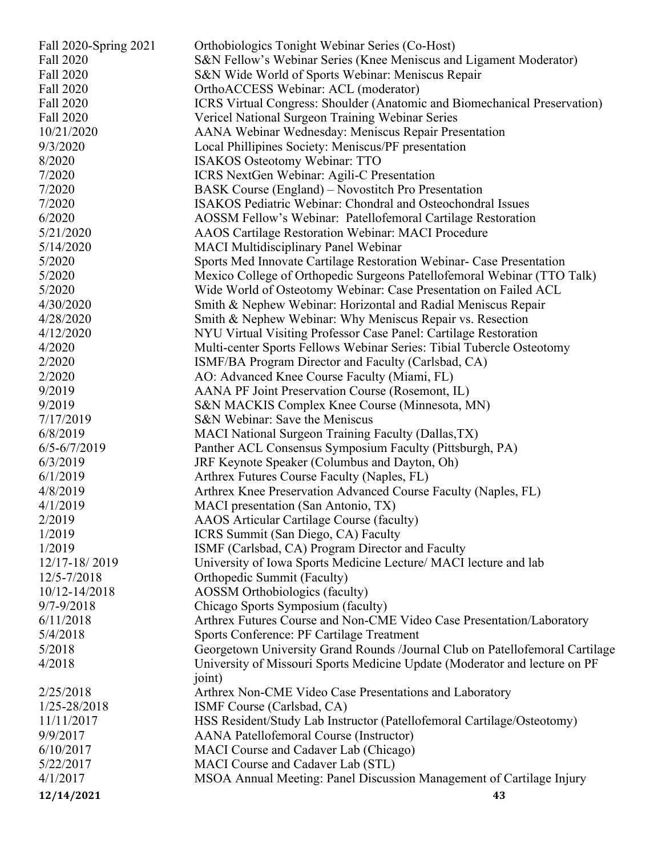| Fall 2020-Spring 2021 | Orthobiologics Tonight Webinar Series (Co-Host)                              |
|-----------------------|------------------------------------------------------------------------------|
| Fall 2020             | S&N Fellow's Webinar Series (Knee Meniscus and Ligament Moderator)           |
| Fall 2020             | S&N Wide World of Sports Webinar: Meniscus Repair                            |
| Fall 2020             | OrthoACCESS Webinar: ACL (moderator)                                         |
| Fall 2020             | ICRS Virtual Congress: Shoulder (Anatomic and Biomechanical Preservation)    |
| Fall 2020             | Vericel National Surgeon Training Webinar Series                             |
| 10/21/2020            | AANA Webinar Wednesday: Meniscus Repair Presentation                         |
| 9/3/2020              | Local Phillipines Society: Meniscus/PF presentation                          |
| 8/2020                | <b>ISAKOS Osteotomy Webinar: TTO</b>                                         |
| 7/2020                | <b>ICRS</b> NextGen Webinar: Agili-C Presentation                            |
| 7/2020                | BASK Course (England) – Novostitch Pro Presentation                          |
| 7/2020                | <b>ISAKOS Pediatric Webinar: Chondral and Osteochondral Issues</b>           |
| 6/2020                | AOSSM Fellow's Webinar: Patellofemoral Cartilage Restoration                 |
| 5/21/2020             | <b>AAOS Cartilage Restoration Webinar: MACI Procedure</b>                    |
| 5/14/2020             | <b>MACI Multidisciplinary Panel Webinar</b>                                  |
| 5/2020                | Sports Med Innovate Cartilage Restoration Webinar- Case Presentation         |
| 5/2020                | Mexico College of Orthopedic Surgeons Patellofemoral Webinar (TTO Talk)      |
| 5/2020                | Wide World of Osteotomy Webinar: Case Presentation on Failed ACL             |
| 4/30/2020             | Smith & Nephew Webinar: Horizontal and Radial Meniscus Repair                |
| 4/28/2020             | Smith & Nephew Webinar: Why Meniscus Repair vs. Resection                    |
| 4/12/2020             | NYU Virtual Visiting Professor Case Panel: Cartilage Restoration             |
| 4/2020                | Multi-center Sports Fellows Webinar Series: Tibial Tubercle Osteotomy        |
| 2/2020                | ISMF/BA Program Director and Faculty (Carlsbad, CA)                          |
| 2/2020                | AO: Advanced Knee Course Faculty (Miami, FL)                                 |
| 9/2019                | AANA PF Joint Preservation Course (Rosemont, IL)                             |
| 9/2019                | S&N MACKIS Complex Knee Course (Minnesota, MN)                               |
| 7/17/2019             | S&N Webinar: Save the Meniscus                                               |
| 6/8/2019              | MACI National Surgeon Training Faculty (Dallas, TX)                          |
| $6/5 - 6/7/2019$      | Panther ACL Consensus Symposium Faculty (Pittsburgh, PA)                     |
| 6/3/2019              | JRF Keynote Speaker (Columbus and Dayton, Oh)                                |
| 6/1/2019              | Arthrex Futures Course Faculty (Naples, FL)                                  |
| 4/8/2019              | Arthrex Knee Preservation Advanced Course Faculty (Naples, FL)               |
| 4/1/2019              | MACI presentation (San Antonio, TX)                                          |
| 2/2019                | AAOS Articular Cartilage Course (faculty)                                    |
| 1/2019                | ICRS Summit (San Diego, CA) Faculty                                          |
| 1/2019                | ISMF (Carlsbad, CA) Program Director and Faculty                             |
| 12/17-18/2019         | University of Iowa Sports Medicine Lecture/ MACI lecture and lab             |
| 12/5-7/2018           | Orthopedic Summit (Faculty)                                                  |
| 10/12-14/2018         | AOSSM Orthobiologics (faculty)                                               |
| 9/7-9/2018            | Chicago Sports Symposium (faculty)                                           |
| 6/11/2018             | Arthrex Futures Course and Non-CME Video Case Presentation/Laboratory        |
| 5/4/2018              | <b>Sports Conference: PF Cartilage Treatment</b>                             |
| 5/2018                | Georgetown University Grand Rounds /Journal Club on Patellofemoral Cartilage |
| 4/2018                | University of Missouri Sports Medicine Update (Moderator and lecture on PF   |
|                       | joint)                                                                       |
| 2/25/2018             | Arthrex Non-CME Video Case Presentations and Laboratory                      |
| 1/25-28/2018          | ISMF Course (Carlsbad, CA)                                                   |
| 11/11/2017            | HSS Resident/Study Lab Instructor (Patellofemoral Cartilage/Osteotomy)       |
| 9/9/2017              | <b>AANA</b> Patellofemoral Course (Instructor)                               |
| 6/10/2017             | MACI Course and Cadaver Lab (Chicago)                                        |
| 5/22/2017             | MACI Course and Cadaver Lab (STL)                                            |
| 4/1/2017              | MSOA Annual Meeting: Panel Discussion Management of Cartilage Injury         |
| 12/14/2021            | 43                                                                           |
|                       |                                                                              |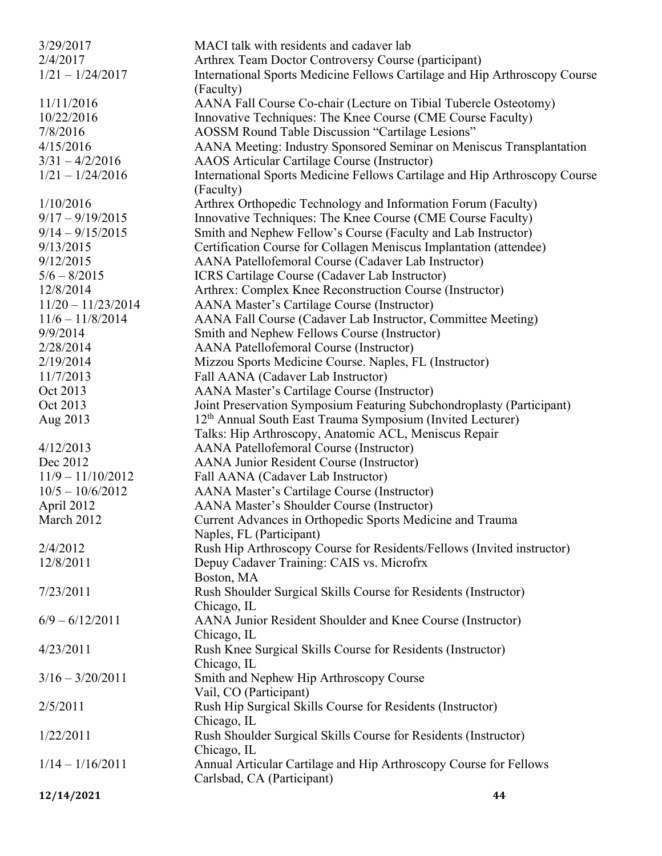| 3/29/2017            | MACI talk with residents and cadaver lab                                                                |
|----------------------|---------------------------------------------------------------------------------------------------------|
| 2/4/2017             | Arthrex Team Doctor Controversy Course (participant)                                                    |
| $1/21 - 1/24/2017$   | International Sports Medicine Fellows Cartilage and Hip Arthroscopy Course                              |
|                      | (Faculty)                                                                                               |
| 11/11/2016           | AANA Fall Course Co-chair (Lecture on Tibial Tubercle Osteotomy)                                        |
| 10/22/2016           | Innovative Techniques: The Knee Course (CME Course Faculty)                                             |
| 7/8/2016             | AOSSM Round Table Discussion "Cartilage Lesions"                                                        |
| 4/15/2016            | AANA Meeting: Industry Sponsored Seminar on Meniscus Transplantation                                    |
| $3/31 - 4/2/2016$    | AAOS Articular Cartilage Course (Instructor)                                                            |
| $1/21 - 1/24/2016$   | International Sports Medicine Fellows Cartilage and Hip Arthroscopy Course<br>(Faculty)                 |
| 1/10/2016            | Arthrex Orthopedic Technology and Information Forum (Faculty)                                           |
| $9/17 - 9/19/2015$   | Innovative Techniques: The Knee Course (CME Course Faculty)                                             |
| $9/14 - 9/15/2015$   | Smith and Nephew Fellow's Course (Faculty and Lab Instructor)                                           |
| 9/13/2015            | Certification Course for Collagen Meniscus Implantation (attendee)                                      |
| 9/12/2015            | AANA Patellofemoral Course (Cadaver Lab Instructor)                                                     |
| $5/6 - 8/2015$       | ICRS Cartilage Course (Cadaver Lab Instructor)                                                          |
| 12/8/2014            | Arthrex: Complex Knee Reconstruction Course (Instructor)                                                |
| $11/20 - 11/23/2014$ | <b>AANA Master's Cartilage Course (Instructor)</b>                                                      |
| $11/6 - 11/8/2014$   | AANA Fall Course (Cadaver Lab Instructor, Committee Meeting)                                            |
| 9/9/2014             | Smith and Nephew Fellows Course (Instructor)                                                            |
| 2/28/2014            | <b>AANA Patellofemoral Course (Instructor)</b>                                                          |
| 2/19/2014            | Mizzou Sports Medicine Course. Naples, FL (Instructor)                                                  |
| 11/7/2013            | Fall AANA (Cadaver Lab Instructor)                                                                      |
| Oct 2013             | <b>AANA Master's Cartilage Course (Instructor)</b>                                                      |
| Oct 2013             | Joint Preservation Symposium Featuring Subchondroplasty (Participant)                                   |
| Aug 2013             | 12 <sup>th</sup> Annual South East Trauma Symposium (Invited Lecturer)                                  |
|                      | Talks: Hip Arthroscopy, Anatomic ACL, Meniscus Repair                                                   |
| 4/12/2013            | <b>AANA</b> Patellofemoral Course (Instructor)                                                          |
| Dec 2012             | <b>AANA Junior Resident Course (Instructor)</b>                                                         |
| $11/9 - 11/10/2012$  | Fall AANA (Cadaver Lab Instructor)                                                                      |
| $10/5 - 10/6/2012$   |                                                                                                         |
| April 2012           | <b>AANA Master's Cartilage Course (Instructor)</b><br><b>AANA Master's Shoulder Course (Instructor)</b> |
| March 2012           |                                                                                                         |
|                      | Current Advances in Orthopedic Sports Medicine and Trauma<br>Naples, FL (Participant)                   |
| 2/4/2012             | Rush Hip Arthroscopy Course for Residents/Fellows (Invited instructor)                                  |
| 12/8/2011            | Depuy Cadaver Training: CAIS vs. Microfrx                                                               |
|                      | Boston, MA                                                                                              |
| 7/23/2011            | Rush Shoulder Surgical Skills Course for Residents (Instructor)                                         |
|                      | Chicago, IL                                                                                             |
| $6/9 - 6/12/2011$    | AANA Junior Resident Shoulder and Knee Course (Instructor)                                              |
|                      | Chicago, IL                                                                                             |
| 4/23/2011            | Rush Knee Surgical Skills Course for Residents (Instructor)                                             |
|                      | Chicago, IL                                                                                             |
| $3/16 - 3/20/2011$   | Smith and Nephew Hip Arthroscopy Course                                                                 |
|                      | Vail, CO (Participant)                                                                                  |
| 2/5/2011             | Rush Hip Surgical Skills Course for Residents (Instructor)                                              |
|                      | Chicago, IL                                                                                             |
| 1/22/2011            | Rush Shoulder Surgical Skills Course for Residents (Instructor)                                         |
|                      | Chicago, IL                                                                                             |
| $1/14 - 1/16/2011$   | Annual Articular Cartilage and Hip Arthroscopy Course for Fellows                                       |
|                      | Carlsbad, CA (Participant)                                                                              |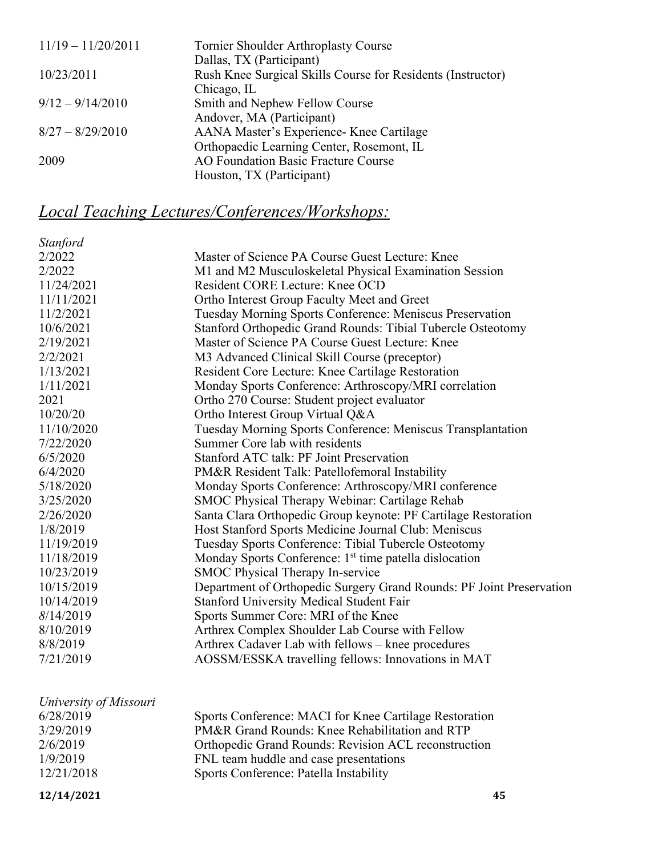| Tornier Shoulder Arthroplasty Course                        |
|-------------------------------------------------------------|
| Dallas, TX (Participant)                                    |
| Rush Knee Surgical Skills Course for Residents (Instructor) |
| Chicago, IL                                                 |
| Smith and Nephew Fellow Course                              |
| Andover, MA (Participant)                                   |
| AANA Master's Experience- Knee Cartilage                    |
| Orthopaedic Learning Center, Rosemont, IL                   |
| AO Foundation Basic Fracture Course                         |
| Houston, TX (Participant)                                   |
|                                                             |

# *Local Teaching Lectures/Conferences/Workshops:*

| <b>Stanford</b> |                                                                      |
|-----------------|----------------------------------------------------------------------|
| 2/2022          | Master of Science PA Course Guest Lecture: Knee                      |
| 2/2022          | M1 and M2 Musculoskeletal Physical Examination Session               |
| 11/24/2021      | Resident CORE Lecture: Knee OCD                                      |
| 11/11/2021      | Ortho Interest Group Faculty Meet and Greet                          |
| 11/2/2021       | Tuesday Morning Sports Conference: Meniscus Preservation             |
| 10/6/2021       | Stanford Orthopedic Grand Rounds: Tibial Tubercle Osteotomy          |
| 2/19/2021       | Master of Science PA Course Guest Lecture: Knee                      |
| 2/2/2021        | M3 Advanced Clinical Skill Course (preceptor)                        |
| 1/13/2021       | Resident Core Lecture: Knee Cartilage Restoration                    |
| 1/11/2021       | Monday Sports Conference: Arthroscopy/MRI correlation                |
| 2021            | Ortho 270 Course: Student project evaluator                          |
| 10/20/20        | Ortho Interest Group Virtual Q&A                                     |
| 11/10/2020      | Tuesday Morning Sports Conference: Meniscus Transplantation          |
| 7/22/2020       | Summer Core lab with residents                                       |
| 6/5/2020        | Stanford ATC talk: PF Joint Preservation                             |
| 6/4/2020        | PM&R Resident Talk: Patellofemoral Instability                       |
| 5/18/2020       | Monday Sports Conference: Arthroscopy/MRI conference                 |
| 3/25/2020       | SMOC Physical Therapy Webinar: Cartilage Rehab                       |
| 2/26/2020       | Santa Clara Orthopedic Group keynote: PF Cartilage Restoration       |
| 1/8/2019        | Host Stanford Sports Medicine Journal Club: Meniscus                 |
| 11/19/2019      | Tuesday Sports Conference: Tibial Tubercle Osteotomy                 |
| 11/18/2019      | Monday Sports Conference: 1 <sup>st</sup> time patella dislocation   |
| 10/23/2019      | <b>SMOC Physical Therapy In-service</b>                              |
| 10/15/2019      | Department of Orthopedic Surgery Grand Rounds: PF Joint Preservation |
| 10/14/2019      | <b>Stanford University Medical Student Fair</b>                      |
| 8/14/2019       | Sports Summer Core: MRI of the Knee                                  |
| 8/10/2019       | Arthrex Complex Shoulder Lab Course with Fellow                      |
| 8/8/2019        | Arthrex Cadaver Lab with fellows – knee procedures                   |
| 7/21/2019       | AOSSM/ESSKA travelling fellows: Innovations in MAT                   |
|                 |                                                                      |

| University of Missouri |                                                        |
|------------------------|--------------------------------------------------------|
| 6/28/2019              | Sports Conference: MACI for Knee Cartilage Restoration |
| 3/29/2019              | PM&R Grand Rounds: Knee Rehabilitation and RTP         |
| 2/6/2019               | Orthopedic Grand Rounds: Revision ACL reconstruction   |
| 1/9/2019               | FNL team huddle and case presentations                 |
| 12/21/2018             | Sports Conference: Patella Instability                 |
|                        |                                                        |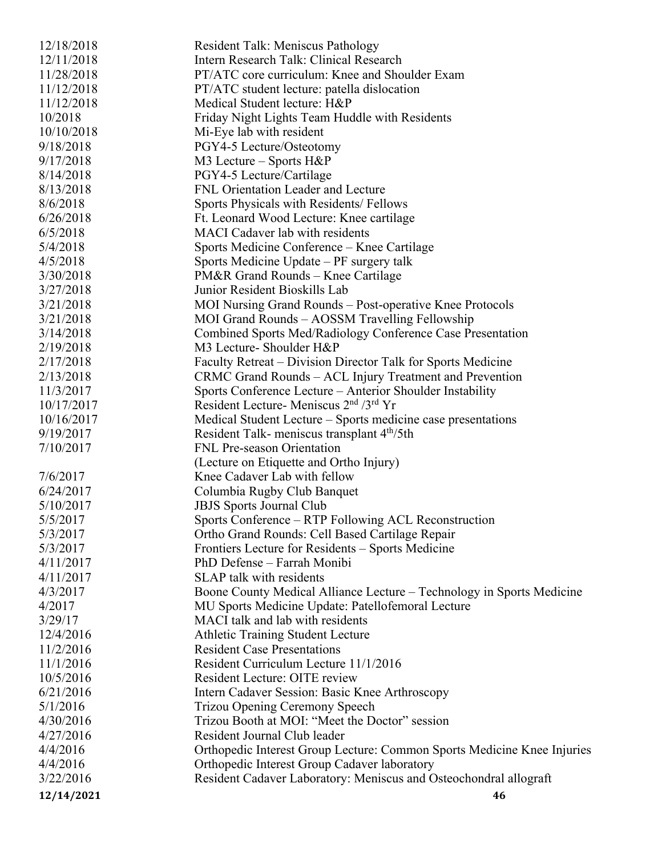| 12/18/2018 | Resident Talk: Meniscus Pathology                                       |
|------------|-------------------------------------------------------------------------|
| 12/11/2018 | Intern Research Talk: Clinical Research                                 |
| 11/28/2018 | PT/ATC core curriculum: Knee and Shoulder Exam                          |
| 11/12/2018 | PT/ATC student lecture: patella dislocation                             |
| 11/12/2018 | Medical Student lecture: H&P                                            |
| 10/2018    | Friday Night Lights Team Huddle with Residents                          |
| 10/10/2018 | Mi-Eye lab with resident                                                |
| 9/18/2018  | PGY4-5 Lecture/Osteotomy                                                |
| 9/17/2018  | M3 Lecture - Sports H&P                                                 |
| 8/14/2018  | PGY4-5 Lecture/Cartilage                                                |
| 8/13/2018  | FNL Orientation Leader and Lecture                                      |
| 8/6/2018   | Sports Physicals with Residents/Fellows                                 |
| 6/26/2018  | Ft. Leonard Wood Lecture: Knee cartilage                                |
| 6/5/2018   | <b>MACI</b> Cadaver lab with residents                                  |
| 5/4/2018   | Sports Medicine Conference – Knee Cartilage                             |
| 4/5/2018   | Sports Medicine Update – PF surgery talk                                |
| 3/30/2018  | PM&R Grand Rounds – Knee Cartilage                                      |
| 3/27/2018  | Junior Resident Bioskills Lab                                           |
| 3/21/2018  | MOI Nursing Grand Rounds – Post-operative Knee Protocols                |
| 3/21/2018  | MOI Grand Rounds - AOSSM Travelling Fellowship                          |
| 3/14/2018  | Combined Sports Med/Radiology Conference Case Presentation              |
| 2/19/2018  | M3 Lecture- Shoulder H&P                                                |
| 2/17/2018  | Faculty Retreat – Division Director Talk for Sports Medicine            |
| 2/13/2018  | CRMC Grand Rounds - ACL Injury Treatment and Prevention                 |
| 11/3/2017  | Sports Conference Lecture – Anterior Shoulder Instability               |
| 10/17/2017 | Resident Lecture- Meniscus 2 <sup>nd</sup> /3 <sup>rd</sup> Yr          |
| 10/16/2017 | Medical Student Lecture – Sports medicine case presentations            |
| 9/19/2017  | Resident Talk- meniscus transplant 4 <sup>th</sup> /5th                 |
| 7/10/2017  | <b>FNL Pre-season Orientation</b>                                       |
|            | (Lecture on Etiquette and Ortho Injury)                                 |
| 7/6/2017   | Knee Cadaver Lab with fellow                                            |
| 6/24/2017  | Columbia Rugby Club Banquet                                             |
| 5/10/2017  | <b>JBJS</b> Sports Journal Club                                         |
| 5/5/2017   | Sports Conference – RTP Following ACL Reconstruction                    |
| 5/3/2017   | Ortho Grand Rounds: Cell Based Cartilage Repair                         |
| 5/3/2017   | Frontiers Lecture for Residents – Sports Medicine                       |
| 4/11/2017  | PhD Defense - Farrah Monibi                                             |
| 4/11/2017  | SLAP talk with residents                                                |
| 4/3/2017   | Boone County Medical Alliance Lecture – Technology in Sports Medicine   |
| 4/2017     | MU Sports Medicine Update: Patellofemoral Lecture                       |
| 3/29/17    | MACI talk and lab with residents                                        |
| 12/4/2016  | <b>Athletic Training Student Lecture</b>                                |
| 11/2/2016  | <b>Resident Case Presentations</b>                                      |
| 11/1/2016  | Resident Curriculum Lecture 11/1/2016                                   |
| 10/5/2016  | Resident Lecture: OITE review                                           |
| 6/21/2016  | Intern Cadaver Session: Basic Knee Arthroscopy                          |
| 5/1/2016   | Trizou Opening Ceremony Speech                                          |
| 4/30/2016  | Trizou Booth at MOI: "Meet the Doctor" session                          |
| 4/27/2016  | Resident Journal Club leader                                            |
| 4/4/2016   | Orthopedic Interest Group Lecture: Common Sports Medicine Knee Injuries |
| 4/4/2016   | Orthopedic Interest Group Cadaver laboratory                            |
| 3/22/2016  | Resident Cadaver Laboratory: Meniscus and Osteochondral allograft       |
|            |                                                                         |
| 12/14/2021 | 46                                                                      |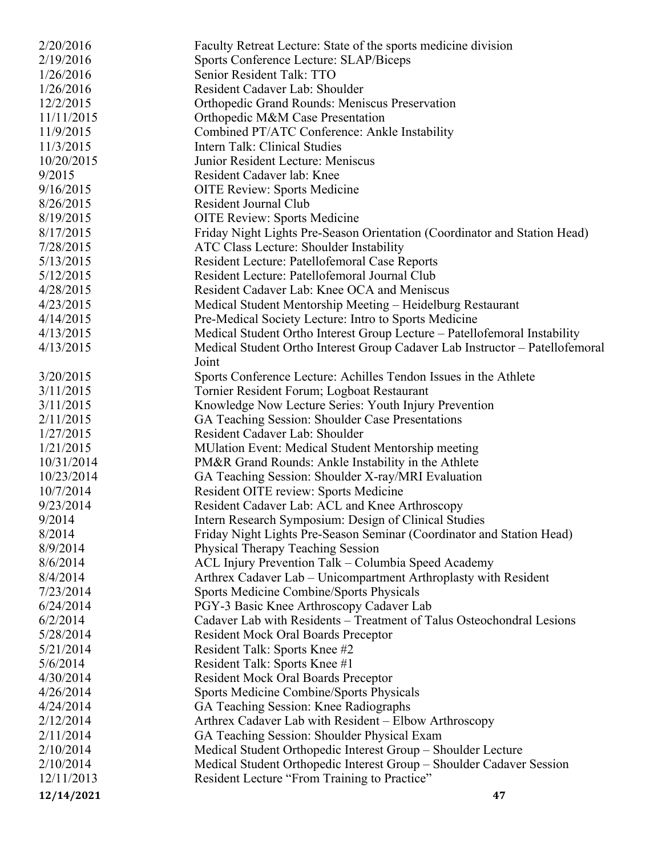| 2/20/2016  | Faculty Retreat Lecture: State of the sports medicine division               |
|------------|------------------------------------------------------------------------------|
| 2/19/2016  | Sports Conference Lecture: SLAP/Biceps                                       |
| 1/26/2016  | Senior Resident Talk: TTO                                                    |
| 1/26/2016  | Resident Cadaver Lab: Shoulder                                               |
| 12/2/2015  | <b>Orthopedic Grand Rounds: Meniscus Preservation</b>                        |
| 11/11/2015 | Orthopedic M&M Case Presentation                                             |
| 11/9/2015  | Combined PT/ATC Conference: Ankle Instability                                |
| 11/3/2015  | Intern Talk: Clinical Studies                                                |
| 10/20/2015 | Junior Resident Lecture: Meniscus                                            |
| 9/2015     | Resident Cadaver lab: Knee                                                   |
| 9/16/2015  | <b>OITE Review: Sports Medicine</b>                                          |
| 8/26/2015  | Resident Journal Club                                                        |
| 8/19/2015  | <b>OITE Review: Sports Medicine</b>                                          |
| 8/17/2015  | Friday Night Lights Pre-Season Orientation (Coordinator and Station Head)    |
| 7/28/2015  | ATC Class Lecture: Shoulder Instability                                      |
| 5/13/2015  | Resident Lecture: Patellofemoral Case Reports                                |
| 5/12/2015  | Resident Lecture: Patellofemoral Journal Club                                |
| 4/28/2015  | Resident Cadaver Lab: Knee OCA and Meniscus                                  |
| 4/23/2015  | Medical Student Mentorship Meeting – Heidelburg Restaurant                   |
| 4/14/2015  | Pre-Medical Society Lecture: Intro to Sports Medicine                        |
| 4/13/2015  | Medical Student Ortho Interest Group Lecture - Patellofemoral Instability    |
| 4/13/2015  | Medical Student Ortho Interest Group Cadaver Lab Instructor - Patellofemoral |
|            | Joint                                                                        |
| 3/20/2015  | Sports Conference Lecture: Achilles Tendon Issues in the Athlete             |
| 3/11/2015  | Tornier Resident Forum; Logboat Restaurant                                   |
| 3/11/2015  | Knowledge Now Lecture Series: Youth Injury Prevention                        |
| 2/11/2015  | GA Teaching Session: Shoulder Case Presentations                             |
| 1/27/2015  | Resident Cadaver Lab: Shoulder                                               |
| 1/21/2015  | <b>MUlation Event: Medical Student Mentorship meeting</b>                    |
| 10/31/2014 | PM&R Grand Rounds: Ankle Instability in the Athlete                          |
| 10/23/2014 | GA Teaching Session: Shoulder X-ray/MRI Evaluation                           |
| 10/7/2014  | Resident OITE review: Sports Medicine                                        |
| 9/23/2014  | Resident Cadaver Lab: ACL and Knee Arthroscopy                               |
| 9/2014     | Intern Research Symposium: Design of Clinical Studies                        |
| 8/2014     | Friday Night Lights Pre-Season Seminar (Coordinator and Station Head)        |
| 8/9/2014   | Physical Therapy Teaching Session                                            |
| 8/6/2014   | ACL Injury Prevention Talk - Columbia Speed Academy                          |
| 8/4/2014   | Arthrex Cadaver Lab – Unicompartment Arthroplasty with Resident              |
| 7/23/2014  | Sports Medicine Combine/Sports Physicals                                     |
| 6/24/2014  | PGY-3 Basic Knee Arthroscopy Cadaver Lab                                     |
| 6/2/2014   | Cadaver Lab with Residents - Treatment of Talus Osteochondral Lesions        |
| 5/28/2014  | <b>Resident Mock Oral Boards Preceptor</b>                                   |
| 5/21/2014  | Resident Talk: Sports Knee #2                                                |
| 5/6/2014   | Resident Talk: Sports Knee #1                                                |
| 4/30/2014  | <b>Resident Mock Oral Boards Preceptor</b>                                   |
| 4/26/2014  | Sports Medicine Combine/Sports Physicals                                     |
| 4/24/2014  | GA Teaching Session: Knee Radiographs                                        |
| 2/12/2014  | Arthrex Cadaver Lab with Resident – Elbow Arthroscopy                        |
| 2/11/2014  | GA Teaching Session: Shoulder Physical Exam                                  |
| 2/10/2014  | Medical Student Orthopedic Interest Group - Shoulder Lecture                 |
| 2/10/2014  | Medical Student Orthopedic Interest Group - Shoulder Cadaver Session         |
| 12/11/2013 | Resident Lecture "From Training to Practice"                                 |
| 12/14/2021 | 47                                                                           |
|            |                                                                              |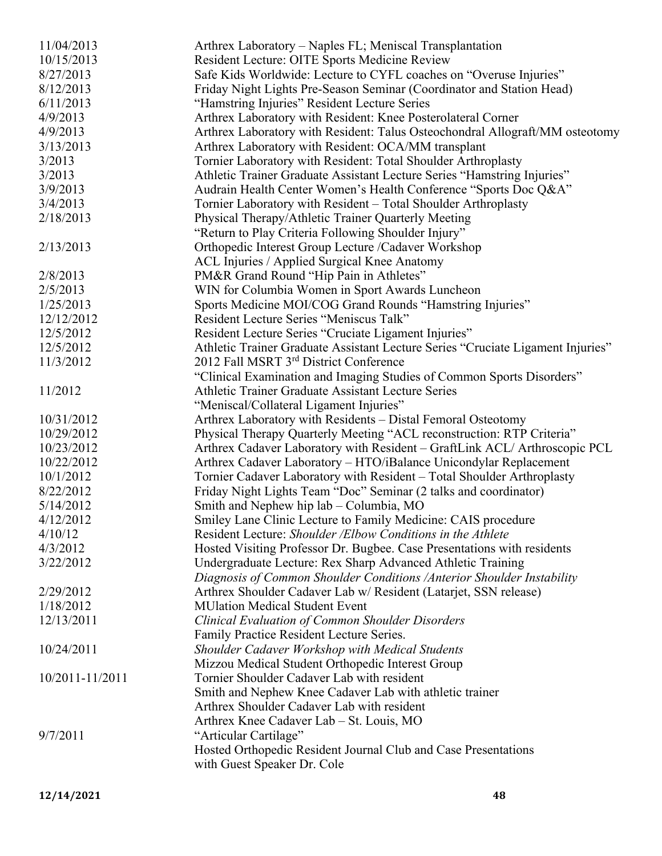| 11/04/2013      | Arthrex Laboratory – Naples FL; Meniscal Transplantation                        |
|-----------------|---------------------------------------------------------------------------------|
| 10/15/2013      | Resident Lecture: OITE Sports Medicine Review                                   |
| 8/27/2013       | Safe Kids Worldwide: Lecture to CYFL coaches on "Overuse Injuries"              |
| 8/12/2013       | Friday Night Lights Pre-Season Seminar (Coordinator and Station Head)           |
| 6/11/2013       | "Hamstring Injuries" Resident Lecture Series                                    |
| 4/9/2013        | Arthrex Laboratory with Resident: Knee Posterolateral Corner                    |
| 4/9/2013        | Arthrex Laboratory with Resident: Talus Osteochondral Allograft/MM osteotomy    |
| 3/13/2013       | Arthrex Laboratory with Resident: OCA/MM transplant                             |
| 3/2013          | Tornier Laboratory with Resident: Total Shoulder Arthroplasty                   |
| 3/2013          | Athletic Trainer Graduate Assistant Lecture Series "Hamstring Injuries"         |
| 3/9/2013        | Audrain Health Center Women's Health Conference "Sports Doc Q&A"                |
| 3/4/2013        | Tornier Laboratory with Resident - Total Shoulder Arthroplasty                  |
| 2/18/2013       | Physical Therapy/Athletic Trainer Quarterly Meeting                             |
|                 | "Return to Play Criteria Following Shoulder Injury"                             |
| 2/13/2013       | Orthopedic Interest Group Lecture /Cadaver Workshop                             |
|                 | ACL Injuries / Applied Surgical Knee Anatomy                                    |
| 2/8/2013        | PM&R Grand Round "Hip Pain in Athletes"                                         |
| 2/5/2013        | WIN for Columbia Women in Sport Awards Luncheon                                 |
| 1/25/2013       | Sports Medicine MOI/COG Grand Rounds "Hamstring Injuries"                       |
| 12/12/2012      | Resident Lecture Series "Meniscus Talk"                                         |
| 12/5/2012       | Resident Lecture Series "Cruciate Ligament Injuries"                            |
| 12/5/2012       | Athletic Trainer Graduate Assistant Lecture Series "Cruciate Ligament Injuries" |
| 11/3/2012       | 2012 Fall MSRT 3rd District Conference                                          |
|                 | "Clinical Examination and Imaging Studies of Common Sports Disorders"           |
| 11/2012         | Athletic Trainer Graduate Assistant Lecture Series                              |
|                 | "Meniscal/Collateral Ligament Injuries"                                         |
| 10/31/2012      | Arthrex Laboratory with Residents - Distal Femoral Osteotomy                    |
| 10/29/2012      | Physical Therapy Quarterly Meeting "ACL reconstruction: RTP Criteria"           |
| 10/23/2012      | Arthrex Cadaver Laboratory with Resident - GraftLink ACL/ Arthroscopic PCL      |
| 10/22/2012      | Arthrex Cadaver Laboratory - HTO/iBalance Unicondylar Replacement               |
| 10/1/2012       | Tornier Cadaver Laboratory with Resident - Total Shoulder Arthroplasty          |
| 8/22/2012       | Friday Night Lights Team "Doc" Seminar (2 talks and coordinator)                |
| 5/14/2012       | Smith and Nephew hip lab – Columbia, MO                                         |
| 4/12/2012       | Smiley Lane Clinic Lecture to Family Medicine: CAIS procedure                   |
| 4/10/12         | Resident Lecture: Shoulder /Elbow Conditions in the Athlete                     |
| 4/3/2012        | Hosted Visiting Professor Dr. Bugbee. Case Presentations with residents         |
| 3/22/2012       | Undergraduate Lecture: Rex Sharp Advanced Athletic Training                     |
|                 | Diagnosis of Common Shoulder Conditions / Anterior Shoulder Instability         |
| 2/29/2012       | Arthrex Shoulder Cadaver Lab w/ Resident (Latarjet, SSN release)                |
| 1/18/2012       | <b>MUlation Medical Student Event</b>                                           |
| 12/13/2011      | Clinical Evaluation of Common Shoulder Disorders                                |
|                 | Family Practice Resident Lecture Series.                                        |
| 10/24/2011      | <b>Shoulder Cadaver Workshop with Medical Students</b>                          |
|                 | Mizzou Medical Student Orthopedic Interest Group                                |
| 10/2011-11/2011 | Tornier Shoulder Cadaver Lab with resident                                      |
|                 | Smith and Nephew Knee Cadaver Lab with athletic trainer                         |
|                 | Arthrex Shoulder Cadaver Lab with resident                                      |
|                 | Arthrex Knee Cadaver Lab - St. Louis, MO                                        |
| 9/7/2011        | "Articular Cartilage"                                                           |
|                 | Hosted Orthopedic Resident Journal Club and Case Presentations                  |
|                 | with Guest Speaker Dr. Cole                                                     |
|                 |                                                                                 |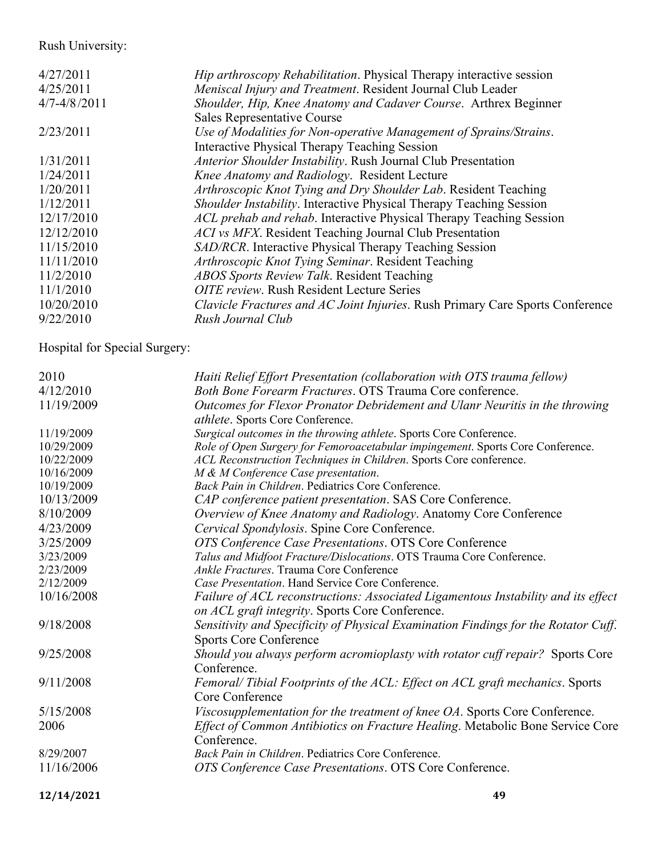## Rush University:

| 4/27/2011        | <i>Hip arthroscopy Rehabilitation.</i> Physical Therapy interactive session   |
|------------------|-------------------------------------------------------------------------------|
| 4/25/2011        | Meniscal Injury and Treatment. Resident Journal Club Leader                   |
| $4/7 - 4/8/2011$ | Shoulder, Hip, Knee Anatomy and Cadaver Course. Arthrex Beginner              |
|                  | Sales Representative Course                                                   |
| 2/23/2011        | Use of Modalities for Non-operative Management of Sprains/Strains.            |
|                  | Interactive Physical Therapy Teaching Session                                 |
| 1/31/2011        | Anterior Shoulder Instability. Rush Journal Club Presentation                 |
| 1/24/2011        | Knee Anatomy and Radiology. Resident Lecture                                  |
| 1/20/2011        | Arthroscopic Knot Tying and Dry Shoulder Lab. Resident Teaching               |
| 1/12/2011        | Shoulder Instability. Interactive Physical Therapy Teaching Session           |
| 12/17/2010       | ACL prehab and rehab. Interactive Physical Therapy Teaching Session           |
| 12/12/2010       | ACI vs MFX. Resident Teaching Journal Club Presentation                       |
| 11/15/2010       | SAD/RCR. Interactive Physical Therapy Teaching Session                        |
| 11/11/2010       | Arthroscopic Knot Tying Seminar. Resident Teaching                            |
| 11/2/2010        | <b>ABOS Sports Review Talk. Resident Teaching</b>                             |
| 11/1/2010        | <b>OITE</b> review. Rush Resident Lecture Series                              |
| 10/20/2010       | Clavicle Fractures and AC Joint Injuries. Rush Primary Care Sports Conference |
| 9/22/2010        | Rush Journal Club                                                             |

Hospital for Special Surgery:

| 2010       | Haiti Relief Effort Presentation (collaboration with OTS trauma fellow)            |
|------------|------------------------------------------------------------------------------------|
| 4/12/2010  | Both Bone Forearm Fractures. OTS Trauma Core conference.                           |
| 11/19/2009 | Outcomes for Flexor Pronator Debridement and Ulanr Neuritis in the throwing        |
|            | <i>athlete.</i> Sports Core Conference.                                            |
| 11/19/2009 | Surgical outcomes in the throwing athlete. Sports Core Conference.                 |
| 10/29/2009 | Role of Open Surgery for Femoroacetabular impingement. Sports Core Conference.     |
| 10/22/2009 | ACL Reconstruction Techniques in Children. Sports Core conference.                 |
| 10/16/2009 | M & M Conference Case presentation.                                                |
| 10/19/2009 | Back Pain in Children. Pediatrics Core Conference.                                 |
| 10/13/2009 | CAP conference patient presentation. SAS Core Conference.                          |
| 8/10/2009  | Overview of Knee Anatomy and Radiology. Anatomy Core Conference                    |
| 4/23/2009  | Cervical Spondylosis. Spine Core Conference.                                       |
| 3/25/2009  | OTS Conference Case Presentations. OTS Core Conference                             |
| 3/23/2009  | Talus and Midfoot Fracture/Dislocations. OTS Trauma Core Conference.               |
| 2/23/2009  | Ankle Fractures. Trauma Core Conference                                            |
| 2/12/2009  | Case Presentation. Hand Service Core Conference.                                   |
| 10/16/2008 | Failure of ACL reconstructions: Associated Ligamentous Instability and its effect  |
|            | on ACL graft integrity. Sports Core Conference.                                    |
| 9/18/2008  | Sensitivity and Specificity of Physical Examination Findings for the Rotator Cuff. |
|            | <b>Sports Core Conference</b>                                                      |
| 9/25/2008  | Should you always perform acromioplasty with rotator cuff repair? Sports Core      |
|            | Conference.                                                                        |
| 9/11/2008  | Femoral/Tibial Footprints of the ACL: Effect on ACL graft mechanics. Sports        |
|            | Core Conference                                                                    |
| 5/15/2008  | Viscosupplementation for the treatment of knee OA. Sports Core Conference.         |
| 2006       | Effect of Common Antibiotics on Fracture Healing. Metabolic Bone Service Core      |
|            | Conference.                                                                        |
| 8/29/2007  | Back Pain in Children. Pediatrics Core Conference.                                 |
| 11/16/2006 | OTS Conference Case Presentations. OTS Core Conference.                            |
|            |                                                                                    |